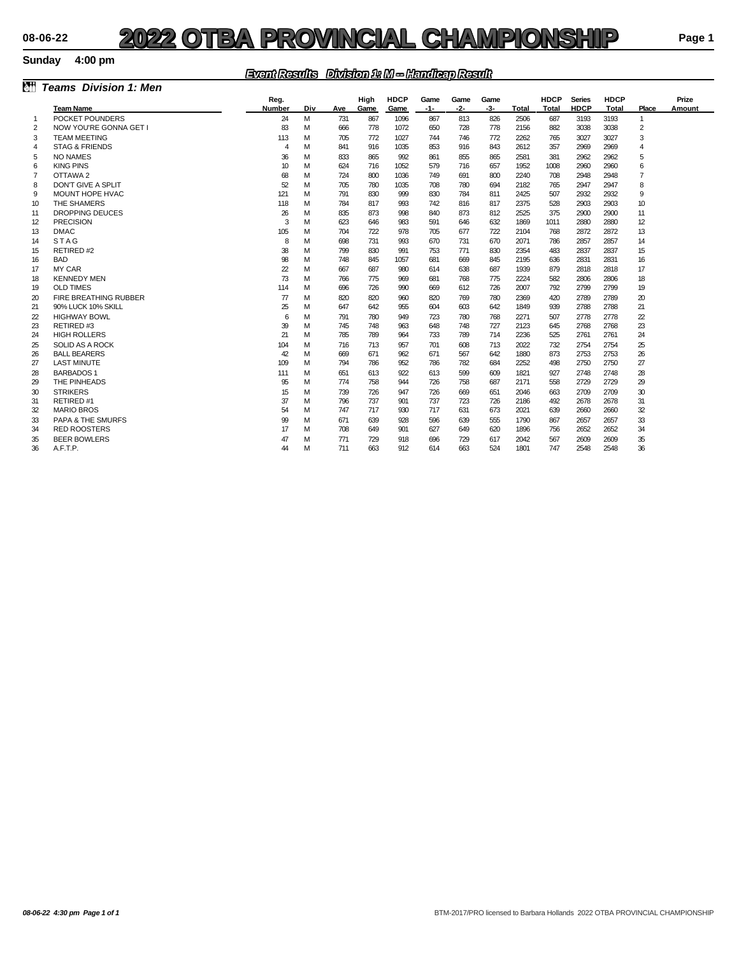### **Sunday 4:00 pm**

### *Event Results Division 1: M -- Handicap Result*

|                |                              | <b>ENGINEERING ENVICION 16 MD - DICINERACIO PINGGEENE</b> |     |     |      |             |      |       |      |       |             |               |              |                |        |
|----------------|------------------------------|-----------------------------------------------------------|-----|-----|------|-------------|------|-------|------|-------|-------------|---------------|--------------|----------------|--------|
| ð.             | <b>Teams</b> Division 1: Men |                                                           |     |     |      |             |      |       |      |       |             |               |              |                |        |
|                |                              | Reg.                                                      |     |     | High | <b>HDCP</b> | Game | Game  | Game |       | <b>HDCP</b> | <b>Series</b> | <b>HDCP</b>  |                | Prize  |
|                | <b>Team Name</b>             | Number                                                    | Div | Ave | Game | Game        | -1-  | $-2-$ | -3-  | Total | Total       | <b>HDCP</b>   | <b>Total</b> | Place          | Amount |
| -1             | POCKET POUNDERS              | 24                                                        | M   | 731 | 867  | 1096        | 867  | 813   | 826  | 2506  | 687         | 3193          | 3193         | $\mathbf{1}$   |        |
| 2              | NOW YOU'RE GONNA GET I       | 83                                                        | M   | 666 | 778  | 1072        | 650  | 728   | 778  | 2156  | 882         | 3038          | 3038         | 2              |        |
| 3              | <b>TEAM MEETING</b>          | 113                                                       | м   | 705 | 772  | 1027        | 744  | 746   | 772  | 2262  | 765         | 3027          | 3027         | 3              |        |
| $\overline{4}$ | <b>STAG &amp; FRIENDS</b>    | $\overline{4}$                                            | M   | 841 | 916  | 1035        | 853  | 916   | 843  | 2612  | 357         | 2969          | 2969         | 4              |        |
| 5              | NO NAMES                     | 36                                                        | м   | 833 | 865  | 992         | 861  | 855   | 865  | 2581  | 381         | 2962          | 2962         | 5              |        |
| 6              | <b>KING PINS</b>             | 10                                                        | M   | 624 | 716  | 1052        | 579  | 716   | 657  | 1952  | 1008        | 2960          | 2960         | 6              |        |
| 7              | OTTAWA 2                     | 68                                                        | м   | 724 | 800  | 1036        | 749  | 691   | 800  | 2240  | 708         | 2948          | 2948         | $\overline{7}$ |        |
| 8              | DON'T GIVE A SPLIT           | 52                                                        | M   | 705 | 780  | 1035        | 708  | 780   | 694  | 2182  | 765         | 2947          | 2947         | 8              |        |
| 9              | MOUNT HOPE HVAC              | 121                                                       | м   | 791 | 830  | 999         | 830  | 784   | 811  | 2425  | 507         | 2932          | 2932         | 9              |        |
| 10             | THE SHAMERS                  | 118                                                       | м   | 784 | 817  | 993         | 742  | 816   | 817  | 2375  | 528         | 2903          | 2903         | 10             |        |
| 11             | <b>DROPPING DEUCES</b>       | 26                                                        | м   | 835 | 873  | 998         | 840  | 873   | 812  | 2525  | 375         | 2900          | 2900         | 11             |        |
| 12             | <b>PRECISION</b>             | 3                                                         | M   | 623 | 646  | 983         | 591  | 646   | 632  | 1869  | 1011        | 2880          | 2880         | 12             |        |
| 13             | <b>DMAC</b>                  | 105                                                       | м   | 704 | 722  | 978         | 705  | 677   | 722  | 2104  | 768         | 2872          | 2872         | 13             |        |
| 14             | <b>STAG</b>                  | 8                                                         | м   | 698 | 731  | 993         | 670  | 731   | 670  | 2071  | 786         | 2857          | 2857         | 14             |        |
| 15             | RETIRED#2                    | 38                                                        | м   | 799 | 830  | 991         | 753  | 771   | 830  | 2354  | 483         | 2837          | 2837         | 15             |        |
| 16             | <b>BAD</b>                   | 98                                                        | M   | 748 | 845  | 1057        | 681  | 669   | 845  | 2195  | 636         | 2831          | 2831         | 16             |        |
| 17             | <b>MY CAR</b>                | $\overline{2}$                                            | м   | 667 | 687  | 980         | 614  | 638   | 687  | 1939  | 879         | 2818          | 2818         | 17             |        |
| 18             | <b>KENNEDY MEN</b>           | 73                                                        | м   | 766 | 775  | 969         | 681  | 768   | 775  | 2224  | 582         | 2806          | 2806         | 18             |        |
| 19             | <b>OLD TIMES</b>             | 114                                                       | м   | 696 | 726  | 990         | 669  | 612   | 726  | 2007  | 792         | 2799          | 2799         | 19             |        |
| 20             | FIRE BREATHING RUBBER        | $\overline{\mathcal{U}}$                                  | м   | 820 | 820  | 960         | 820  | 769   | 780  | 2369  | 420         | 2789          | 2789         | 20             |        |
| 21             | 90% LUCK 10% SKILL           | 25                                                        | м   | 647 | 642  | 955         | 604  | 603   | 642  | 1849  | 939         | 2788          | 2788         | 21             |        |
| 22             | <b>HIGHWAY BOWL</b>          | 6                                                         | м   | 791 | 780  | 949         | 723  | 780   | 768  | 2271  | 507         | 2778          | 2778         | $\mathbf{z}$   |        |
| 23             | RETIRED#3                    | 39                                                        | м   | 745 | 748  | 963         | 648  | 748   | 727  | 2123  | 645         | 2768          | 2768         | 23             |        |
| 24             | <b>HIGH ROLLERS</b>          | 21                                                        | м   | 785 | 789  | 964         | 733  | 789   | 714  | 2236  | 525         | 2761          | 2761         | 24             |        |
| 25             | SOLID AS A ROCK              | 104                                                       | м   | 716 | 713  | 957         | 701  | 608   | 713  | 2022  | 732         | 2754          | 2754         | 25             |        |
| 26             | <b>BALL BEARERS</b>          | 42                                                        | M   | 669 | 671  | 962         | 671  | 567   | 642  | 1880  | 873         | 2753          | 2753         | 26             |        |
| 27             | <b>LAST MINUTE</b>           | 109                                                       | M   | 794 | 786  | 952         | 786  | 782   | 684  | 2252  | 498         | 2750          | 2750         | 27             |        |
| 28             | <b>BARBADOS1</b>             | 111                                                       | м   | 651 | 613  | 922         | 613  | 599   | 609  | 1821  | 927         | 2748          | 2748         | 28             |        |
| 29             | THE PINHEADS                 | 95                                                        | м   | 774 | 758  | 944         | 726  | 758   | 687  | 2171  | 558         | 2729          | 2729         | 29             |        |
| 30             | <b>STRIKERS</b>              | 15                                                        | м   | 739 | 726  | 947         | 726  | 669   | 651  | 2046  | 663         | 2709          | 2709         | 30             |        |
| 31             | RETIRED #1                   | 37                                                        | м   | 796 | 737  | 901         | 737  | 723   | 726  | 2186  | 492         | 2678          | 2678         | 31             |        |
| 32             | <b>MARIO BROS</b>            | 54                                                        | м   | 747 | 717  | 930         | 717  | 631   | 673  | 2021  | 639         | 2660          | 2660         | 32             |        |
| 33             | <b>PAPA &amp; THE SMURFS</b> | 99                                                        | м   | 671 | 639  | 928         | 596  | 639   | 555  | 1790  | 867         | 2657          | 2657         | 33             |        |
| 34             | <b>RED ROOSTERS</b>          | 17                                                        | м   | 708 | 649  | 901         | 627  | 649   | 620  | 1896  | 756         | 2652          | 2652         | 34             |        |
| 35             | <b>BEER BOWLERS</b>          | 47                                                        | м   | 771 | 729  | 918         | 696  | 729   | 617  | 2042  | 567         | 2609          | 2609         | 35             |        |
| 36             | A.F.T.P.                     | 44                                                        | м   | 711 | 663  | 912         | 614  | 663   | 524  | 1801  | 747         | 2548          | 2548         | 36             |        |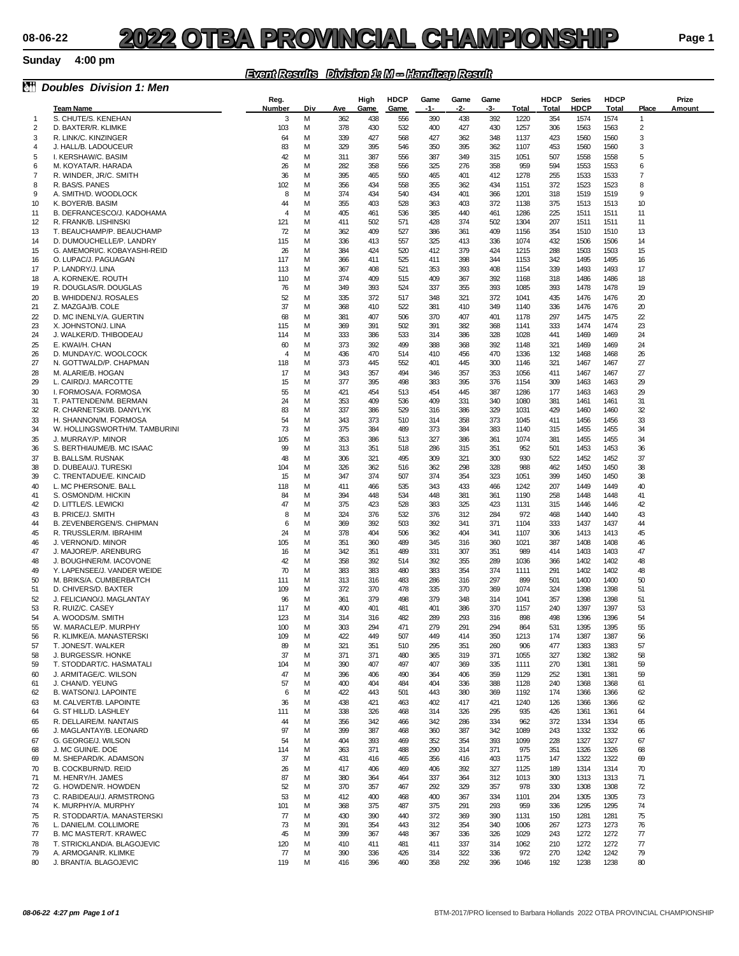### **Sunday 4:00 pm**

### *Event Results Division 1: M -- Handicap Result*

| èt                               | <b>Doubles Division 1: Men</b>                           |                |        |            |              |                     |             |             |             |              |                      |                              |                      |                                  |                 |
|----------------------------------|----------------------------------------------------------|----------------|--------|------------|--------------|---------------------|-------------|-------------|-------------|--------------|----------------------|------------------------------|----------------------|----------------------------------|-----------------|
|                                  | <b>Team Name</b>                                         | Reg.<br>Number | Div    | Ave        | High<br>Game | <b>HDCP</b><br>Game | Game<br>-1- | Game<br>-2- | Game<br>-3- | Total        | <b>HDCP</b><br>Total | <b>Series</b><br><b>HDCP</b> | <b>HDCP</b><br>Total | Place                            | Prize<br>Amount |
| $\mathbf{1}$                     | S. CHUTE/S. KENEHAN                                      | 3              | M      | 362        | 438          | 556                 | 390         | 438         | 392         | 1220         | 354                  | 1574                         | 1574                 | $\mathbf{1}$                     |                 |
| 2                                | D. BAXTER/R. KLIMKE                                      | 103            | M      | 378        | 430          | 532                 | 400         | 427         | 430         | 1257         | 306                  | 1563                         | 1563                 | 2                                |                 |
| 3                                | R. LINK/C. KINZINGER                                     | 64             | M      | 339        | 427          | 568                 | 427         | 362         | 348         | 1137         | 423                  | 1560                         | 1560                 | 3                                |                 |
| 4                                | J. HALL/B. LADOUCEUR                                     | 83             | M      | 329        | 395          | 546                 | 350         | 395         | 362         | 1107         | 453                  | 1560                         | 1560                 | 3                                |                 |
| 5                                | I. KERSHAW/C. BASIM                                      | 42             | м      | 311        | 387          | 556                 | 387         | 349         | 315         | 1051         | 507                  | 1558                         | 1558                 | 5                                |                 |
| 6                                | M. KOYATA/R. HARADA                                      | 26             | м      | 282        | 358          | 556                 | 325         | 276         | 358         | 959          | 594                  | 1553                         | 1553                 | 6<br>$\overline{7}$              |                 |
| 7<br>8                           | R. WINDER, JR/C. SMITH<br>R. BAS/S. PANES                | 36<br>102      | M<br>M | 395<br>356 | 465<br>434   | 550<br>558          | 465<br>355  | 401<br>362  | 412<br>434  | 1278<br>1151 | 255<br>372           | 1533<br>1523                 | 1533<br>1523         | 8                                |                 |
| 9                                | A. SMITH/D. WOODLOCK                                     | 8              | M      | 374        | 434          | 540                 | 434         | 401         | 366         | 1201         | 318                  | 1519                         | 1519                 | 9                                |                 |
| 10                               | K. BOYER/B. BASIM                                        | 44             | м      | 355        | 403          | 528                 | 363         | 403         | 372         | 1138         | 375                  | 1513                         | 1513                 | 10                               |                 |
| 11                               | B. DEFRANCESCO/J. KADOHAMA                               | $\overline{4}$ | M      | 405        | 461          | 536                 | 385         | 440         | 461         | 1286         | 225                  | 1511                         | 1511                 | 11                               |                 |
| 12                               | R. FRANK/B. LISHINSKI                                    | 121            | M      | 411        | 502          | 571                 | 428         | 374         | 502         | 1304         | 207                  | 1511                         | 1511                 | 11                               |                 |
| 13                               | T. BEAUCHAMP/P. BEAUCHAMP                                | 72             | M      | 362        | 409          | 527                 | 386         | 361         | 409         | 1156         | 354                  | 1510                         | 1510                 | 13                               |                 |
| 14<br>15                         | D. DUMOUCHELLE/P. LANDRY<br>G. AMEMORI/C. KOBAYASHI-REID | 115<br>26      | M<br>м | 336<br>384 | 413<br>424   | 557<br>520          | 325<br>412  | 413<br>379  | 336<br>424  | 1074<br>1215 | 432<br>288           | 1506<br>1503                 | 1506<br>1503         | 14<br>15                         |                 |
| 16                               | O. LUPAC/J. PAGUAGAN                                     | 117            | M      | 366        | 411          | 525                 | 411         | 398         | 344         | 1153         | 342                  | 1495                         | 1495                 | 16                               |                 |
| 17                               | P. LANDRY/J. LINA                                        | 113            | м      | 367        | 408          | 521                 | 353         | 393         | 408         | 1154         | 339                  | 1493                         | 1493                 | 17                               |                 |
| 18                               | A. KORNEK/E. ROUTH                                       | 110            | M      | 374        | 409          | 515                 | 409         | 367         | 392         | 1168         | 318                  | 1486                         | 1486                 | 18                               |                 |
| 19                               | R. DOUGLAS/R. DOUGLAS                                    | 76             | м      | 349        | 393          | 524                 | 337         | 355         | 393         | 1085         | 393                  | 1478                         | 1478                 | 19                               |                 |
| 20                               | <b>B. WHIDDEN/J. ROSALES</b>                             | 52             | м      | 335        | 372          | 517                 | 348         | 321         | 372         | 1041         | 435                  | 1476                         | 1476                 | 20                               |                 |
| 21<br>$\boldsymbol{\mathcal{D}}$ | Z. MAZGAJ/B. COLE<br>D. MC INENLY/A. GUERTIN             | 37<br>68       | M<br>M | 368<br>381 | 410<br>407   | 522<br>506          | 381<br>370  | 410<br>407  | 349<br>401  | 1140<br>1178 | 336<br>297           | 1476<br>1475                 | 1476<br>1475         | 20<br>$\boldsymbol{\mathcal{D}}$ |                 |
| 23                               | X. JOHNSTON/J. LINA                                      | 115            | M      | 369        | 391          | 502                 | 391         | 382         | 368         | 1141         | 333                  | 1474                         | 1474                 | 23                               |                 |
| 24                               | J. WALKER/D. THIBODEAU                                   | 114            | M      | 333        | 386          | 533                 | 314         | 386         | 328         | 1028         | 441                  | 1469                         | 1469                 | 24                               |                 |
| 25                               | E. KWAI/H. CHAN                                          | 60             | м      | 373        | 392          | 499                 | 388         | 368         | 392         | 1148         | 321                  | 1469                         | 1469                 | 24                               |                 |
| 26                               | D. MUNDAY/C. WOOLCOCK                                    | $\overline{4}$ | м      | 436        | 470          | 514                 | 410         | 456         | 470         | 1336         | 132                  | 1468                         | 1468                 | 26                               |                 |
| 27                               | N. GOTTWALD/P. CHAPMAN                                   | 118            | M      | 373        | 445          | 552                 | 401         | 445         | 300         | 1146         | 321                  | 1467                         | 1467                 | 27                               |                 |
| 28<br>29                         | M. ALARIE/B. HOGAN                                       | 17<br>15       | M<br>M | 343<br>377 | 357<br>395   | 494<br>498          | 346<br>383  | 357<br>395  | 353<br>376  | 1056<br>1154 | 411<br>309           | 1467<br>1463                 | 1467<br>1463         | 27<br>29                         |                 |
| 30                               | L. CAIRD/J. MARCOTTE<br>I. FORMOSA/A. FORMOSA            | 55             | м      | 421        | 454          | 513                 | 454         | 445         | 387         | 1286         | 177                  | 1463                         | 1463                 | 29                               |                 |
| 31                               | T. PATTENDEN/M. BERMAN                                   | 24             | м      | 353        | 409          | 536                 | 409         | 331         | 340         | 1080         | 381                  | 1461                         | 1461                 | 31                               |                 |
| 32                               | R. CHARNETSKI/B. DANYLYK                                 | 83             | M      | 337        | 386          | 529                 | 316         | 386         | 329         | 1031         | 429                  | 1460                         | 1460                 | 32                               |                 |
| 33                               | H. SHANNON/M. FORMOSA                                    | 54             | M      | 343        | 373          | 510                 | 314         | 358         | 373         | 1045         | 411                  | 1456                         | 1456                 | 33                               |                 |
| 34                               | W. HOLLINGSWORTH/M. TAMBURINI                            | 73             | M      | 375        | 384          | 489                 | 373         | 384         | 383         | 1140         | 315                  | 1455                         | 1455                 | 34                               |                 |
| 35<br>36                         | J. MURRAY/P. MINOR<br>S. BERTHIAUME/B. MC ISAAC          | 105<br>99      | м<br>м | 353<br>313 | 386<br>351   | 513<br>518          | 327<br>286  | 386         | 361<br>351  | 1074<br>952  | 381<br>501           | 1455<br>1453                 | 1455                 | 34<br>36                         |                 |
| 37                               | <b>B. BALLS/M. RUSNAK</b>                                | 48             | M      | 306        | 321          | 495                 | 309         | 315<br>321  | 300         | 930          | 522                  | 1452                         | 1453<br>1452         | 37                               |                 |
| 38                               | D. DUBEAU/J. TURESKI                                     | 104            | M      | 326        | 362          | 516                 | 362         | 298         | 328         | 988          | 462                  | 1450                         | 1450                 | 38                               |                 |
| 39                               | C. TRENTADUE/E. KINCAID                                  | 15             | м      | 347        | 374          | 507                 | 374         | 354         | 323         | 1051         | 399                  | 1450                         | 1450                 | 38                               |                 |
| 40                               | L. MC PHERSON/E. BALL                                    | 118            | м      | 411        | 466          | 535                 | 343         | 433         | 466         | 1242         | 207                  | 1449                         | 1449                 | 40                               |                 |
| 41                               | S. OSMOND/M. HICKIN                                      | 84             | M      | 394        | 448          | 534                 | 448         | 381         | 361         | 1190         | 258                  | 1448                         | 1448                 | 41                               |                 |
| 42                               | D. LITTLE/S. LEWICKI                                     | 47             | M      | 375        | 423          | 528                 | 383         | 325         | 423         | 1131         | 315                  | 1446                         | 1446                 | 42                               |                 |
| 43<br>44                         | B. PRICE/J. SMITH<br>B. ZEVENBERGEN/S. CHIPMAN           | 8<br>6         | M<br>M | 324<br>369 | 376<br>392   | 532<br>503          | 376<br>392  | 312<br>341  | 284<br>371  | 972<br>1104  | 468<br>333           | 1440<br>1437                 | 1440<br>1437         | 43<br>44                         |                 |
| 45                               | R. TRUSSLER/M. IBRAHIM                                   | 24             | M      | 378        | 404          | 506                 | 362         | 404         | 341         | 1107         | 306                  | 1413                         | 1413                 | 45                               |                 |
| 46                               | J. VERNON/D. MINOR                                       | 105            | м      | 351        | 360          | 489                 | 345         | 316         | 360         | 1021         | 387                  | 1408                         | 1408                 | 46                               |                 |
| 47                               | J. MAJORE/P. ARENBURG                                    | 16             | м      | 342        | 351          | 489                 | 331         | 307         | 351         | 989          | 414                  | 1403                         | 1403                 | 47                               |                 |
| 48                               | J. BOUGHNER/M. IACOVONE                                  | 42             | M      | 358        | 392          | 514                 | 392         | 355         | 289         | 1036         | 366                  | 1402                         | 1402                 | 48                               |                 |
| 49                               | Y. LAPENSEE/J. VANDER WEIDE                              | 70             | M      | 383        | 383          | 480                 | 383         | 354         | 374         | 1111         | 291                  | 1402                         | 1402                 | 48                               |                 |
| 50<br>51                         | M. BRIKS/A. CUMBERBATCH<br>D. CHIVERS/D. BAXTER          | 111<br>109     | м<br>м | 313<br>372 | 316<br>370   | 483<br>478          | 286<br>335  | 316<br>370  | 297<br>369  | 899<br>1074  | 501<br>324           | 1400<br>1398                 | 1400<br>1398         | 50<br>51                         |                 |
| 52                               | J. FELICIANO/J. MAGLANTAY                                | 96             | M      | 361        | 379          | 498                 | 379         | 348         | 314         | 1041         | 357                  | 1398                         | 1398                 | 51                               |                 |
| 53                               | R. RUIZ/C. CASEY                                         | 117            | M      | 400        | 401          | 481                 | 401         | 386         | 370         | 1157         | 240                  | 1397                         | 1397                 | 53                               |                 |
| 54                               | A. WOODS/M. SMITH                                        | 123            | M      | 314        | 316          | 482                 | 289         | 293         | 316         | 898          | 498                  | 1396                         | 1396                 | 54                               |                 |
| 55                               | W. MARACLE/P. MURPHY                                     | 100            | M      | 303        | 294          | 471                 | 279         | 291         | 294         | 864          | 531                  | 1395                         | 1395                 | 55                               |                 |
| 56<br>57                         | R. KLIMKE/A. MANASTERSKI<br>T. JONES/T. WALKER           | 109<br>89      | м<br>M | 422<br>321 | 449<br>351   | 507<br>510          | 449<br>295  | 414<br>351  | 350<br>260  | 1213<br>906  | 174<br>477           | 1387<br>1383                 | 1387<br>1383         | 56<br>57                         |                 |
| 58                               | J. BURGESS/R. HONKE                                      | 37             | M      | 371        | 371          | 480                 | 365         | 319         | 371         | 1055         | 327                  | 1382                         | 1382                 | 58                               |                 |
| 59                               | T. STODDART/C. HASMATALI                                 | 104            | M      | 390        | 407          | 497                 | 407         | 369         | 335         | 1111         | 270                  | 1381                         | 1381                 | 59                               |                 |
| 60                               | J. ARMITAGE/C. WILSON                                    | 47             | м      | 396        | 406          | 490                 | 364         | 406         | 359         | 1129         | 252                  | 1381                         | 1381                 | 59                               |                 |
| 61                               | J. CHAN/D. YEUNG                                         | 57             | M      | 400        | 404          | 484                 | 404         | 336         | 388         | 1128         | 240                  | 1368                         | 1368                 | 61                               |                 |
| 62                               | B. WATSON/J. LAPOINTE                                    | 6              | M      | 422        | 443          | 501                 | 443         | 380         | 369         | 1192         | 174                  | 1366                         | 1366                 | 62                               |                 |
| 63                               | M. CALVERT/B. LAPOINTE                                   | 36             | M      | 438        | 421          | 463                 | 402         | 417         | 421         | 1240         | 126                  | 1366                         | 1366                 | 62                               |                 |
| 64<br>65                         | G. ST HILL/D. LASHLEY<br>R. DELLAIRE/M. NANTAIS          | 111<br>44      | M<br>M | 338<br>356 | 326<br>342   | 468<br>466          | 314<br>342  | 326<br>286  | 295<br>334  | 935<br>962   | 426<br>372           | 1361<br>1334                 | 1361<br>1334         | 64<br>65                         |                 |
| 66                               | J. MAGLANTAY/B. LEONARD                                  | 97             | M      | 399        | 387          | 468                 | 360         | 387         | 342         | 1089         | 243                  | 1332                         | 1332                 | 66                               |                 |
| 67                               | G. GEORGE/J. WILSON                                      | 54             | M      | 404        | 393          | 469                 | 352         | 354         | 393         | 1099         | 228                  | 1327                         | 1327                 | 67                               |                 |
| 68                               | J. MC GUIN/E. DOE                                        | 114            | M      | 363        | 371          | 488                 | 290         | 314         | 371         | 975          | 351                  | 1326                         | 1326                 | 68                               |                 |
| 69                               | M. SHEPARD/K. ADAMSON                                    | 37             | M      | 431        | 416          | 465                 | 356         | 416         | 403         | 1175         | 147                  | 1322                         | 1322                 | 69                               |                 |
| 70                               | <b>B. COCKBURN/D. REID</b>                               | 26             | м      | 417        | 406          | 469                 | 406         | 392         | 327         | 1125         | 189                  | 1314                         | 1314                 | 70                               |                 |
| 71<br>72                         | M. HENRY/H. JAMES<br>G. HOWDEN/R. HOWDEN                 | 87<br>52       | м<br>м | 380<br>370 | 364<br>357   | 464<br>467          | 337<br>292  | 364<br>329  | 312<br>357  | 1013<br>978  | 300<br>330           | 1313<br>1308                 | 1313<br>1308         | 71<br>72                         |                 |
| 73                               | C. RABIDEAU/J. ARMSTRONG                                 | 53             | M      | 412        | 400          | 468                 | 400         | 367         | 334         | 1101         | 204                  | 1305                         | 1305                 | 73                               |                 |
| 74                               | K. MURPHY/A. MURPHY                                      | 101            | M      | 368        | 375          | 487                 | 375         | 291         | 293         | 959          | 336                  | 1295                         | 1295                 | 74                               |                 |
| 75                               | R. STODDART/A. MANASTERSKI                               | 77             | м      | 430        | 390          | 440                 | 372         | 369         | 390         | 1131         | 150                  | 1281                         | 1281                 | 75                               |                 |
| 76                               | L. DANIEL/M. COLLIMORE                                   | 73             | м      | 391        | 354          | 443                 | 312         | 354         | 340         | 1006         | 267                  | 1273                         | 1273                 | 76                               |                 |
| 77                               | <b>B. MC MASTER/T. KRAWEC</b>                            | 45             | м      | 399        | 367          | 448                 | 367         | 336         | 326         | 1029         | 243                  | 1272                         | 1272                 | 77                               |                 |
| 78<br>79                         | T. STRICKLAND/A. BLAGOJEVIC<br>A. ARMOGAN/R. KLIMKE      | 120<br>77      | M<br>M | 410<br>390 | 411<br>336   | 481<br>426          | 411<br>314  | 337<br>322  | 314<br>336  | 1062<br>972  | 210<br>270           | 1272<br>1242                 | 1272<br>1242         | 77<br>79                         |                 |
| 80                               | J. BRANT/A. BLAGOJEVIC                                   | 119            | м      | 416        | 396          | 460                 | 358         | 292         | 396         | 1046         | 192                  | 1238                         | 1238                 | 80                               |                 |
|                                  |                                                          |                |        |            |              |                     |             |             |             |              |                      |                              |                      |                                  |                 |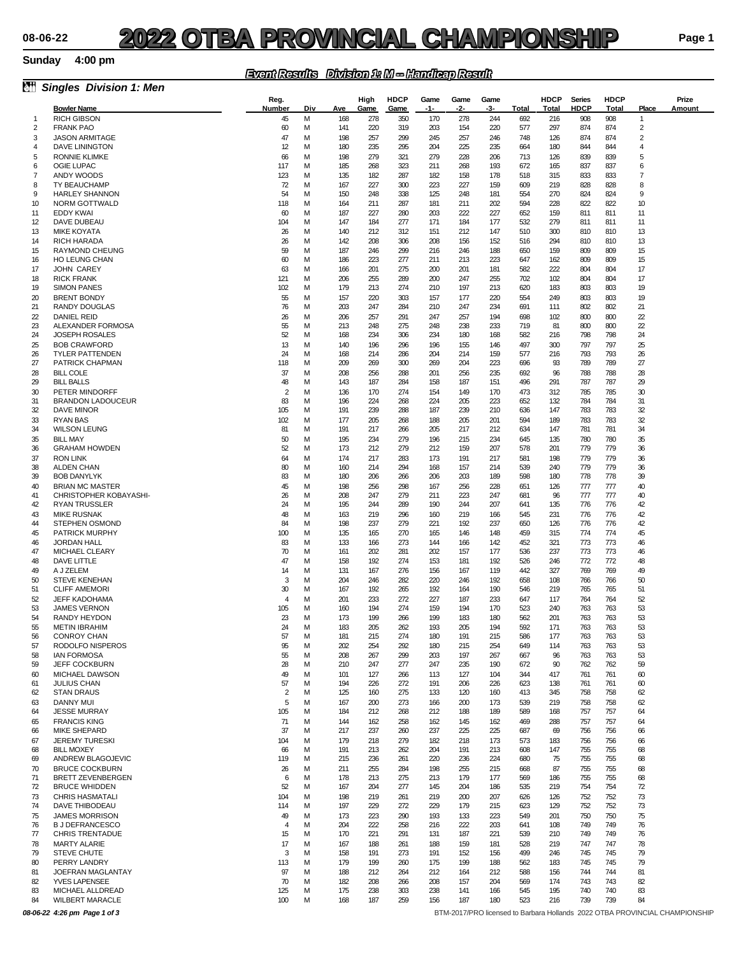#### **Sunday**

### *Event Results Division 1: M -- Handicap Result*

| òŤ           | <b>Singles Division 1: Men</b>                   |                      |        |            |              |                     |             |             |             |            |                      |                       |                      |                                              |                                                                             |
|--------------|--------------------------------------------------|----------------------|--------|------------|--------------|---------------------|-------------|-------------|-------------|------------|----------------------|-----------------------|----------------------|----------------------------------------------|-----------------------------------------------------------------------------|
|              | <b>Bowler Name</b>                               | Reg.<br>Number       | Div    | Ave        | High<br>Game | <b>HDCP</b><br>Game | Game<br>-1- | Game<br>-2- | Game<br>-3- | Total      | <b>HDCP</b><br>Total | <b>Series</b><br>HDCP | <b>HDCP</b><br>Total | Place                                        | Prize<br>Amount                                                             |
| $\mathbf{1}$ | <b>RICH GIBSON</b>                               | 45                   | M      | 168        | 278          | 350                 | 170         | 278         | 244         | 692        | 216                  | 908                   | 908                  | $\mathbf{1}$                                 |                                                                             |
| 2            | <b>FRANK PAO</b>                                 | 60                   | м      | 141        | 220          | 319                 | 203         | 154         | 220         | 577        | 297                  | 874                   | 874                  | $\overline{\mathbf{c}}$                      |                                                                             |
| 3            | <b>JASON ARMITAGE</b>                            | 47                   | м      | 198        | 257          | 299                 | 245         | 257         | 246         | 748        | 126                  | 874                   | 874                  | $\overline{\mathbf{c}}$                      |                                                                             |
| 4            | <b>DAVE LININGTON</b>                            | 12                   | м      | 180        | 235          | 295                 | 204         | 225         | 235         | 664        | 180                  | 844                   | 844                  | $\overline{4}$                               |                                                                             |
| 5<br>6       | <b>RONNIE KLIMKE</b><br>OGIE LUPAC               | 66<br>117            | M<br>M | 198<br>185 | 279<br>268   | 321<br>323          | 279<br>211  | 228<br>268  | 206<br>193  | 713<br>672 | 126<br>165           | 839<br>837            | 839<br>837           | 5<br>6                                       |                                                                             |
| 7            | ANDY WOODS                                       | 123                  | м      | 135        | 182          | 287                 | 182         | 158         | 178         | 518        | 315                  | 833                   | 833                  | 7                                            |                                                                             |
| 8            | TY BEAUCHAMP                                     | 72                   | м      | 167        | 227          | 300                 | 223         | 227         | 159         | 609        | 219                  | 828                   | 828                  | 8                                            |                                                                             |
| 9            | <b>HARLEY SHANNON</b>                            | 54                   | м      | 150        | 248          | 338                 | 125         | 248         | 181         | 554        | 270                  | 824                   | 824                  | 9                                            |                                                                             |
| 10           | <b>NORM GOTTWALD</b>                             | 118                  | M      | 164        | 211          | 287                 | 181         | 211         | 202         | 594        | 228                  | 822                   | 822                  | 10                                           |                                                                             |
| 11<br>12     | EDDY KWAI<br>DAVE DUBEAU                         | 60<br>104            | M<br>м | 187<br>147 | 227<br>184   | 280<br>277          | 203<br>171  | 222<br>184  | 227<br>177  | 652<br>532 | 159<br>279           | 811<br>811            | 811<br>811           | 11<br>11                                     |                                                                             |
| 13           | <b>MIKE KOYATA</b>                               | 26                   | м      | 140        | 212          | 312                 | 151         | 212         | 147         | 510        | 300                  | 810                   | 810                  | 13                                           |                                                                             |
| 14           | <b>RICH HARADA</b>                               | 26                   | м      | 142        | 208          | 306                 | 208         | 156         | 152         | 516        | 294                  | 810                   | 810                  | 13                                           |                                                                             |
| 15           | <b>RAYMOND CHEUNG</b>                            | 59                   | M      | 187        | 246          | 299                 | 216         | 246         | 188         | 650        | 159                  | 809                   | 809                  | 15                                           |                                                                             |
| 16<br>17     | <b>HO LEUNG CHAN</b><br>JOHN CAREY               | 60<br>63             | M<br>M | 186<br>166 | 223<br>201   | 277<br>275          | 211<br>200  | 213<br>201  | 223<br>181  | 647<br>582 | 162<br>222           | 809<br>804            | 809<br>804           | 15<br>17                                     |                                                                             |
| 18           | <b>RICK FRANK</b>                                | 121                  | M      | 206        | 255          | 289                 | 200         | 247         | 255         | 702        | 102                  | 804                   | 804                  | 17                                           |                                                                             |
| 19           | <b>SIMON PANES</b>                               | 102                  | м      | 179        | 213          | 274                 | 210         | 197         | 213         | 620        | 183                  | 803                   | 803                  | 19                                           |                                                                             |
| 20           | <b>BRENT BONDY</b>                               | 55                   | M      | 157        | 220          | 303                 | 157         | 177         | 220         | 554        | 249                  | 803                   | 803                  | 19                                           |                                                                             |
| 21           | RANDY DOUGLAS                                    | 76                   | M      | 203        | 247          | 284                 | 210         | 247         | 234         | 691        | 111                  | 802                   | 802                  | 21                                           |                                                                             |
| 22           | <b>DANIEL REID</b>                               | 26                   | м<br>м | 206<br>213 | 257          | 291                 | 247<br>248  | 257<br>238  | 194<br>233  | 698<br>719 | 102                  | 800<br>800            | 800                  | $\boldsymbol{\mathcal{Z}}$<br>$\mathfrak{D}$ |                                                                             |
| 23<br>24     | ALEXANDER FORMOSA<br><b>JOSEPH ROSALES</b>       | 55<br>52             | м      | 168        | 248<br>234   | 275<br>306          | 234         | 180         | 168         | 582        | 81<br>216            | 798                   | 800<br>798           | 24                                           |                                                                             |
| 25           | <b>BOB CRAWFORD</b>                              | 13                   | M      | 140        | 196          | 296                 | 196         | 155         | 146         | 497        | 300                  | 797                   | 797                  | 25                                           |                                                                             |
| 26           | <b>TYLER PATTENDEN</b>                           | 24                   | M      | 168        | 214          | 286                 | 204         | 214         | 159         | 577        | 216                  | 793                   | 793                  | 26                                           |                                                                             |
| 27           | PATRICK CHAPMAN                                  | 118                  | M      | 209        | 269          | 300                 | 269         | 204         | 223         | 696        | 93                   | 789                   | 789                  | 27                                           |                                                                             |
| 28           | <b>BILL COLE</b>                                 | 37                   | м<br>м | 208        | 256          | 288                 | 201         | 256         | 235         | 692        | 96                   | 788                   | 788                  | 28                                           |                                                                             |
| 29<br>30     | <b>BILL BALLS</b><br>PETER MINDORFF              | 48<br>$\overline{2}$ | M      | 143<br>136 | 187<br>170   | 284<br>274          | 158<br>154  | 187<br>149  | 151<br>170  | 496<br>473 | 291<br>312           | 787<br>785            | 787<br>785           | 29<br>30                                     |                                                                             |
| 31           | <b>BRANDON LADOUCEUR</b>                         | 83                   | M      | 196        | 224          | 268                 | 224         | 205         | 223         | 652        | 132                  | 784                   | 784                  | 31                                           |                                                                             |
| 32           | DAVE MINOR                                       | 105                  | M      | 191        | 239          | 288                 | 187         | 239         | 210         | 636        | 147                  | 783                   | 783                  | 32                                           |                                                                             |
| 33           | <b>RYAN BAS</b>                                  | 102                  | м      | 177        | 205          | 268                 | 188         | 205         | 201         | 594        | 189                  | 783                   | 783                  | 32                                           |                                                                             |
| 34<br>35     | <b>WILSON LEUNG</b><br><b>BILL MAY</b>           | 81<br>50             | м<br>M | 191<br>195 | 217<br>234   | 266<br>279          | 205<br>196  | 217<br>215  | 212<br>234  | 634<br>645 | 147<br>135           | 781<br>780            | 781<br>780           | 34<br>35                                     |                                                                             |
| 36           | <b>GRAHAM HOWDEN</b>                             | 52                   | M      | 173        | 212          | 279                 | 212         | 159         | 207         | 578        | 201                  | 779                   | 779                  | 36                                           |                                                                             |
| 37           | <b>RON LINK</b>                                  | 64                   | м      | 174        | 217          | 283                 | 173         | 191         | 217         | 581        | 198                  | 779                   | 779                  | 36                                           |                                                                             |
| 38           | <b>ALDEN CHAN</b>                                | 80                   | м      | 160        | 214          | 294                 | 168         | 157         | 214         | 539        | 240                  | 779                   | 779                  | 36                                           |                                                                             |
| 39           | <b>BOB DANYLYK</b>                               | 83                   | м      | 180        | 206          | 266                 | 206         | 203         | 189         | 598        | 180                  | 778                   | 778                  | 39                                           |                                                                             |
| 40<br>41     | <b>BRIAN MC MASTER</b><br>CHRISTOPHER KOBAYASHI- | 45<br>26             | M<br>M | 198<br>208 | 256<br>247   | 298<br>279          | 167<br>211  | 256<br>223  | 228<br>247  | 651<br>681 | 126<br>96            | 777<br>777            | 777<br>777           | 40<br>40                                     |                                                                             |
| 42           | <b>RYAN TRUSSLER</b>                             | 24                   | M      | 195        | 244          | 289                 | 190         | 244         | 207         | 641        | 135                  | 776                   | 776                  | 42                                           |                                                                             |
| 43           | <b>MIKE RUSNAK</b>                               | 48                   | м      | 163        | 219          | 296                 | 160         | 219         | 166         | 545        | 231                  | 776                   | 776                  | 42                                           |                                                                             |
| 44           | <b>STEPHEN OSMOND</b>                            | 84                   | м      | 198        | 237          | 279                 | 221         | 192         | 237         | 650        | 126                  | 776                   | 776                  | 42                                           |                                                                             |
| 45           | <b>PATRICK MURPHY</b>                            | 100                  | M      | 135        | 165          | 270                 | 165         | 146         | 148         | 459        | 315                  | 774                   | 774                  | 45                                           |                                                                             |
| 46<br>47     | JORDAN HALL<br>MICHAEL CLEARY                    | 83<br>70             | M<br>M | 133<br>161 | 166<br>202   | 273<br>281          | 144<br>202  | 166<br>157  | 142<br>177  | 452<br>536 | 321<br>237           | 773<br>773            | 773<br>773           | 46<br>46                                     |                                                                             |
| 48           | DAVE LITTLE                                      | 47                   | м      | 158        | 192          | 274                 | 153         | 181         | 192         | 526        | 246                  | 772                   | 772                  | 48                                           |                                                                             |
| 49           | A J ZELEM                                        | 14                   | м      | 131        | 167          | 276                 | 156         | 167         | 119         | 442        | 327                  | 769                   | 769                  | 49                                           |                                                                             |
| 50           | <b>STEVE KENEHAN</b>                             | 3                    | M      | 204        | 246          | 282                 | 220         | 246         | 192         | 658        | 108                  | 766                   | 766                  | 50                                           |                                                                             |
| 51<br>52     | <b>CLIFF AMEMORI</b><br><b>JEFF KADOHAMA</b>     | 30<br>$\overline{4}$ | M<br>м | 167<br>201 | 192<br>233   | 265<br>272          | 192<br>227  | 164<br>187  | 190<br>233  | 546<br>647 | 219<br>117           | 765<br>764            | 765<br>764           | 51<br>52                                     |                                                                             |
| 53           | <b>JAMES VERNON</b>                              | 105                  | м      | 160        | 194          | 274                 | 159         | 194         | 170         | 523        | 240                  | 763                   | 763                  | 53                                           |                                                                             |
| 54           | RANDY HEYDON                                     | 23                   | м      | 173        | 199          | 266                 | 199         | 183         | 180         | 562        | 201                  | 763                   | 763                  | 53                                           |                                                                             |
| 55           | <b>METIN IBRAHIM</b>                             | 24                   | M      | 183        | 205          | 262                 | 193         | 205         | 194         | 592        | 171                  | 763                   | 763                  | 53                                           |                                                                             |
| 56           | <b>CONROY CHAN</b>                               | 57                   | M      | 181        | 215          | 274                 | 180         | 191         | 215         | 586        | 177                  | 763                   | 763                  | 53                                           |                                                                             |
| 57<br>58     | RODOLFO NISPEROS<br><b>IAN FORMOSA</b>           | 95<br>55             | м<br>м | 202<br>208 | 254<br>267   | 292<br>299          | 180<br>203  | 215<br>197  | 254<br>267  | 649<br>667 | 114<br>96            | 763<br>763            | 763<br>763           | 53<br>53                                     |                                                                             |
| 59           | <b>JEFF COCKBURN</b>                             | 28                   | м      | 210        | 247          | 277                 | 247         | 235         | 190         | 672        | 90                   | 762                   | 762                  | 59                                           |                                                                             |
| 60           | MICHAEL DAWSON                                   | 49                   | M      | 101        | 127          | 266                 | 113         | 127         | 104         | 344        | 417                  | 761                   | 761                  | 60                                           |                                                                             |
| 61           | <b>JULIUS CHAN</b>                               | 57                   | м      | 194        | 226          | 272                 | 191         | 206         | 226         | 623        | 138                  | 761                   | 761                  | 60                                           |                                                                             |
| 62<br>63     | <b>STAN DRAUS</b><br>DANNY MUI                   | $\overline{2}$<br>5  | M<br>M | 125<br>167 | 160<br>200   | 275<br>273          | 133<br>166  | 120<br>200  | 160<br>173  | 413<br>539 | 345                  | 758<br>758            | 758<br>758           | 62<br>62                                     |                                                                             |
| 64           | <b>JESSE MURRAY</b>                              | 105                  | м      | 184        | 212          | 268                 | 212         | 188         | 189         | 589        | 219<br>168           | 757                   | 757                  | 64                                           |                                                                             |
| 65           | <b>FRANCIS KING</b>                              | 71                   | M      | 144        | 162          | 258                 | 162         | 145         | 162         | 469        | 288                  | 757                   | 757                  | 64                                           |                                                                             |
| 66           | <b>MIKE SHEPARD</b>                              | 37                   | M      | 217        | 237          | 260                 | 237         | 225         | 225         | 687        | 69                   | 756                   | 756                  | 66                                           |                                                                             |
| 67           | <b>JEREMY TURESKI</b>                            | 104                  | м      | 179        | 218          | 279                 | 182         | 218         | 173         | 573        | 183                  | 756                   | 756                  | 66                                           |                                                                             |
| 68<br>69     | <b>BILL MOXEY</b><br>ANDREW BLAGOJEVIC           | 66<br>119            | м<br>м | 191<br>215 | 213<br>236   | 262<br>261          | 204<br>220  | 191<br>236  | 213<br>224  | 608<br>680 | 147<br>75            | 755<br>755            | 755<br>755           | 68<br>68                                     |                                                                             |
| 70           | <b>BRUCE COCKBURN</b>                            | 26                   | M      | 211        | 255          | 284                 | 198         | 255         | 215         | 668        | 87                   | 755                   | 755                  | 68                                           |                                                                             |
| 71           | <b>BRETT ZEVENBERGEN</b>                         | 6                    | M      | 178        | 213          | 275                 | 213         | 179         | 177         | 569        | 186                  | 755                   | 755                  | 68                                           |                                                                             |
| 72           | <b>BRUCE WHIDDEN</b>                             | 52                   | M      | 167        | 204          | 277                 | 145         | 204         | 186         | 535        | 219                  | 754                   | 754                  | 72                                           |                                                                             |
| 73           | <b>CHRIS HASMATALI</b>                           | 104                  | м      | 198        | 219          | 261                 | 219         | 200         | 207         | 626        | 126                  | 752                   | 752                  | 73                                           |                                                                             |
| 74           | DAVE THIBODEAU                                   | 114                  | м      | 197        | 229          | 272                 | 229         | 179         | 215         | 623        | 129                  | 752                   | 752                  | 73                                           |                                                                             |
| 75<br>76     | <b>JAMES MORRISON</b><br><b>BJDEFRANCESCO</b>    | 49<br>$\overline{4}$ | M<br>M | 173<br>204 | 223<br>222   | 290<br>258          | 193<br>216  | 133<br>222  | 223<br>203  | 549<br>641 | 201<br>108           | 750<br>749            | 750<br>749           | 75<br>76                                     |                                                                             |
| 77           | <b>CHRIS TRENTADUE</b>                           | 15                   | м      | 170        | 221          | 291                 | 131         | 187         | 221         | 539        | 210                  | 749                   | 749                  | 76                                           |                                                                             |
| 78           | <b>MARTY ALARIE</b>                              | 17                   | M      | 167        | 188          | 261                 | 188         | 159         | 181         | 528        | 219                  | 747                   | 747                  | 78                                           |                                                                             |
| 79           | <b>STEVE CHUTE</b>                               | 3                    | м      | 158        | 191          | 273                 | 191         | 152         | 156         | 499        | 246                  | 745                   | 745                  | 79                                           |                                                                             |
| 80           | PERRY LANDRY                                     | 113                  | M      | 179        | 199          | 260                 | 175         | 199         | 188         | 562        | 183                  | 745<br>744            | 745                  | 79                                           |                                                                             |
| 81<br>82     | JOEFRAN MAGLANTAY<br><b>YVES LAPENSEE</b>        | 97<br>70             | M<br>м | 188<br>182 | 212<br>208   | 264<br>266          | 212<br>208  | 164<br>157  | 212<br>204  | 588<br>569 | 156<br>174           | 743                   | 744<br>743           | 81<br>82                                     |                                                                             |
| 83           | MICHAEL ALLDREAD                                 | 125                  | м      | 175        | 238          | 303                 | 238         | 141         | 166         | 545        | 195                  | 740                   | 740                  | 83                                           |                                                                             |
| 84           | <b>WILBERT MARACLE</b>                           | 100                  | м      | 168        | 187          | 259                 | 156         | 187         | 180         | 523        | 216                  | 739                   | 739                  | 84                                           |                                                                             |
|              | 08-06-22 4:26 pm Page 1 of 3                     |                      |        |            |              |                     |             |             |             |            |                      |                       |                      |                                              | BTM-2017/PRO licensed to Barbara Hollands 2022 OTBA PROVINCIAL CHAMPIONSHIP |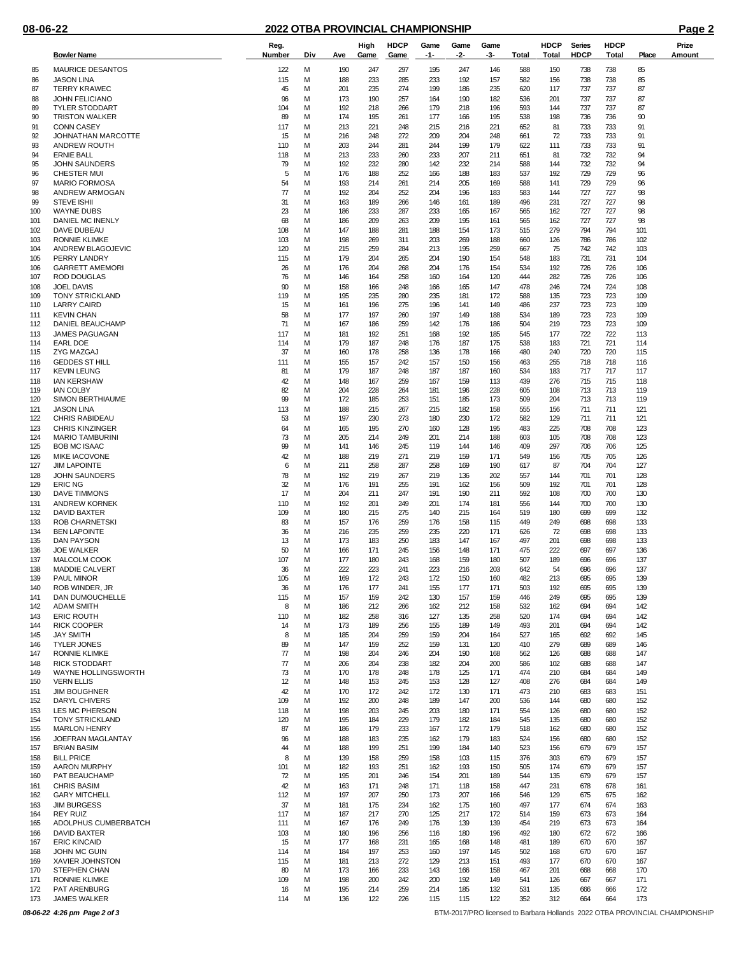|            | <b>Bowler Name</b>                             | Reg.<br>Number           | Div    | Ave        | High<br>Game | <b>HDCP</b><br>Game | Game<br>-1- | Game<br>-2- | Game<br>-3- | Total      | <b>HDCP</b><br>Total | <b>Series</b><br><b>HDCP</b> | <b>HDCP</b><br><b>Total</b> | Place      | Prize<br>Amount |
|------------|------------------------------------------------|--------------------------|--------|------------|--------------|---------------------|-------------|-------------|-------------|------------|----------------------|------------------------------|-----------------------------|------------|-----------------|
| 85         | <b>MAURICE DESANTOS</b>                        | 122                      | м      | 190        | 247          | 297                 | 195         | 247         | 146         | 588        | 150                  | 738                          | 738                         | 85         |                 |
| 86         | <b>JASON LINA</b>                              | 115                      | М      | 188        | 233          | 285                 | 233         | 192         | 157         | 582        | 156                  | 738                          | 738                         | 85         |                 |
| 87         | <b>TERRY KRAWEC</b>                            | 45                       | М      | 201        | 235          | 274                 | 199         | 186         | 235         | 620        | 117                  | 737                          | 737                         | 87         |                 |
| 88<br>89   | <b>JOHN FELICIANO</b><br><b>TYLER STODDART</b> | 96<br>104                | М<br>М | 173<br>192 | 190<br>218   | 257<br>266          | 164<br>179  | 190<br>218  | 182<br>196  | 536<br>593 | 201<br>144           | 737<br>737                   | 737<br>737                  | 87<br>87   |                 |
| 90         | <b>TRISTON WALKER</b>                          | 89                       | М      | 174        | 195          | 261                 | 177         | 166         | 195         | 538        | 198                  | 736                          | 736                         | 90         |                 |
| 91         | <b>CONN CASEY</b>                              | 117                      | М      | 213        | 221          | 248                 | 215         | 216         | 221         | 652        | 81                   | 733                          | 733                         | 91         |                 |
| 92<br>93   | JOHNATHAN MARCOTTE<br>ANDREW ROUTH             | 15<br>110                | М<br>М | 216<br>203 | 248<br>244   | 272<br>281          | 209<br>244  | 204<br>199  | 248<br>179  | 661<br>622 | 72<br>111            | 733<br>733                   | 733<br>733                  | 91<br>91   |                 |
| 94         | <b>ERNIE BALL</b>                              | 118                      | М      | 213        | 233          | 260                 | 233         | 207         | 211         | 651        | 81                   | 732                          | 732                         | 94         |                 |
| 95         | <b>JOHN SAUNDERS</b>                           | 79                       | М      | 192        | 232          | 280                 | 142         | 232         | 214         | 588        | 144                  | 732                          | 732                         | 94         |                 |
| 96         | <b>CHESTER MUI</b>                             | 5                        | М      | 176        | 188          | 252                 | 166         | 188         | 183         | 537        | 192                  | 729                          | 729                         | 96         |                 |
| 97<br>98   | <b>MARIO FORMOSA</b><br>ANDREW ARMOGAN         | 54<br>77                 | М<br>М | 193<br>192 | 214<br>204   | 261<br>252          | 214<br>204  | 205<br>196  | 169<br>183  | 588<br>583 | 141<br>144           | 729<br>727                   | 729<br>727                  | 96<br>98   |                 |
| 99         | <b>STEVE ISHII</b>                             | 31                       | М      | 163        | 189          | 266                 | 146         | 161         | 189         | 496        | 231                  | 727                          | 727                         | 98         |                 |
| 100        | <b>WAYNE DUBS</b>                              | 23                       | М      | 186        | 233          | 287                 | 233         | 165         | 167         | 565        | 162                  | 727                          | 727                         | 98         |                 |
| 101<br>102 | DANIEL MC INENLY<br>DAVE DUBEAU                | 68<br>108                | М<br>М | 186<br>147 | 209<br>188   | 263<br>281          | 209<br>188  | 195<br>154  | 161<br>173  | 565<br>515 | 162<br>279           | 727<br>794                   | 727<br>794                  | 98<br>101  |                 |
| 103        | RONNIE KLIMKE                                  | 103                      | М      | 198        | 269          | 311                 | 203         | 269         | 188         | 660        | 126                  | 786                          | 786                         | 102        |                 |
| 104        | ANDREW BLAGOJEVIC                              | 120                      | М      | 215        | 259          | 284                 | 213         | 195         | 259         | 667        | 75                   | 742                          | 742                         | 103        |                 |
| 105        | PERRY LANDRY                                   | 115                      | М      | 179        | 204          | 265                 | 204         | 190         | 154         | 548        | 183                  | 731                          | 731                         | 104        |                 |
| 106<br>107 | <b>GARRETT AMEMORI</b><br>ROD DOUGLAS          | 26<br>76                 | М<br>М | 176<br>146 | 204<br>164   | 268<br>258          | 204<br>160  | 176<br>164  | 154<br>120  | 534<br>444 | 192<br>282           | 726<br>726                   | 726<br>726                  | 106<br>106 |                 |
| 108        | <b>JOEL DAVIS</b>                              | 90                       | М      | 158        | 166          | 248                 | 166         | 165         | 147         | 478        | 246                  | 724                          | 724                         | 108        |                 |
| 109        | <b>TONY STRICKLAND</b>                         | 119                      | М      | 195        | 235          | 280                 | 235         | 181         | 172         | 588        | 135                  | 723                          | 723                         | 109        |                 |
| 110<br>111 | <b>LARRY CAIRD</b><br><b>KEVIN CHAN</b>        | 15<br>58                 | М<br>М | 161<br>177 | 196<br>197   | 275<br>260          | 196<br>197  | 141<br>149  | 149<br>188  | 486<br>534 | 237<br>189           | 723<br>723                   | 723<br>723                  | 109<br>109 |                 |
| 112        | DANIEL BEAUCHAMP                               | 71                       | М      | 167        | 186          | 259                 | 142         | 176         | 186         | 504        | 219                  | 723                          | 723                         | 109        |                 |
| 113        | <b>JAMES PAGUAGAN</b>                          | 117                      | М      | 181        | 192          | 251                 | 168         | 192         | 185         | 545        | 177                  | 722                          | 722                         | 113        |                 |
| 114        | EARL DOE                                       | 114                      | м      | 179        | 187          | 248                 | 176         | 187         | 175         | 538        | 183                  | 721                          | 721                         | 114        |                 |
| 115<br>116 | ZYG MAZGAJ<br><b>GEDDES ST HILL</b>            | 37<br>111                | М<br>М | 160<br>155 | 178<br>157   | 258<br>242          | 136<br>157  | 178<br>150  | 166<br>156  | 480<br>463 | 240<br>255           | 720<br>718                   | 720<br>718                  | 115<br>116 |                 |
| 117        | <b>KEVIN LEUNG</b>                             | 81                       | М      | 179        | 187          | 248                 | 187         | 187         | 160         | 534        | 183                  | 717                          | 717                         | 117        |                 |
| 118        | <b>IAN KERSHAW</b>                             | 42                       | М      | 148        | 167          | 259                 | 167         | 159         | 113         | 439        | 276                  | 715                          | 715                         | 118        |                 |
| 119<br>120 | <b>IAN COLBY</b><br><b>SIMON BERTHIAUME</b>    | 82<br>99                 | М<br>М | 204<br>172 | 228<br>185   | 264<br>253          | 181<br>151  | 196<br>185  | 228<br>173  | 605<br>509 | 108<br>204           | 713<br>713                   | 713<br>713                  | 119<br>119 |                 |
| 121        | <b>JASON LINA</b>                              | 113                      | М      | 188        | 215          | 267                 | 215         | 182         | 158         | 555        | 156                  | 711                          | 711                         | 121        |                 |
| 122        | <b>CHRIS RABIDEAU</b>                          | 53                       | М      | 197        | 230          | 273                 | 180         | 230         | 172         | 582        | 129                  | 711                          | 711                         | 121        |                 |
| 123        | <b>CHRIS KINZINGER</b>                         | 64                       | М      | 165        | 195          | 270                 | 160         | 128         | 195         | 483        | 225                  | 708                          | 708                         | 123        |                 |
| 124<br>125 | <b>MARIO TAMBURINI</b><br><b>BOB MC ISAAC</b>  | 73<br>99                 | М<br>М | 205<br>141 | 214<br>146   | 249<br>245          | 201<br>119  | 214<br>144  | 188<br>146  | 603<br>409 | 105<br>297           | 708<br>706                   | 708<br>706                  | 123<br>125 |                 |
| 126        | <b>MIKE IACOVONE</b>                           | 42                       | м      | 188        | 219          | 271                 | 219         | 159         | 171         | 549        | 156                  | 705                          | 705                         | 126        |                 |
| 127        | <b>JIM LAPOINTE</b>                            | 6                        | М      | 211        | 258          | 287                 | 258         | 169         | 190         | 617        | 87                   | 704                          | 704                         | 127        |                 |
| 128<br>129 | <b>JOHN SAUNDERS</b><br><b>ERIC NG</b>         | 78<br>32                 | М<br>М | 192<br>176 | 219<br>191   | 267<br>255          | 219<br>191  | 136<br>162  | 202<br>156  | 557<br>509 | 144<br>192           | 701<br>701                   | 701<br>701                  | 128<br>128 |                 |
| 130        | DAVE TIMMONS                                   | 17                       | М      | 204        | 211          | 247                 | 191         | 190         | 211         | 592        | 108                  | 700                          | 700                         | 130        |                 |
| 131        | <b>ANDREW KORNEK</b>                           | 110                      | М      | 192        | 201          | 249                 | 201         | 174         | 181         | 556        | 144                  | 700                          | 700                         | 130        |                 |
| 132        | DAVID BAXTER                                   | 109                      | М      | 180        | 215          | 275                 | 140         | 215         | 164         | 519        | 180                  | 699                          | 699                         | 132        |                 |
| 133<br>134 | <b>ROB CHARNETSKI</b><br><b>BEN LAPOINTE</b>   | 83<br>36                 | М<br>М | 157<br>216 | 176<br>235   | 259<br>259          | 176<br>235  | 158<br>220  | 115<br>171  | 449<br>626 | 249<br>72            | 698<br>698                   | 698<br>698                  | 133<br>133 |                 |
| 135        | DAN PAYSON                                     | 13                       | М      | 173        | 183          | 250                 | 183         | 147         | 167         | 497        | 201                  | 698                          | 698                         | 133        |                 |
| 136        | <b>JOE WALKER</b>                              | 50                       | М      | 166        | 171          | 245                 | 156         | 148         | 171         | 475        | 222                  | 697                          | 697                         | 136        |                 |
| 137<br>138 | MALCOLM COOK<br><b>MADDIE CALVERT</b>          | 107<br>36                | М<br>М | 177<br>222 | 180<br>223   | 243<br>241          | 168<br>223  | 159<br>216  | 180<br>203  | 507<br>642 | 189<br>54            | 696<br>696                   | 696<br>696                  | 137<br>137 |                 |
| 139        | PAUL MINOR                                     | 105                      | М      | 169        | 172          | 243                 | 172         | 150         | 160         | 482        | 213                  | 695                          | 695                         | 139        |                 |
| 140        | ROB WINDER. JR                                 | 36                       | М      | 176        | 177          | 241                 | 155         | 177         | 171         | 503        | 192                  | 695                          | 695                         | 139        |                 |
| 141<br>142 | <b>DAN DUMOUCHELLE</b><br><b>ADAM SMITH</b>    | 115<br>8                 | M<br>M | 157<br>186 | 159<br>212   | 242<br>266          | 130<br>162  | 157<br>212  | 159<br>158  | 446<br>532 | 249<br>162           | 695<br>694                   | 695<br>694                  | 139<br>142 |                 |
| 143        | <b>ERIC ROUTH</b>                              | 110                      | М      | 182        | 258          | 316                 | 127         | 135         | 258         | 520        | 174                  | 694                          | 694                         | 142        |                 |
| 144        | <b>RICK COOPER</b>                             | 14                       | м      | 173        | 189          | 256                 | 155         | 189         | 149         | 493        | 201                  | 694                          | 694                         | 142        |                 |
| 145        | <b>JAY SMITH</b>                               | 8                        | М      | 185        | 204          | 259                 | 159         | 204         | 164         | 527        | 165                  | 692                          | 692                         | 145        |                 |
| 146<br>147 | <b>TYLER JONES</b><br>RONNIE KLIMKE            | 89<br>77                 | М<br>М | 147<br>198 | 159<br>204   | 252<br>246          | 159<br>204  | 131<br>190  | 120<br>168  | 410<br>562 | 279<br>126           | 689<br>688                   | 689<br>688                  | 146<br>147 |                 |
| 148        | <b>RICK STODDART</b>                           | $\overline{\mathcal{U}}$ | М      | 206        | 204          | 238                 | 182         | 204         | 200         | 586        | 102                  | 688                          | 688                         | 147        |                 |
| 149        | <b>WAYNE HOLLINGSWORTH</b>                     | 73                       | М      | 170        | 178          | 248                 | 178         | 125         | 171         | 474        | 210                  | 684                          | 684                         | 149        |                 |
| 150<br>151 | <b>VERN ELLIS</b><br><b>JIM BOUGHNER</b>       | 12<br>42                 | М<br>М | 148<br>170 | 153<br>172   | 245<br>242          | 153<br>172  | 128<br>130  | 127<br>171  | 408<br>473 | 276<br>210           | 684<br>683                   | 684<br>683                  | 149<br>151 |                 |
| 152        | DARYL CHIVERS                                  | 109                      | М      | 192        | 200          | 248                 | 189         | 147         | 200         | 536        | 144                  | 680                          | 680                         | 152        |                 |
| 153        | LES MC PHERSON                                 | 118                      | М      | 198        | 203          | 245                 | 203         | 180         | 171         | 554        | 126                  | 680                          | 680                         | 152        |                 |
| 154        | <b>TONY STRICKLAND</b>                         | 120                      | М      | 195        | 184          | 229                 | 179         | 182         | 184         | 545        | 135                  | 680                          | 680                         | 152        |                 |
| 155<br>156 | <b>MARLON HENRY</b><br>JOEFRAN MAGLANTAY       | 87<br>96                 | М<br>М | 186<br>188 | 179<br>183   | 233<br>235          | 167<br>162  | 172<br>179  | 179<br>183  | 518<br>524 | 162<br>156           | 680<br>680                   | 680<br>680                  | 152<br>152 |                 |
| 157        | <b>BRIAN BASIM</b>                             | 44                       | М      | 188        | 199          | 251                 | 199         | 184         | 140         | 523        | 156                  | 679                          | 679                         | 157        |                 |
| 158        | <b>BILL PRICE</b>                              | 8                        | М      | 139        | 158          | 259                 | 158         | 103         | 115         | 376        | 303                  | 679                          | 679                         | 157        |                 |
| 159<br>160 | AARON MURPHY<br>PAT BEAUCHAMP                  | 101<br>72                | М<br>М | 182<br>195 | 193<br>201   | 251<br>246          | 162<br>154  | 193<br>201  | 150<br>189  | 505<br>544 | 174<br>135           | 679<br>679                   | 679<br>679                  | 157<br>157 |                 |
| 161        | <b>CHRIS BASIM</b>                             | 42                       | М      | 163        | 171          | 248                 | 171         | 118         | 158         | 447        | 231                  | 678                          | 678                         | 161        |                 |
| 162        | <b>GARY MITCHELL</b>                           | 112                      | М      | 197        | 207          | 250                 | 173         | 207         | 166         | 546        | 129                  | 675                          | 675                         | 162        |                 |
| 163        | <b>JIM BURGESS</b>                             | 37                       | М      | 181        | 175          | 234                 | 162         | 175         | 160         | 497        | 177                  | 674                          | 674                         | 163        |                 |
| 164<br>165 | <b>REY RUIZ</b><br>ADOLPHUS CUMBERBATCH        | 117<br>111               | М<br>М | 187<br>167 | 217<br>176   | 270<br>249          | 125<br>176  | 217<br>139  | 172<br>139  | 514<br>454 | 159<br>219           | 673<br>673                   | 673<br>673                  | 164<br>164 |                 |
| 166        | DAVID BAXTER                                   | 103                      | М      | 180        | 196          | 256                 | 116         | 180         | 196         | 492        | 180                  | 672                          | 672                         | 166        |                 |
| 167        | <b>ERIC KINCAID</b>                            | 15                       | М      | 177        | 168          | 231                 | 165         | 168         | 148         | 481        | 189                  | 670                          | 670                         | 167        |                 |
| 168        | JOHN MC GUIN                                   | 114                      | М      | 184        | 197          | 253                 | 160         | 197         | 145         | 502        | 168                  | 670                          | 670                         | 167        |                 |
| 169<br>170 | <b>XAVIER JOHNSTON</b><br><b>STEPHEN CHAN</b>  | 115<br>80                | м<br>М | 181<br>173 | 213<br>166   | 272<br>233          | 129<br>143  | 213<br>166  | 151<br>158  | 493<br>467 | 177<br>201           | 670<br>668                   | 670<br>668                  | 167<br>170 |                 |
| 171        | RONNIE KLIMKE                                  | 109                      | М      | 198        | 200          | 242                 | 200         | 192         | 149         | 541        | 126                  | 667                          | 667                         | 171        |                 |
| 172        | PAT ARENBURG                                   | 16                       | М      | 195        | 214          | 259                 | 214         | 185         | 132         | 531        | 135                  | 666                          | 666                         | 172        |                 |
| 173        | <b>JAMES WALKER</b>                            | 114                      | М      | 136        | 122          | 226                 | 115         | 115         | 122         | 352        | 312                  | 664                          | 664                         | 173        |                 |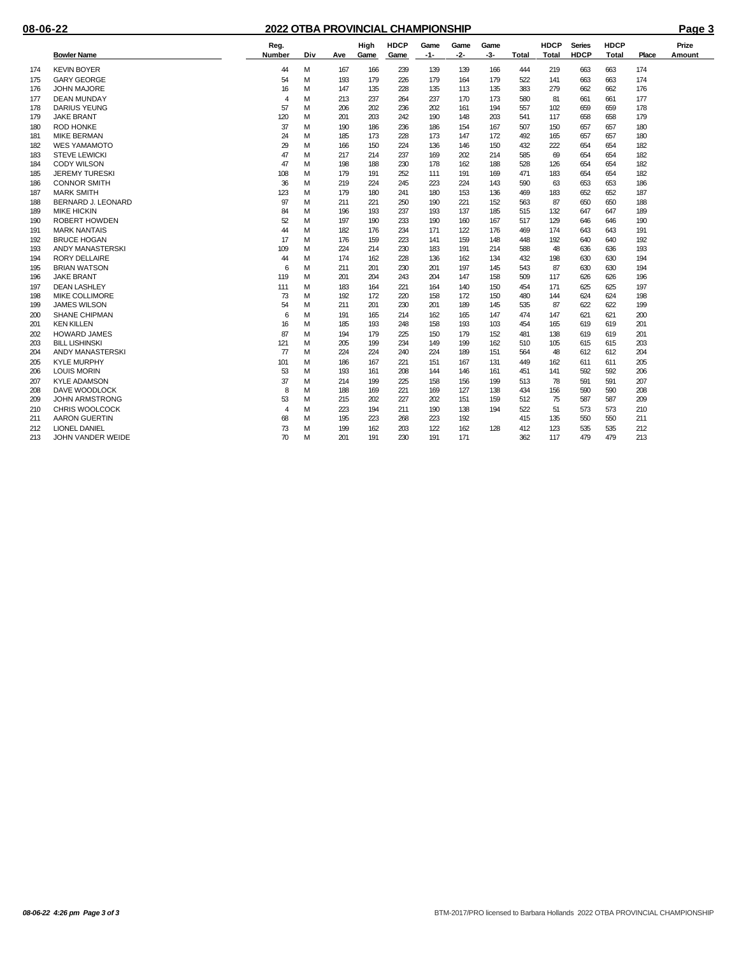|     |                         | Reg.           |     |     | High | <b>HDCP</b> | Game  | Game | Game |       | <b>HDCP</b>  | <b>Series</b> | <b>HDCP</b>  |       | Prize  |
|-----|-------------------------|----------------|-----|-----|------|-------------|-------|------|------|-------|--------------|---------------|--------------|-------|--------|
|     | <b>Bowler Name</b>      | Number         | Div | Ave | Game | Game        | $-1-$ | -2-  | -3-  | Total | <b>Total</b> | HDCP          | <b>Total</b> | Place | Amount |
| 174 | <b>KEVIN BOYER</b>      | 44             | м   | 167 | 166  | 239         | 139   | 139  | 166  | 444   | 219          | 663           | 663          | 174   |        |
| 175 | <b>GARY GEORGE</b>      | 54             | M   | 193 | 179  | 226         | 179   | 164  | 179  | 522   | 141          | 663           | 663          | 174   |        |
| 176 | <b>JOHN MAJORE</b>      | 16             | M   | 147 | 135  | 228         | 135   | 113  | 135  | 383   | 279          | 662           | 662          | 176   |        |
| 177 | <b>DEAN MUNDAY</b>      | 4              | M   | 213 | 237  | 264         | 237   | 170  | 173  | 580   | 81           | 661           | 661          | 177   |        |
| 178 | <b>DARIUS YEUNG</b>     | 57             | м   | 206 | 202  | 236         | 202   | 161  | 194  | 557   | 102          | 659           | 659          | 178   |        |
| 179 | <b>JAKE BRANT</b>       | 120            | M   | 201 | 203  | 242         | 190   | 148  | 203  | 541   | 117          | 658           | 658          | 179   |        |
| 180 | <b>ROD HONKE</b>        | 37             | M   | 190 | 186  | 236         | 186   | 154  | 167  | 507   | 150          | 657           | 657          | 180   |        |
| 181 | <b>MIKE BERMAN</b>      | 24             | M   | 185 | 173  | 228         | 173   | 147  | 172  | 492   | 165          | 657           | 657          | 180   |        |
| 182 | <b>WES YAMAMOTO</b>     | 29             | M   | 166 | 150  | 224         | 136   | 146  | 150  | 432   | 222          | 654           | 654          | 182   |        |
| 183 | <b>STEVE LEWICKI</b>    | 47             | M   | 217 | 214  | 237         | 169   | 202  | 214  | 585   | 69           | 654           | 654          | 182   |        |
| 184 | <b>CODY WILSON</b>      | 47             | м   | 198 | 188  | 230         | 178   | 162  | 188  | 528   | 126          | 654           | 654          | 182   |        |
| 185 | <b>JEREMY TURESKI</b>   | 108            | м   | 179 | 191  | 252         | 111   | 191  | 169  | 471   | 183          | 654           | 654          | 182   |        |
| 186 | <b>CONNOR SMITH</b>     | 36             | M   | 219 | 224  | 245         | 223   | 224  | 143  | 590   | 63           | 653           | 653          | 186   |        |
| 187 | <b>MARK SMITH</b>       | 123            | M   | 179 | 180  | 241         | 180   | 153  | 136  | 469   | 183          | 652           | 652          | 187   |        |
| 188 | BERNARD J. LEONARD      | 97             | м   | 211 | 221  | 250         | 190   | 221  | 152  | 563   | 87           | 650           | 650          | 188   |        |
| 189 | <b>MIKE HICKIN</b>      | 84             | M   | 196 | 193  | 237         | 193   | 137  | 185  | 515   | 132          | 647           | 647          | 189   |        |
| 190 | <b>ROBERT HOWDEN</b>    | 52             | м   | 197 | 190  | 233         | 190   | 160  | 167  | 517   | 129          | 646           | 646          | 190   |        |
| 191 | <b>MARK NANTAIS</b>     | 44             | м   | 182 | 176  | 234         | 171   | 122  | 176  | 469   | 174          | 643           | 643          | 191   |        |
| 192 | <b>BRUCE HOGAN</b>      | 17             | M   | 176 | 159  | 223         | 141   | 159  | 148  | 448   | 192          | 640           | 640          | 192   |        |
| 193 | <b>ANDY MANASTERSKI</b> | 109            | M   | 224 | 214  | 230         | 183   | 191  | 214  | 588   | 48           | 636           | 636          | 193   |        |
| 194 | <b>RORY DELLAIRE</b>    | 44             | м   | 174 | 162  | 228         | 136   | 162  | 134  | 432   | 198          | 630           | 630          | 194   |        |
| 195 | <b>BRIAN WATSON</b>     | 6              | м   | 211 | 201  | 230         | 201   | 197  | 145  | 543   | 87           | 630           | 630          | 194   |        |
| 196 | <b>JAKE BRANT</b>       | 119            | M   | 201 | 204  | 243         | 204   | 147  | 158  | 509   | 117          | 626           | 626          | 196   |        |
| 197 | <b>DEAN LASHLEY</b>     | 111            | м   | 183 | 164  | 221         | 164   | 140  | 150  | 454   | 171          | 625           | 625          | 197   |        |
| 198 | <b>MIKE COLLIMORE</b>   | 73             | M   | 192 | 172  | 220         | 158   | 172  | 150  | 480   | 144          | 624           | 624          | 198   |        |
| 199 | <b>JAMES WILSON</b>     | 54             | м   | 211 | 201  | 230         | 201   | 189  | 145  | 535   | 87           | 622           | 622          | 199   |        |
| 200 | <b>SHANE CHIPMAN</b>    | 6              | M   | 191 | 165  | 214         | 162   | 165  | 147  | 474   | 147          | 621           | 621          | 200   |        |
| 201 | <b>KEN KILLEN</b>       | 16             | M   | 185 | 193  | 248         | 158   | 193  | 103  | 454   | 165          | 619           | 619          | 201   |        |
| 202 | <b>HOWARD JAMES</b>     | 87             | м   | 194 | 179  | 225         | 150   | 179  | 152  | 481   | 138          | 619           | 619          | 201   |        |
| 203 | <b>BILL LISHINSKI</b>   | 121            | M   | 205 | 199  | 234         | 149   | 199  | 162  | 510   | 105          | 615           | 615          | 203   |        |
| 204 | <b>ANDY MANASTERSKI</b> | $\overline{7}$ | M   | 224 | 224  | 240         | 224   | 189  | 151  | 564   | 48           | 612           | 612          | 204   |        |
| 205 | <b>KYLE MURPHY</b>      | 101            | м   | 186 | 167  | 221         | 151   | 167  | 131  | 449   | 162          | 611           | 611          | 205   |        |
| 206 | <b>LOUIS MORIN</b>      | 53             | M   | 193 | 161  | 208         | 144   | 146  | 161  | 451   | 141          | 592           | 592          | 206   |        |
| 207 | <b>KYLE ADAMSON</b>     | 37             | M   | 214 | 199  | 225         | 158   | 156  | 199  | 513   | 78           | 591           | 591          | 207   |        |
| 208 | DAVE WOODLOCK           | 8              | м   | 188 | 169  | 221         | 169   | 127  | 138  | 434   | 156          | 590           | 590          | 208   |        |
| 209 | <b>JOHN ARMSTRONG</b>   | 53             | M   | 215 | 202  | 227         | 202   | 151  | 159  | 512   | 75           | 587           | 587          | 209   |        |
| 210 | <b>CHRIS WOOLCOCK</b>   | $\overline{4}$ | M   | 223 | 194  | 211         | 190   | 138  | 194  | 522   | 51           | 573           | 573          | 210   |        |
| 211 | AARON GUERTIN           | 68             | M   | 195 | 223  | 268         | 223   | 192  |      | 415   | 135          | 550           | 550          | 211   |        |
| 212 | <b>LIONEL DANIEL</b>    | 73             | M   | 199 | 162  | 203         | 122   | 162  | 128  | 412   | 123          | 535           | 535          | 212   |        |
| 213 | JOHN VANDER WEIDE       | 70             | M   | 201 | 191  | 230         | 191   | 171  |      | 362   | 117          | 479           | 479          | 213   |        |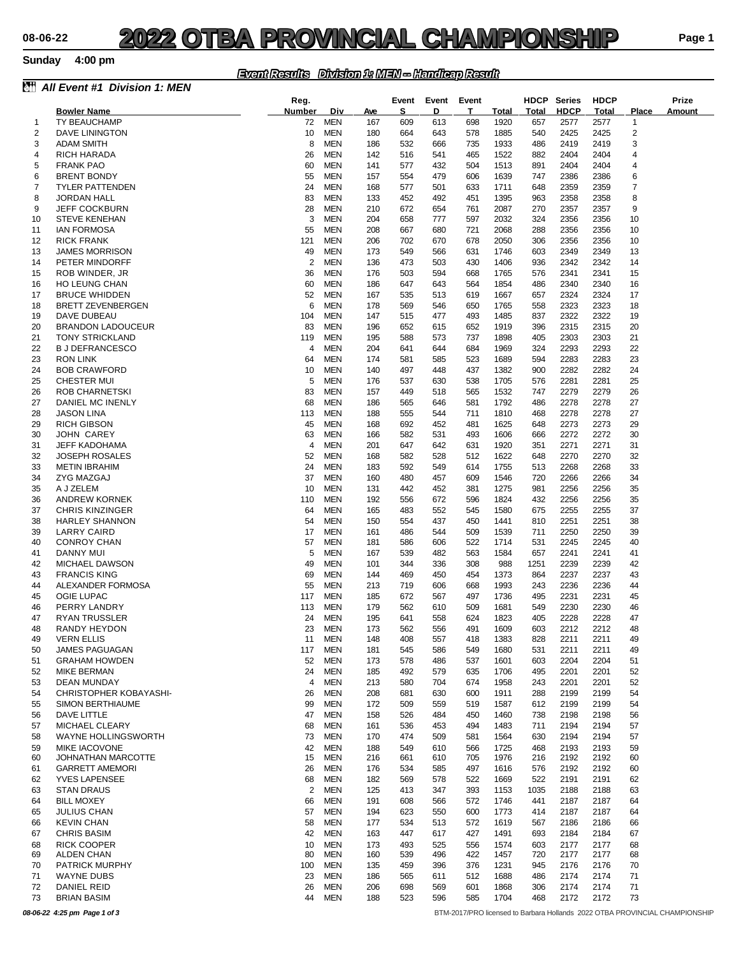### *Event Results Division 1: MEN -- Handicap Result*

| ê.       | All Event #1 Division 1: MEN               |                     |                          |                   |            |            |            |                      |                     |                     |                      |                       |                                                                             |
|----------|--------------------------------------------|---------------------|--------------------------|-------------------|------------|------------|------------|----------------------|---------------------|---------------------|----------------------|-----------------------|-----------------------------------------------------------------------------|
|          |                                            | Reg.                |                          |                   | Event      | Event      | Event      |                      | <b>HDCP</b>         | <b>Series</b>       | <b>HDCP</b>          |                       | Prize                                                                       |
|          | <b>Bowler Name</b><br><b>TY BEAUCHAMP</b>  | <b>Number</b><br>72 | <b>Div</b><br><b>MEN</b> | <b>Ave</b><br>167 | s<br>609   | D<br>613   | т<br>698   | <b>Total</b><br>1920 | <b>Total</b><br>657 | <b>HDCP</b><br>2577 | <b>Total</b><br>2577 | Place<br>$\mathbf{1}$ | Amount                                                                      |
| -1<br>2  | DAVE LININGTON                             | 10                  | <b>MEN</b>               | 180               | 664        | 643        | 578        | 1885                 | 540                 | 2425                | 2425                 | $\overline{2}$        |                                                                             |
| 3        | <b>ADAM SMITH</b>                          | 8                   | <b>MEN</b>               | 186               | 532        | 666        | 735        | 1933                 | 486                 | 2419                | 2419                 | 3                     |                                                                             |
| 4        | RICH HARADA                                | 26                  | <b>MEN</b>               | 142               | 516        | 541        | 465        | 1522                 | 882                 | 2404                | 2404                 | 4                     |                                                                             |
| 5        | <b>FRANK PAO</b>                           | 60                  | <b>MEN</b>               | 141               | 577        | 432        | 504        | 1513                 | 891                 | 2404                | 2404                 | 4                     |                                                                             |
| 6        | <b>BRENT BONDY</b>                         | 55                  | <b>MEN</b>               | 157               | 554        | 479        | 606        | 1639                 | 747                 | 2386                | 2386                 | 6                     |                                                                             |
| 7        | <b>TYLER PATTENDEN</b>                     | 24                  | <b>MEN</b>               | 168               | 577        | 501        | 633        | 1711                 | 648                 | 2359                | 2359                 | 7                     |                                                                             |
| 8        | <b>JORDAN HALL</b>                         | 83                  | <b>MEN</b>               | 133               | 452        | 492        | 451        | 1395                 | 963                 | 2358                | 2358                 | 8                     |                                                                             |
| 9        | <b>JEFF COCKBURN</b>                       | 28                  | <b>MEN</b>               | 210               | 672        | 654        | 761        | 2087                 | 270                 | 2357                | 2357                 | 9                     |                                                                             |
| 10       | <b>STEVE KENEHAN</b><br><b>IAN FORMOSA</b> | 3<br>55             | <b>MEN</b><br><b>MEN</b> | 204               | 658        | 777        | 597        | 2032<br>2068         | 324                 | 2356<br>2356        | 2356<br>2356         | 10<br>10              |                                                                             |
| 11<br>12 | <b>RICK FRANK</b>                          | 121                 | <b>MEN</b>               | 208<br>206        | 667<br>702 | 680<br>670 | 721<br>678 | 2050                 | 288<br>306          | 2356                | 2356                 | 10                    |                                                                             |
| 13       | <b>JAMES MORRISON</b>                      | 49                  | <b>MEN</b>               | 173               | 549        | 566        | 631        | 1746                 | 603                 | 2349                | 2349                 | 13                    |                                                                             |
| 14       | PETER MINDORFF                             | 2                   | <b>MEN</b>               | 136               | 473        | 503        | 430        | 1406                 | 936                 | 2342                | 2342                 | 14                    |                                                                             |
| 15       | ROB WINDER, JR                             | 36                  | <b>MEN</b>               | 176               | 503        | 594        | 668        | 1765                 | 576                 | 2341                | 2341                 | 15                    |                                                                             |
| 16       | <b>HO LEUNG CHAN</b>                       | 60                  | <b>MEN</b>               | 186               | 647        | 643        | 564        | 1854                 | 486                 | 2340                | 2340                 | 16                    |                                                                             |
| 17       | <b>BRUCE WHIDDEN</b>                       | 52                  | <b>MEN</b>               | 167               | 535        | 513        | 619        | 1667                 | 657                 | 2324                | 2324                 | 17                    |                                                                             |
| 18       | <b>BRETT ZEVENBERGEN</b>                   | 6                   | <b>MEN</b>               | 178               | 569        | 546        | 650        | 1765                 | 558                 | 2323                | 2323                 | 18                    |                                                                             |
| 19       | DAVE DUBEAU                                | 104                 | <b>MEN</b>               | 147               | 515        | 477        | 493        | 1485                 | 837                 | 2322                | 2322                 | 19                    |                                                                             |
| 20       | <b>BRANDON LADOUCEUR</b>                   | 83                  | <b>MEN</b>               | 196               | 652        | 615        | 652        | 1919                 | 396                 | 2315                | 2315                 | 20                    |                                                                             |
| 21       | <b>TONY STRICKLAND</b>                     | 119                 | <b>MEN</b>               | 195               | 588        | 573        | 737        | 1898                 | 405                 | 2303                | 2303                 | 21                    |                                                                             |
| 22       | <b>BJDEFRANCESCO</b>                       | 4                   | <b>MEN</b>               | 204               | 641        | 644        | 684        | 1969                 | 324                 | 2293                | 2293                 | 22                    |                                                                             |
| 23       | <b>RON LINK</b>                            | 64                  | <b>MEN</b>               | 174               | 581        | 585        | 523        | 1689                 | 594                 | 2283                | 2283                 | 23                    |                                                                             |
| 24<br>25 | <b>BOB CRAWFORD</b><br><b>CHESTER MUI</b>  | 10<br>5             | <b>MEN</b><br><b>MEN</b> | 140<br>176        | 497<br>537 | 448<br>630 | 437<br>538 | 1382<br>1705         | 900<br>576          | 2282<br>2281        | 2282<br>2281         | 24<br>25              |                                                                             |
| 26       | <b>ROB CHARNETSKI</b>                      | 83                  | <b>MEN</b>               | 157               | 449        | 518        | 565        | 1532                 | 747                 | 2279                | 2279                 | 26                    |                                                                             |
| 27       | <b>DANIEL MC INENLY</b>                    | 68                  | <b>MEN</b>               | 186               | 565        | 646        | 581        | 1792                 | 486                 | 2278                | 2278                 | 27                    |                                                                             |
| 28       | <b>JASON LINA</b>                          | 113                 | <b>MEN</b>               | 188               | 555        | 544        | 711        | 1810                 | 468                 | 2278                | 2278                 | 27                    |                                                                             |
| 29       | <b>RICH GIBSON</b>                         | 45                  | <b>MEN</b>               | 168               | 692        | 452        | 481        | 1625                 | 648                 | 2273                | 2273                 | 29                    |                                                                             |
| 30       | JOHN CAREY                                 | 63                  | <b>MEN</b>               | 166               | 582        | 531        | 493        | 1606                 | 666                 | 2272                | 2272                 | 30                    |                                                                             |
| 31       | <b>JEFF KADOHAMA</b>                       | 4                   | <b>MEN</b>               | 201               | 647        | 642        | 631        | 1920                 | 351                 | 2271                | 2271                 | 31                    |                                                                             |
| 32       | <b>JOSEPH ROSALES</b>                      | 52                  | <b>MEN</b>               | 168               | 582        | 528        | 512        | 1622                 | 648                 | 2270                | 2270                 | 32                    |                                                                             |
| 33       | <b>METIN IBRAHIM</b>                       | 24                  | <b>MEN</b>               | 183               | 592        | 549        | 614        | 1755                 | 513                 | 2268                | 2268                 | 33                    |                                                                             |
| 34       | ZYG MAZGAJ                                 | 37                  | <b>MEN</b>               | 160               | 480        | 457        | 609        | 1546                 | 720                 | 2266                | 2266                 | 34                    |                                                                             |
| 35       | A J ZELEM                                  | 10                  | <b>MEN</b>               | 131               | 442        | 452        | 381        | 1275                 | 981                 | 2256                | 2256                 | 35                    |                                                                             |
| 36       | <b>ANDREW KORNEK</b>                       | 110                 | <b>MEN</b>               | 192               | 556        | 672        | 596        | 1824                 | 432                 | 2256                | 2256                 | 35                    |                                                                             |
| 37       | <b>CHRIS KINZINGER</b>                     | 64                  | <b>MEN</b>               | 165               | 483        | 552        | 545        | 1580                 | 675                 | 2255                | 2255                 | 37                    |                                                                             |
| 38       | <b>HARLEY SHANNON</b>                      | 54                  | <b>MEN</b>               | 150               | 554        | 437        | 450        | 1441                 | 810                 | 2251                | 2251                 | 38                    |                                                                             |
| 39<br>40 | LARRY CAIRD<br><b>CONROY CHAN</b>          | 17<br>57            | <b>MEN</b><br><b>MEN</b> | 161<br>181        | 486<br>586 | 544<br>606 | 509<br>522 | 1539<br>1714         | 711<br>531          | 2250<br>2245        | 2250<br>2245         | 39<br>40              |                                                                             |
| 41       | DANNY MUI                                  | 5                   | <b>MEN</b>               | 167               | 539        | 482        | 563        | 1584                 | 657                 | 2241                | 2241                 | 41                    |                                                                             |
| 42       | <b>MICHAEL DAWSON</b>                      | 49                  | <b>MEN</b>               | 101               | 344        | 336        | 308        | 988                  | 1251                | 2239                | 2239                 | 42                    |                                                                             |
| 43       | <b>FRANCIS KING</b>                        | 69                  | <b>MEN</b>               | 144               | 469        | 450        | 454        | 1373                 | 864                 | 2237                | 2237                 | 43                    |                                                                             |
| 44       | ALEXANDER FORMOSA                          | 55                  | <b>MEN</b>               | 213               | 719        | 606        | 668        | 1993                 | 243                 | 2236                | 2236                 | 44                    |                                                                             |
| 45       | OGIE LUPAC                                 | 117                 | <b>MEN</b>               | 185               | 672        | 567        | 497        | 1736                 | 495                 | 2231                | 2231                 | 45                    |                                                                             |
| 46       | PERRY LANDRY                               | 113                 | <b>MEN</b>               | 179               | 562        | 610        | 509        | 1681                 | 549                 | 2230                | 2230                 | 46                    |                                                                             |
| 47       | RYAN TRUSSLER                              | 24                  | <b>MEN</b>               | 195               | 641        | 558        | 624        | 1823                 | 405                 | 2228                | 2228                 | 47                    |                                                                             |
| 48       | RANDY HEYDON                               | 23                  | <b>MEN</b>               | 173               | 562        | 556        | 491        | 1609                 | 603                 | 2212                | 2212                 | 48                    |                                                                             |
| 49       | <b>VERN ELLIS</b>                          | 11                  | <b>MEN</b>               | 148               | 408        | 557        | 418        | 1383                 | 828                 | 2211                | 2211                 | 49                    |                                                                             |
| 50       | <b>JAMES PAGUAGAN</b>                      | 117                 | <b>MEN</b><br><b>MEN</b> | 181               | 545        | 586        | 549<br>537 | 1680                 | 531<br>603          | 2211                | 2211<br>2204         | 49                    |                                                                             |
| 51<br>52 | <b>GRAHAM HOWDEN</b><br>MIKE BERMAN        | 52<br>24            | <b>MEN</b>               | 173<br>185        | 578<br>492 | 486<br>579 | 635        | 1601<br>1706         | 495                 | 2204<br>2201        | 2201                 | 51<br>52              |                                                                             |
| 53       | DEAN MUNDAY                                | 4                   | <b>MEN</b>               | 213               | 580        | 704        | 674        | 1958                 | 243                 | 2201                | 2201                 | 52                    |                                                                             |
| 54       | CHRISTOPHER KOBAYASHI-                     | 26                  | <b>MEN</b>               | 208               | 681        | 630        | 600        | 1911                 | 288                 | 2199                | 2199                 | 54                    |                                                                             |
| 55       | SIMON BERTHIAUME                           | 99                  | <b>MEN</b>               | 172               | 509        | 559        | 519        | 1587                 | 612                 | 2199                | 2199                 | 54                    |                                                                             |
| 56       | DAVE LITTLE                                | 47                  | <b>MEN</b>               | 158               | 526        | 484        | 450        | 1460                 | 738                 | 2198                | 2198                 | 56                    |                                                                             |
| 57       | MICHAEL CLEARY                             | 68                  | <b>MEN</b>               | 161               | 536        | 453        | 494        | 1483                 | 711                 | 2194                | 2194                 | 57                    |                                                                             |
| 58       | WAYNE HOLLINGSWORTH                        | 73                  | <b>MEN</b>               | 170               | 474        | 509        | 581        | 1564                 | 630                 | 2194                | 2194                 | 57                    |                                                                             |
| 59       | <b>MIKE IACOVONE</b>                       | 42                  | <b>MEN</b>               | 188               | 549        | 610        | 566        | 1725                 | 468                 | 2193                | 2193                 | 59                    |                                                                             |
| 60       | JOHNATHAN MARCOTTE                         | 15                  | <b>MEN</b>               | 216               | 661        | 610        | 705        | 1976                 | 216                 | 2192                | 2192                 | 60                    |                                                                             |
| 61       | <b>GARRETT AMEMORI</b>                     | 26                  | <b>MEN</b>               | 176               | 534        | 585        | 497        | 1616                 | 576                 | 2192                | 2192                 | 60                    |                                                                             |
| 62       | <b>YVES LAPENSEE</b>                       | 68                  | <b>MEN</b>               | 182               | 569        | 578        | 522        | 1669                 | 522                 | 2191                | 2191                 | 62                    |                                                                             |
| 63       | <b>STAN DRAUS</b>                          | 2                   | <b>MEN</b>               | 125               | 413        | 347        | 393        | 1153                 | 1035                | 2188                | 2188                 | 63                    |                                                                             |
| 64       | <b>BILL MOXEY</b>                          | 66                  | <b>MEN</b>               | 191               | 608        | 566        | 572        | 1746                 | 441                 | 2187                | 2187                 | 64                    |                                                                             |
| 65<br>66 | <b>JULIUS CHAN</b><br><b>KEVIN CHAN</b>    | 57<br>58            | <b>MEN</b><br><b>MEN</b> | 194<br>177        | 623<br>534 | 550<br>513 | 600<br>572 | 1773<br>1619         | 414<br>567          | 2187<br>2186        | 2187<br>2186         | 64<br>66              |                                                                             |
| 67       | <b>CHRIS BASIM</b>                         | 42                  | <b>MEN</b>               | 163               | 447        | 617        | 427        | 1491                 | 693                 | 2184                | 2184                 | 67                    |                                                                             |
| 68       | <b>RICK COOPER</b>                         | 10                  | <b>MEN</b>               | 173               | 493        | 525        | 556        | 1574                 | 603                 | 2177                | 2177                 | 68                    |                                                                             |
| 69       | ALDEN CHAN                                 | 80                  | <b>MEN</b>               | 160               | 539        | 496        | 422        | 1457                 | 720                 | 2177                | 2177                 | 68                    |                                                                             |
| 70       | PATRICK MURPHY                             | 100                 | <b>MEN</b>               | 135               | 459        | 396        | 376        | 1231                 | 945                 | 2176                | 2176                 | 70                    |                                                                             |
| 71       | <b>WAYNE DUBS</b>                          | 23                  | <b>MEN</b>               | 186               | 565        | 611        | 512        | 1688                 | 486                 | 2174                | 2174                 | 71                    |                                                                             |
| 72       | DANIEL REID                                | 26                  | <b>MEN</b>               | 206               | 698        | 569        | 601        | 1868                 | 306                 | 2174                | 2174                 | 71                    |                                                                             |
| 73       | <b>BRIAN BASIM</b>                         | 44                  | <b>MEN</b>               | 188               | 523        | 596        | 585        | 1704                 | 468                 | 2172                | 2172                 | 73                    |                                                                             |
|          | 08-06-22 4:25 pm Page 1 of 3               |                     |                          |                   |            |            |            |                      |                     |                     |                      |                       | BTM-2017/PRO licensed to Barbara Hollands 2022 OTBA PROVINCIAL CHAMPIONSHIP |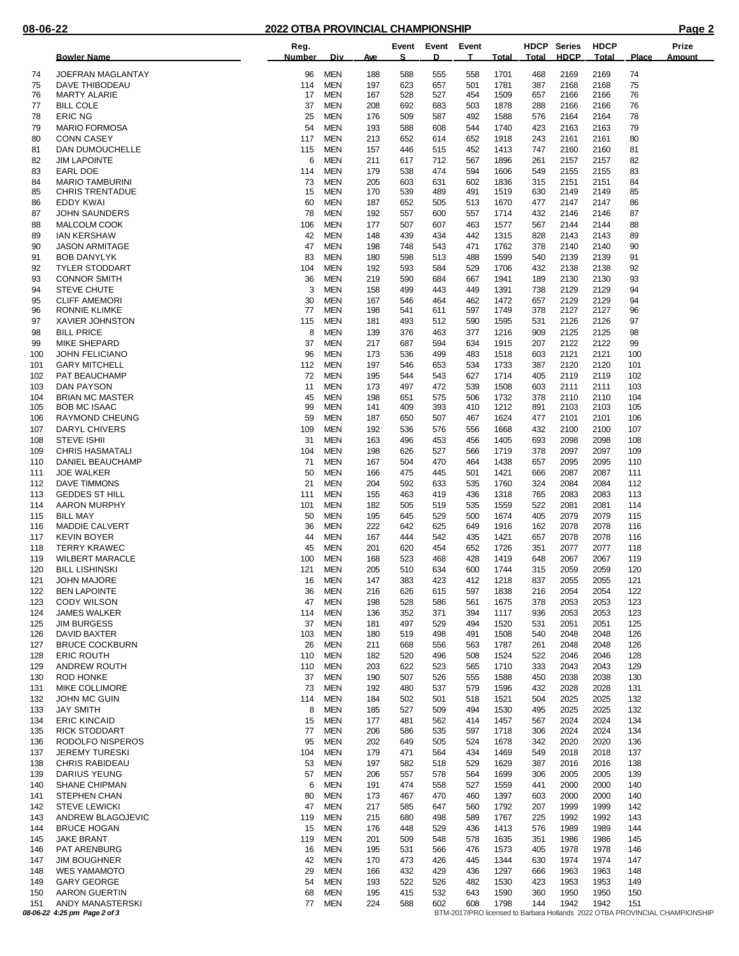|            | <b>Bowler Name</b>                               | Reg.<br><b>Number</b> | Div.                     | <u>Ave</u> | Event<br>S. | Event<br>D | Event<br>T. | <b>Total</b> | Total      | <b>HDCP</b> Series<br><b>HDCP</b> | <b>HDCP</b><br>Total | <b>Place</b> | Prize<br>Amount                                                             |
|------------|--------------------------------------------------|-----------------------|--------------------------|------------|-------------|------------|-------------|--------------|------------|-----------------------------------|----------------------|--------------|-----------------------------------------------------------------------------|
| 74         | <b>JOEFRAN MAGLANTAY</b>                         | 96                    | <b>MEN</b>               | 188        | 588         | 555        | 558         | 1701         | 468        | 2169                              | 2169                 | 74           |                                                                             |
| 75         | DAVE THIBODEAU                                   | 114                   | <b>MEN</b>               | 197        | 623         | 657        | 501         | 1781         | 387        | 2168                              | 2168                 | 75           |                                                                             |
| 76         | <b>MARTY ALARIE</b>                              | 17                    | <b>MEN</b>               | 167        | 528         | 527        | 454         | 1509         | 657        | 2166                              | 2166                 | 76           |                                                                             |
| 77         | <b>BILL COLE</b>                                 | 37                    | <b>MEN</b>               | 208        | 692         | 683        | 503         | 1878         | 288        | 2166                              | 2166                 | 76           |                                                                             |
| 78         | <b>ERIC NG</b>                                   | 25                    | <b>MEN</b>               | 176        | 509         | 587        | 492         | 1588         | 576        | 2164                              | 2164                 | 78           |                                                                             |
| 79         | <b>MARIO FORMOSA</b>                             | 54                    | MEN                      | 193        | 588         | 608        | 544         | 1740         | 423        | 2163                              | 2163                 | 79           |                                                                             |
| 80<br>81   | <b>CONN CASEY</b><br>DAN DUMOUCHELLE             | 117<br>115            | <b>MEN</b><br>MEN        | 213<br>157 | 652<br>446  | 614<br>515 | 652<br>452  | 1918<br>1413 | 243<br>747 | 2161<br>2160                      | 2161<br>2160         | 80<br>81     |                                                                             |
| 82         | <b>JIM LAPOINTE</b>                              | 6                     | <b>MEN</b>               | 211        | 617         | 712        | 567         | 1896         | 261        | 2157                              | 2157                 | 82           |                                                                             |
| 83         | <b>EARL DOE</b>                                  | 114                   | MEN                      | 179        | 538         | 474        | 594         | 1606         | 549        | 2155                              | 2155                 | 83           |                                                                             |
| 84         | <b>MARIO TAMBURINI</b>                           | 73                    | <b>MEN</b>               | 205        | 603         | 631        | 602         | 1836         | 315        | 2151                              | 2151                 | 84           |                                                                             |
| 85         | <b>CHRIS TRENTADUE</b>                           | 15                    | <b>MEN</b>               | 170        | 539         | 489        | 491         | 1519         | 630        | 2149                              | 2149                 | 85           |                                                                             |
| 86         | <b>EDDY KWAI</b>                                 | 60                    | <b>MEN</b>               | 187        | 652         | 505        | 513         | 1670         | 477        | 2147                              | 2147                 | 86           |                                                                             |
| 87<br>88   | <b>JOHN SAUNDERS</b><br>MALCOLM COOK             | 78<br>106             | <b>MEN</b><br><b>MEN</b> | 192<br>177 | 557<br>507  | 600<br>607 | 557<br>463  | 1714<br>1577 | 432<br>567 | 2146<br>2144                      | 2146<br>2144         | 87<br>88     |                                                                             |
| 89         | <b>IAN KERSHAW</b>                               | 42                    | <b>MEN</b>               | 148        | 439         | 434        | 442         | 1315         | 828        | 2143                              | 2143                 | 89           |                                                                             |
| 90         | <b>JASON ARMITAGE</b>                            | 47                    | <b>MEN</b>               | 198        | 748         | 543        | 471         | 1762         | 378        | 2140                              | 2140                 | 90           |                                                                             |
| 91         | <b>BOB DANYLYK</b>                               | 83                    | <b>MEN</b>               | 180        | 598         | 513        | 488         | 1599         | 540        | 2139                              | 2139                 | 91           |                                                                             |
| 92         | <b>TYLER STODDART</b>                            | 104                   | <b>MEN</b>               | 192        | 593         | 584        | 529         | 1706         | 432        | 2138                              | 2138                 | 92           |                                                                             |
| 93         | <b>CONNOR SMITH</b>                              | 36                    | <b>MEN</b>               | 219        | 590         | 684        | 667         | 1941         | 189        | 2130                              | 2130                 | 93           |                                                                             |
| 94         | <b>STEVE CHUTE</b><br><b>CLIFF AMEMORI</b>       | 3<br>30               | <b>MEN</b><br><b>MEN</b> | 158        | 499         | 443        | 449         | 1391<br>1472 | 738        | 2129                              | 2129<br>2129         | 94           |                                                                             |
| 95<br>96   | <b>RONNIE KLIMKE</b>                             | 77                    | <b>MEN</b>               | 167<br>198 | 546<br>541  | 464<br>611 | 462<br>597  | 1749         | 657<br>378 | 2129<br>2127                      | 2127                 | 94<br>96     |                                                                             |
| 97         | XAVIER JOHNSTON                                  | 115                   | <b>MEN</b>               | 181        | 493         | 512        | 590         | 1595         | 531        | 2126                              | 2126                 | 97           |                                                                             |
| 98         | <b>BILL PRICE</b>                                | 8                     | <b>MEN</b>               | 139        | 376         | 463        | 377         | 1216         | 909        | 2125                              | 2125                 | 98           |                                                                             |
| 99         | <b>MIKE SHEPARD</b>                              | 37                    | <b>MEN</b>               | 217        | 687         | 594        | 634         | 1915         | 207        | 2122                              | 2122                 | 99           |                                                                             |
| 100        | <b>JOHN FELICIANO</b>                            | 96                    | <b>MEN</b>               | 173        | 536         | 499        | 483         | 1518         | 603        | 2121                              | 2121                 | 100          |                                                                             |
| 101        | <b>GARY MITCHELL</b>                             | 112                   | <b>MEN</b>               | 197        | 546         | 653        | 534         | 1733         | 387        | 2120                              | 2120                 | 101          |                                                                             |
| 102<br>103 | PAT BEAUCHAMP<br>DAN PAYSON                      | 72<br>11              | <b>MEN</b><br><b>MEN</b> | 195<br>173 | 544<br>497  | 543<br>472 | 627<br>539  | 1714<br>1508 | 405<br>603 | 2119<br>2111                      | 2119<br>2111         | 102<br>103   |                                                                             |
| 104        | <b>BRIAN MC MASTER</b>                           | 45                    | <b>MEN</b>               | 198        | 651         | 575        | 506         | 1732         | 378        | 2110                              | 2110                 | 104          |                                                                             |
| 105        | <b>BOB MC ISAAC</b>                              | 99                    | <b>MEN</b>               | 141        | 409         | 393        | 410         | 1212         | 891        | 2103                              | 2103                 | 105          |                                                                             |
| 106        | RAYMOND CHEUNG                                   | 59                    | <b>MEN</b>               | 187        | 650         | 507        | 467         | 1624         | 477        | 2101                              | 2101                 | 106          |                                                                             |
| 107        | DARYL CHIVERS                                    | 109                   | <b>MEN</b>               | 192        | 536         | 576        | 556         | 1668         | 432        | 2100                              | 2100                 | 107          |                                                                             |
| 108        | <b>STEVE ISHII</b>                               | 31                    | <b>MEN</b>               | 163        | 496         | 453        | 456         | 1405         | 693        | 2098                              | 2098                 | 108          |                                                                             |
| 109<br>110 | <b>CHRIS HASMATALI</b>                           | 104<br>71             | <b>MEN</b><br><b>MEN</b> | 198        | 626<br>504  | 527<br>470 | 566<br>464  | 1719<br>1438 | 378<br>657 | 2097<br>2095                      | 2097<br>2095         | 109<br>110   |                                                                             |
| 111        | DANIEL BEAUCHAMP<br><b>JOE WALKER</b>            | 50                    | <b>MEN</b>               | 167<br>166 | 475         | 445        | 501         | 1421         | 666        | 2087                              | 2087                 | 111          |                                                                             |
| 112        | <b>DAVE TIMMONS</b>                              | 21                    | <b>MEN</b>               | 204        | 592         | 633        | 535         | 1760         | 324        | 2084                              | 2084                 | 112          |                                                                             |
| 113        | <b>GEDDES ST HILL</b>                            | 111                   | <b>MEN</b>               | 155        | 463         | 419        | 436         | 1318         | 765        | 2083                              | 2083                 | 113          |                                                                             |
| 114        | <b>AARON MURPHY</b>                              | 101                   | <b>MEN</b>               | 182        | 505         | 519        | 535         | 1559         | 522        | 2081                              | 2081                 | 114          |                                                                             |
| 115        | <b>BILL MAY</b>                                  | 50                    | <b>MEN</b>               | 195        | 645         | 529        | 500         | 1674         | 405        | 2079                              | 2079                 | 115          |                                                                             |
| 116<br>117 | <b>MADDIE CALVERT</b><br><b>KEVIN BOYER</b>      | 36<br>44              | MEN<br>MEN               | 222<br>167 | 642<br>444  | 625<br>542 | 649<br>435  | 1916<br>1421 | 162<br>657 | 2078<br>2078                      | 2078<br>2078         | 116<br>116   |                                                                             |
| 118        | <b>TERRY KRAWEC</b>                              | 45                    | <b>MEN</b>               | 201        | 620         | 454        | 652         | 1726         | 351        | 2077                              | 2077                 | 118          |                                                                             |
| 119        | <b>WILBERT MARACLE</b>                           | 100                   | <b>MEN</b>               | 168        | 523         | 468        | 428         | 1419         | 648        | 2067                              | 2067                 | 119          |                                                                             |
| 120        | <b>BILL LISHINSKI</b>                            | 121                   | MEN                      | 205        | 510         | 634        | 600         | 1744         | 315        | 2059                              | 2059                 | 120          |                                                                             |
| 121        | <b>JOHN MAJORE</b>                               | 16                    | <b>MEN</b>               | 147        | 383         | 423        | 412         | 1218         | 837        | 2055                              | 2055                 | 121          |                                                                             |
| 122        | <b>BEN LAPOINTE</b>                              | 36                    | MEN                      | 216        | 626         | 615        | 597         | 1838         | 216        | 2054                              | 2054                 | 122          |                                                                             |
| 123        | <b>CODY WILSON</b>                               | 47                    | <b>MEN</b>               | 198        | 528         | 586        | 561         | 1675         | 378        | 2053                              | 2053                 | 123          |                                                                             |
| 124<br>125 | <b>JAMES WALKER</b><br><b>JIM BURGESS</b>        | 114<br>37             | <b>MEN</b><br><b>MEN</b> | 136<br>181 | 352<br>497  | 371<br>529 | 394<br>494  | 1117<br>1520 | 936<br>531 | 2053<br>2051                      | 2053<br>2051         | 123<br>125   |                                                                             |
| 126        | DAVID BAXTER                                     | 103                   | <b>MEN</b>               | 180        | 519         | 498        | 491         | 1508         | 540        | 2048                              | 2048                 | 126          |                                                                             |
| 127        | <b>BRUCE COCKBURN</b>                            | 26                    | <b>MEN</b>               | 211        | 668         | 556        | 563         | 1787         | 261        | 2048                              | 2048                 | 126          |                                                                             |
| 128        | <b>ERIC ROUTH</b>                                | 110                   | <b>MEN</b>               | 182        | 520         | 496        | 508         | 1524         | 522        | 2046                              | 2046                 | 128          |                                                                             |
| 129        | ANDREW ROUTH                                     | 110                   | <b>MEN</b>               | 203        | 622         | 523        | 565         | 1710         | 333        | 2043                              | 2043                 | 129          |                                                                             |
| 130<br>131 | <b>ROD HONKE</b><br><b>MIKE COLLIMORE</b>        | 37<br>73              | <b>MEN</b><br><b>MEN</b> | 190<br>192 | 507<br>480  | 526<br>537 | 555<br>579  | 1588<br>1596 | 450<br>432 | 2038<br>2028                      | 2038<br>2028         | 130<br>131   |                                                                             |
| 132        | JOHN MC GUIN                                     | 114                   | <b>MEN</b>               | 184        | 502         | 501        | 518         | 1521         | 504        | 2025                              | 2025                 | 132          |                                                                             |
| 133        | <b>JAY SMITH</b>                                 | 8                     | <b>MEN</b>               | 185        | 527         | 509        | 494         | 1530         | 495        | 2025                              | 2025                 | 132          |                                                                             |
| 134        | <b>ERIC KINCAID</b>                              | 15                    | <b>MEN</b>               | 177        | 481         | 562        | 414         | 1457         | 567        | 2024                              | 2024                 | 134          |                                                                             |
| 135        | <b>RICK STODDART</b>                             | 77                    | MEN                      | 206        | 586         | 535        | 597         | 1718         | 306        | 2024                              | 2024                 | 134          |                                                                             |
| 136        | RODOLFO NISPEROS                                 | 95                    | <b>MEN</b>               | 202        | 649         | 505        | 524         | 1678         | 342        | 2020                              | 2020                 | 136          |                                                                             |
| 137        | <b>JEREMY TURESKI</b>                            | 104                   | MEN                      | 179        | 471         | 564        | 434         | 1469         | 549        | 2018                              | 2018                 | 137          |                                                                             |
| 138<br>139 | <b>CHRIS RABIDEAU</b><br><b>DARIUS YEUNG</b>     | 53<br>57              | MEN<br>MEN               | 197<br>206 | 582<br>557  | 518<br>578 | 529<br>564  | 1629<br>1699 | 387<br>306 | 2016<br>2005                      | 2016<br>2005         | 138<br>139   |                                                                             |
| 140        | <b>SHANE CHIPMAN</b>                             | 6                     | <b>MEN</b>               | 191        | 474         | 558        | 527         | 1559         | 441        | 2000                              | 2000                 | 140          |                                                                             |
| 141        | STEPHEN CHAN                                     | 80                    | <b>MEN</b>               | 173        | 467         | 470        | 460         | 1397         | 603        | 2000                              | 2000                 | 140          |                                                                             |
| 142        | <b>STEVE LEWICKI</b>                             | 47                    | MEN                      | 217        | 585         | 647        | 560         | 1792         | 207        | 1999                              | 1999                 | 142          |                                                                             |
| 143        | ANDREW BLAGOJEVIC                                | 119                   | <b>MEN</b>               | 215        | 680         | 498        | 589         | 1767         | 225        | 1992                              | 1992                 | 143          |                                                                             |
| 144        | <b>BRUCE HOGAN</b>                               | 15                    | <b>MEN</b>               | 176        | 448         | 529        | 436         | 1413         | 576        | 1989                              | 1989                 | 144          |                                                                             |
| 145<br>146 | <b>JAKE BRANT</b><br><b>PAT ARENBURG</b>         | 119<br>16             | <b>MEN</b><br><b>MEN</b> | 201<br>195 | 509<br>531  | 548<br>566 | 578<br>476  | 1635<br>1573 | 351<br>405 | 1986<br>1978                      | 1986<br>1978         | 145<br>146   |                                                                             |
| 147        | <b>JIM BOUGHNER</b>                              | 42                    | <b>MEN</b>               | 170        | 473         | 426        | 445         | 1344         | 630        | 1974                              | 1974                 | 147          |                                                                             |
| 148        | <b>WES YAMAMOTO</b>                              | 29                    | <b>MEN</b>               | 166        | 432         | 429        | 436         | 1297         | 666        | 1963                              | 1963                 | 148          |                                                                             |
| 149        | <b>GARY GEORGE</b>                               | 54                    | <b>MEN</b>               | 193        | 522         | 526        | 482         | 1530         | 423        | 1953                              | 1953                 | 149          |                                                                             |
| 150        | <b>AARON GUERTIN</b>                             | 68                    | <b>MEN</b>               | 195        | 415         | 532        | 643         | 1590         | 360        | 1950                              | 1950                 | 150          |                                                                             |
| 151        | ANDY MANASTERSKI<br>08-06-22 4:25 pm Page 2 of 3 | 77                    | <b>MEN</b>               | 224        | 588         | 602        | 608         | 1798         | 144        | 1942                              | 1942                 | 151          | BTM-2017/PRO licensed to Barbara Hollands 2022 OTBA PROVINCIAL CHAMPIONSHIP |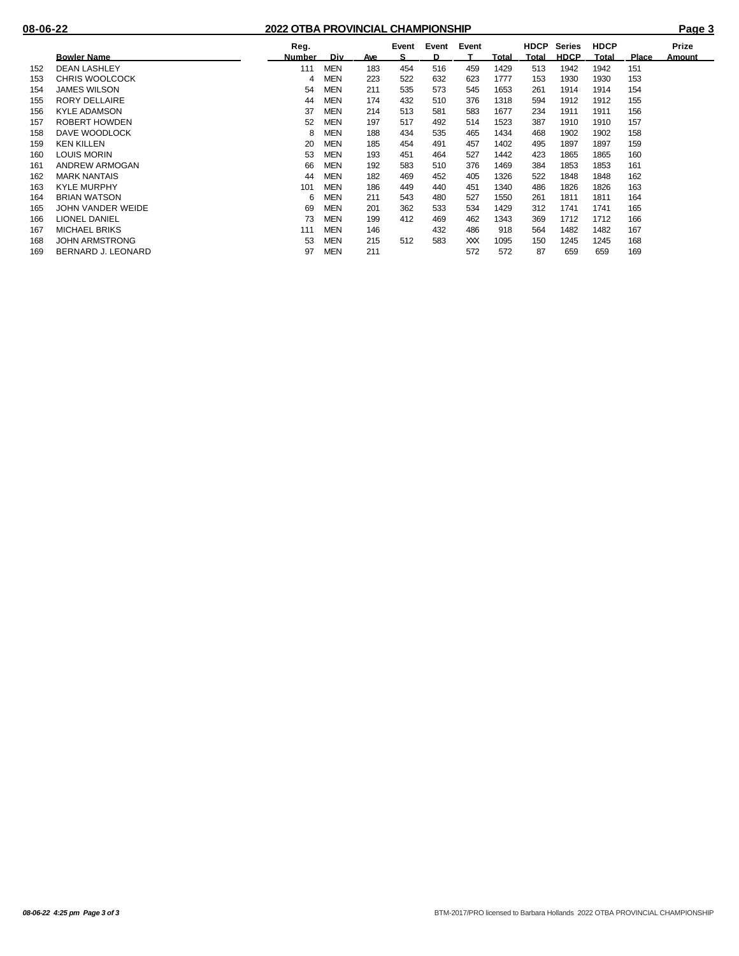|     |                       | Reg.          |            |            | Event<br>s | Event<br>D. | Event |       | <b>HDCP</b>  | Series      | <b>HDCP</b> |              | Prize  |
|-----|-----------------------|---------------|------------|------------|------------|-------------|-------|-------|--------------|-------------|-------------|--------------|--------|
|     | <b>Bowler Name</b>    | <b>Number</b> | Div.       | <u>Ave</u> |            |             |       | Total | <u>Total</u> | <b>HDCP</b> | Total       | <b>Place</b> | Amount |
| 152 | <b>DEAN LASHLEY</b>   | 111           | <b>MEN</b> | 183        | 454        | 516         | 459   | 1429  | 513          | 1942        | 1942        | 151          |        |
| 153 | <b>CHRIS WOOLCOCK</b> | 4             | MEN        | 223        | 522        | 632         | 623   | 1777  | 153          | 1930        | 1930        | 153          |        |
| 154 | <b>JAMES WILSON</b>   | 54            | MEN        | 211        | 535        | 573         | 545   | 1653  | 261          | 1914        | 1914        | 154          |        |
| 155 | <b>RORY DELLAIRE</b>  | 44            | <b>MEN</b> | 174        | 432        | 510         | 376   | 1318  | 594          | 1912        | 1912        | 155          |        |
| 156 | <b>KYLE ADAMSON</b>   | 37            | <b>MEN</b> | 214        | 513        | 581         | 583   | 1677  | 234          | 1911        | 1911        | 156          |        |
| 157 | ROBERT HOWDEN         | 52            | <b>MEN</b> | 197        | 517        | 492         | 514   | 1523  | 387          | 1910        | 1910        | 157          |        |
| 158 | DAVE WOODLOCK         | 8             | MEN        | 188        | 434        | 535         | 465   | 1434  | 468          | 1902        | 1902        | 158          |        |
| 159 | <b>KEN KILLEN</b>     | 20            | <b>MEN</b> | 185        | 454        | 491         | 457   | 1402  | 495          | 1897        | 1897        | 159          |        |
| 160 | LOUIS MORIN           | 53            | <b>MEN</b> | 193        | 451        | 464         | 527   | 1442  | 423          | 1865        | 1865        | 160          |        |
| 161 | ANDREW ARMOGAN        | 66            | <b>MEN</b> | 192        | 583        | 510         | 376   | 1469  | 384          | 1853        | 1853        | 161          |        |
| 162 | <b>MARK NANTAIS</b>   | 44            | <b>MEN</b> | 182        | 469        | 452         | 405   | 1326  | 522          | 1848        | 1848        | 162          |        |
| 163 | <b>KYLE MURPHY</b>    | 101           | <b>MEN</b> | 186        | 449        | 440         | 451   | 1340  | 486          | 1826        | 1826        | 163          |        |
| 164 | <b>BRIAN WATSON</b>   | 6             | MEN        | 211        | 543        | 480         | 527   | 1550  | 261          | 1811        | 1811        | 164          |        |
| 165 | JOHN VANDER WEIDE     | 69            | <b>MEN</b> | 201        | 362        | 533         | 534   | 1429  | 312          | 1741        | 1741        | 165          |        |
| 166 | <b>LIONEL DANIEL</b>  | 73            | <b>MEN</b> | 199        | 412        | 469         | 462   | 1343  | 369          | 1712        | 1712        | 166          |        |
| 167 | <b>MICHAEL BRIKS</b>  | 111           | <b>MEN</b> | 146        |            | 432         | 486   | 918   | 564          | 1482        | 1482        | 167          |        |
| 168 | <b>JOHN ARMSTRONG</b> | 53            | <b>MEN</b> | 215        | 512        | 583         | ХX    | 1095  | 150          | 1245        | 1245        | 168          |        |
| 169 | BERNARD J. LEONARD    | 97            | <b>MEN</b> | 211        |            |             | 572   | 572   | 87           | 659         | 659         | 169          |        |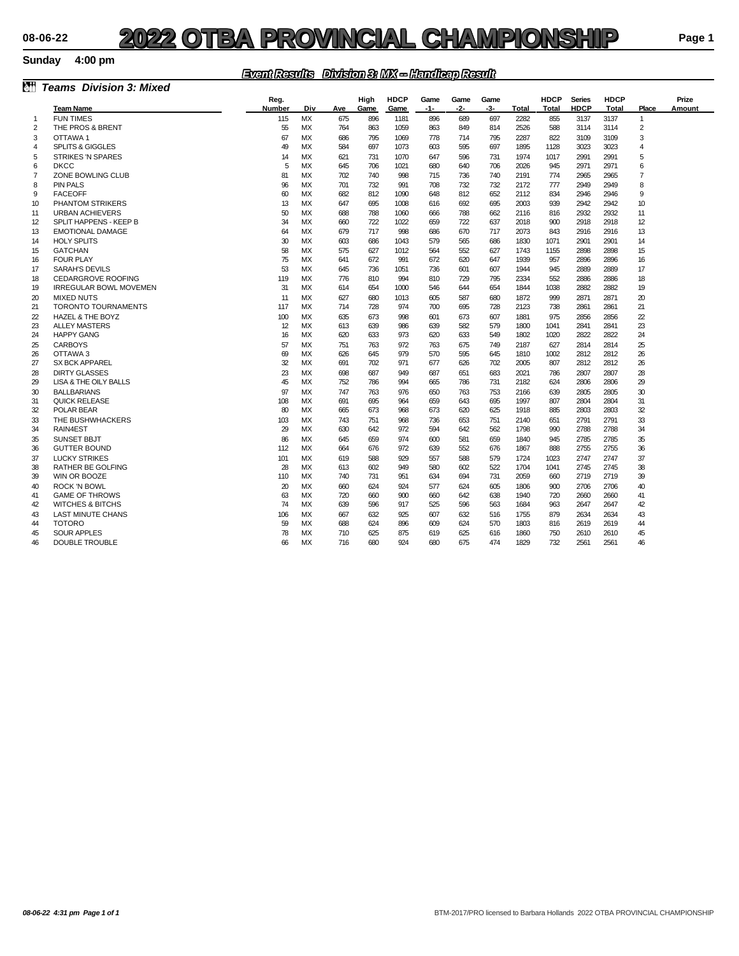#### **Sunday 4:00 pm**

### *Event Results Division 3: MX -- Handicap Result*

| ôň             | <b>Teams Division 3: Mixed</b> |               |           |     |      |             |       |      |      |              |              |               |              |                |               |
|----------------|--------------------------------|---------------|-----------|-----|------|-------------|-------|------|------|--------------|--------------|---------------|--------------|----------------|---------------|
|                |                                | Reg.          |           |     | High | <b>HDCP</b> | Game  | Game | Game |              | <b>HDCP</b>  | <b>Series</b> | <b>HDCP</b>  |                | Prize         |
|                | <b>Team Name</b>               | <b>Number</b> | Div       | Ave | Game | Game        | $-1-$ | -2-  | -3-  | <b>Total</b> | <b>Total</b> | <b>HDCP</b>   | <b>Total</b> | Place          | <b>Amount</b> |
| $\mathbf{1}$   | <b>FUN TIMES</b>               | 115           | MX        | 675 | 896  | 1181        | 896   | 689  | 697  | 2282         | 855          | 3137          | 3137         | $\mathbf{1}$   |               |
| 2              | THE PROS & BRENT               | 55            | МX        | 764 | 863  | 1059        | 863   | 849  | 814  | 2526         | 588          | 3114          | 3114         | 2              |               |
| 3              | OTTAWA 1                       | 67            | МX        | 686 | 795  | 1069        | 778   | 714  | 795  | 2287         | 822          | 3109          | 3109         | 3              |               |
| 4              | <b>SPLITS &amp; GIGGLES</b>    | 49            | МX        | 584 | 697  | 1073        | 603   | 595  | 697  | 1895         | 1128         | 3023          | 3023         | 4              |               |
| 5              | <b>STRIKES 'N SPARES</b>       | 14            | <b>MX</b> | 621 | 731  | 1070        | 647   | 596  | 731  | 1974         | 1017         | 2991          | 2991         | 5              |               |
| 6              | <b>DKCC</b>                    | 5             | <b>MX</b> | 645 | 706  | 1021        | 680   | 640  | 706  | 2026         | 945          | 2971          | 2971         | 6              |               |
| $\overline{7}$ | ZONE BOWLING CLUB              | 81            | <b>MX</b> | 702 | 740  | 998         | 715   | 736  | 740  | 2191         | 774          | 2965          | 2965         | $\overline{7}$ |               |
| 8              | <b>PIN PALS</b>                | 96            | <b>MX</b> | 701 | 732  | 991         | 708   | 732  | 732  | 2172         | 777          | 2949          | 2949         | 8              |               |
| 9              | <b>FACEOFF</b>                 | 60            | МX        | 682 | 812  | 1090        | 648   | 812  | 652  | 2112         | 834          | 2946          | 2946         | 9              |               |
| 10             | <b>PHANTOM STRIKERS</b>        | 13            | <b>MX</b> | 647 | 695  | 1008        | 616   | 692  | 695  | 2003         | 939          | 2942          | 2942         | 10             |               |
| 11             | <b>URBAN ACHIEVERS</b>         | 50            | <b>MX</b> | 688 | 788  | 1060        | 666   | 788  | 662  | 2116         | 816          | 2932          | 2932         | 11             |               |
| 12             | SPLIT HAPPENS - KEEP B         | 34            | <b>MX</b> | 660 | 722  | 1022        | 659   | 722  | 637  | 2018         | 900          | 2918          | 2918         | 12             |               |
| 13             | <b>EMOTIONAL DAMAGE</b>        | 64            | <b>MX</b> | 679 | 717  | 998         | 686   | 670  | 717  | 2073         | 843          | 2916          | 2916         | 13             |               |
| 14             | <b>HOLY SPLITS</b>             | 30            | МX        | 603 | 686  | 1043        | 579   | 565  | 686  | 1830         | 1071         | 2901          | 2901         | 14             |               |
| 15             | <b>GATCHAN</b>                 | 58            | <b>MX</b> | 575 | 627  | 1012        | 564   | 552  | 627  | 1743         | 1155         | 2898          | 2898         | 15             |               |
| 16             | <b>FOUR PLAY</b>               | 75            | <b>MX</b> | 641 | 672  | 991         | 672   | 620  | 647  | 1939         | 957          | 2896          | 2896         | 16             |               |
| 17             | <b>SARAH'S DEVILS</b>          | 53            | <b>MX</b> | 645 | 736  | 1051        | 736   | 601  | 607  | 1944         | 945          | 2889          | 2889         | 17             |               |
| 18             | <b>CEDARGROVE ROOFING</b>      | 119           | <b>MX</b> | 776 | 810  | 994         | 810   | 729  | 795  | 2334         | 552          | 2886          | 2886         | 18             |               |
| 19             | <b>IRREGULAR BOWL MOVEMEN</b>  | 31            | <b>MX</b> | 614 | 654  | 1000        | 546   | 644  | 654  | 1844         | 1038         | 2882          | 2882         | 19             |               |
| 20             | <b>MIXED NUTS</b>              | 11            | МX        | 627 | 680  | 1013        | 605   | 587  | 680  | 1872         | 999          | 2871          | 2871         | 20             |               |
| 21             | <b>TORONTO TOURNAMENTS</b>     | 117           | <b>MX</b> | 714 | 728  | 974         | 700   | 695  | 728  | 2123         | 738          | 2861          | 2861         | 21             |               |
| $\overline{2}$ | <b>HAZEL &amp; THE BOYZ</b>    | 100           | <b>MX</b> | 635 | 673  | 998         | 601   | 673  | 607  | 1881         | 975          | 2856          | 2856         | $\overline{2}$ |               |
| 23             | <b>ALLEY MASTERS</b>           | 12            | <b>MX</b> | 613 | 639  | 986         | 639   | 582  | 579  | 1800         | 1041         | 2841          | 2841         | 23             |               |
| 24             | <b>HAPPY GANG</b>              | 16            | <b>MX</b> | 620 | 633  | 973         | 620   | 633  | 549  | 1802         | 1020         | 2822          | 2822         | 24             |               |
| 25             | <b>CARBOYS</b>                 | 57            | <b>MX</b> | 751 | 763  | 972         | 763   | 675  | 749  | 2187         | 627          | 2814          | 2814         | 25             |               |
| 26             | OTTAWA 3                       | 69            | МX        | 626 | 645  | 979         | 570   | 595  | 645  | 1810         | 1002         | 2812          | 2812         | 26             |               |
| 27             | <b>SX BCK APPAREL</b>          | 32            | MX        | 691 | 702  | 971         | 677   | 626  | 702  | 2005         | 807          | 2812          | 2812         | 26             |               |
| 28             | <b>DIRTY GLASSES</b>           | 23            | <b>MX</b> | 698 | 687  | 949         | 687   | 651  | 683  | 2021         | 786          | 2807          | 2807         | 28             |               |
| 29             | LISA & THE OILY BALLS          | 45            | <b>MX</b> | 752 | 786  | 994         | 665   | 786  | 731  | 2182         | 624          | 2806          | 2806         | 29             |               |
| 30             | <b>BALLBARIANS</b>             | 97            | <b>MX</b> | 747 | 763  | 976         | 650   | 763  | 753  | 2166         | 639          | 2805          | 2805         | 30             |               |
| 31             | <b>QUICK RELEASE</b>           | 108           | МX        | 691 | 695  | 964         | 659   | 643  | 695  | 1997         | 807          | 2804          | 2804         | 31             |               |
| 32             | POLAR BEAR                     | 80            | <b>MX</b> | 665 | 673  | 968         | 673   | 620  | 625  | 1918         | 885          | 2803          | 2803         | 32             |               |
| 33             | THE BUSHWHACKERS               | 103           | <b>MX</b> | 743 | 751  | 968         | 736   | 653  | 751  | 2140         | 651          | 2791          | 2791         | 33             |               |
| 34             | RAIN4EST                       | 29            | <b>MX</b> | 630 | 642  | 972         | 594   | 642  | 562  | 1798         | 990          | 2788          | 2788         | 34             |               |
| 35             | <b>SUNSET BBJT</b>             | 86            | <b>MX</b> | 645 | 659  | 974         | 600   | 581  | 659  | 1840         | 945          | 2785          | 2785         | 35             |               |
| 36             | <b>GUTTER BOUND</b>            | 112           | МX        | 664 | 676  | 972         | 639   | 552  | 676  | 1867         | 888          | 2755          | 2755         | 36             |               |
| 37             | <b>LUCKY STRIKES</b>           | 101           | <b>MX</b> | 619 | 588  | 929         | 557   | 588  | 579  | 1724         | 1023         | 2747          | 2747         | 37             |               |
| 38             | <b>RATHER BE GOLFING</b>       | 28            | <b>MX</b> | 613 | 602  | 949         | 580   | 602  | 522  | 1704         | 1041         | 2745          | 2745         | 38             |               |
| 39             | WIN OR BOOZE                   | 110           | <b>MX</b> | 740 | 731  | 951         | 634   | 694  | 731  | 2059         | 660          | 2719          | 2719         | 39             |               |
| 40             | <b>ROCK 'N BOWL</b>            | 20            | <b>MX</b> | 660 | 624  | 924         | 577   | 624  | 605  | 1806         | 900          | 2706          | 2706         | 40             |               |
| 41             | <b>GAME OF THROWS</b>          | 63            | МX        | 720 | 660  | 900         | 660   | 642  | 638  | 1940         | 720          | 2660          | 2660         | 41             |               |
| 42             | <b>WITCHES &amp; BITCHS</b>    | 74            | <b>MX</b> | 639 | 596  | 917         | 525   | 596  | 563  | 1684         | 963          | 2647          | 2647         | 42             |               |
| 43             | <b>LAST MINUTE CHANS</b>       | 106           | <b>MX</b> | 667 | 632  | 925         | 607   | 632  | 516  | 1755         | 879          | 2634          | 2634         | 43             |               |
| 44             | <b>TOTORO</b>                  | 59            | <b>MX</b> | 688 | 624  | 896         | 609   | 624  | 570  | 1803         | 816          | 2619          | 2619         | 44             |               |
| 45             | <b>SOUR APPLES</b>             | 78            | <b>MX</b> | 710 | 625  | 875         | 619   | 625  | 616  | 1860         | 750          | 2610          | 2610         | 45             |               |
| 46             | <b>DOUBLE TROUBLE</b>          | 66            | <b>MX</b> | 716 | 680  | 924         | 680   | 675  | 474  | 1829         | 732          | 2561          | 2561         | 46             |               |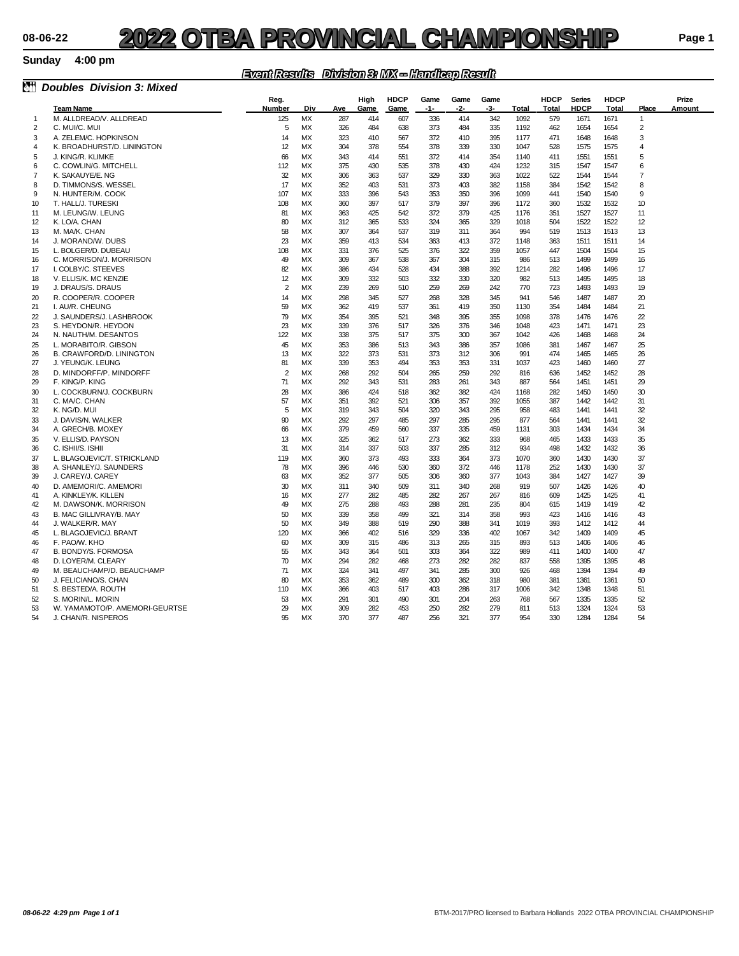#### **Sunday 4:00 pm**

### *Event Results Division 3: MX -- Handicap Result*

| èťi            | <b>Doubles Division 3: Mixed</b> |                       |           |            |              |                     |               |             |             |             |                             |                              |                      |                |                 |
|----------------|----------------------------------|-----------------------|-----------|------------|--------------|---------------------|---------------|-------------|-------------|-------------|-----------------------------|------------------------------|----------------------|----------------|-----------------|
|                | <b>Team Name</b>                 | Reg.<br><b>Number</b> | Div       | Ave        | High<br>Game | <b>HDCP</b><br>Game | Game<br>$-1-$ | Game<br>-2- | Game<br>-3- | Total       | <b>HDCP</b><br><b>Total</b> | <b>Series</b><br><b>HDCP</b> | <b>HDCP</b><br>Total | Place          | Prize<br>Amount |
| $\mathbf{1}$   | M. ALLDREAD/V. ALLDREAD          | 125                   | <b>MX</b> | 287        | 414          | 607                 | 336           | 414         | 342         | 1092        | 579                         | 1671                         | 1671                 | $\mathbf{1}$   |                 |
| $\overline{2}$ | C. MUI/C. MUI                    | 5                     | <b>MX</b> | 326        | 484          | 638                 | 373           | 484         | 335         | 1192        | 462                         | 1654                         | 1654                 | $\overline{c}$ |                 |
| 3              | A. ZELEM/C. HOPKINSON            | 14                    | <b>MX</b> | 323        | 410          | 567                 | 372           | 410         | 395         | 1177        | 471                         | 1648                         | 1648                 | 3              |                 |
| 4              | K. BROADHURST/D. LININGTON       | 12                    | <b>MX</b> | 304        | 378          | 554                 | 378           | 339         | 330         | 1047        | 528                         | 1575                         | 1575                 | $\overline{4}$ |                 |
|                |                                  |                       |           |            |              |                     |               |             |             |             |                             |                              |                      |                |                 |
| 5              | J. KING/R. KLIMKE                | 66                    | <b>MX</b> | 343        | 414          | 551                 | 372           | 414         | 354         | 1140        | 411                         | 1551                         | 1551                 | 5              |                 |
| 6              | C. COWLIN/G. MITCHELL            | 112                   | <b>MX</b> | 375        | 430          | 535                 | 378           | 430         | 424         | 1232        | 315                         | 1547                         | 1547                 | 6              |                 |
| $\overline{7}$ | K. SAKAUYE/E. NG                 | 32                    | <b>MX</b> | 306        | 363          | 537                 | 329           | 330         | 363         | 1022        | 522                         | 1544                         | 1544                 | $\overline{7}$ |                 |
| 8              | D. TIMMONS/S. WESSEL             | 17                    | <b>MX</b> | 352        | 403          | 531                 | 373           | 403         | 382         | 1158        | 384                         | 1542                         | 1542                 | 8              |                 |
| 9              | N. HUNTER/M. COOK                | 107                   | <b>MX</b> | 333        | 396          | 543                 | 353           | 350         | 396         | 1099        | 441                         | 1540                         | 1540                 | 9              |                 |
| 10             | T. HALL/J. TURESKI               | 108                   | <b>MX</b> | 360        | 397          | 517                 | 379           | 397         | 396         | 1172        | 360                         | 1532                         | 1532                 | 10             |                 |
| 11             | M. LEUNG/W. LEUNG                | 81                    | <b>MX</b> | 363        | 425          | 542                 | 372           | 379         | 425         | 1176        | 351                         | 1527                         | 1527                 | 11             |                 |
| 12             | K. LO/A. CHAN                    | 80                    | <b>MX</b> | 312        | 365          | 533                 | 324           | 365         | 329         | 1018        | 504                         | 1522                         | 1522                 | 12             |                 |
| 13             | M. MA/K. CHAN                    | 58                    | <b>MX</b> | 307        | 364          | 537                 | 319           | 311         | 364         | 994         | 519                         | 1513                         | 1513                 | 13             |                 |
| 14             | J. MORAND/W. DUBS                | 23                    | <b>MX</b> | 359        | 413          | 534                 | 363           | 413         | 372         | 1148        | 363                         | 1511                         | 1511                 | 14             |                 |
| 15             | L. BOLGER/D. DUBEAU              | 108                   | <b>MX</b> | 331        | 376          | 525                 | 376           | 322         | 359         | 1057        | 447                         | 1504                         | 1504                 | 15             |                 |
| 16             | C. MORRISON/J. MORRISON          | 49                    | <b>MX</b> | 309        | 367          | 538                 | 367           | 304         | 315         | 986         | 513                         | 1499                         | 1499                 | 16             |                 |
| 17             | I. COLBY/C. STEEVES              | 82                    | <b>MX</b> | 386        | 434          | 528                 | 434           | 388         | 392         | 1214        | 282                         | 1496                         | 1496                 | 17             |                 |
| 18             | V. ELLIS/K. MC KENZIE            | 12                    | <b>MX</b> | 309        | 332          | 503                 | 332           | 330         | 320         | 982         | 513                         | 1495                         | 1495                 | 18             |                 |
| 19             | J. DRAUS/S. DRAUS                | $\overline{2}$        | MX        | 239        | 269          | 510                 | 259           | 269         | 242         | 770         | 723                         | 1493                         | 1493                 | 19             |                 |
| 20             | R. COOPER/R. COOPER              | 14                    | <b>MX</b> | 298        | 345          | 527                 | 268           | 328         | 345         | 941         | 546                         | 1487                         | 1487                 | 20             |                 |
| 21             | I. AU/R. CHEUNG                  | 59                    | <b>MX</b> | 362        | 419          | 537                 | 361           | 419         | 350         | 1130        | 354                         | 1484                         | 1484                 | 21             |                 |
| $\overline{2}$ | J. SAUNDERS/J. LASHBROOK         | 79                    | <b>MX</b> | 354        | 395          | 521                 | 348           | 395         | 355         | 1098        | 378                         | 1476                         | 1476                 | $\mathbf{z}$   |                 |
| 23             | S. HEYDON/R. HEYDON              | 23                    | <b>MX</b> | 339        | 376          | 517                 | 326           | 376         | 346         | 1048        | 423                         | 1471                         | 1471                 | 23             |                 |
| 24             | N. NAUTH/M. DESANTOS             | 122                   | МX        | 338        | 375          | 517                 | 375           | 300         | 367         | 1042        | 426                         | 1468                         | 1468                 | 24             |                 |
| 25             | L. MORABITO/R. GIBSON            | 45                    | <b>MX</b> | 353        | 386          | 513                 | 343           | 386         | 357         | 1086        | 381                         | 1467                         | 1467                 | 25             |                 |
| 26             | B. CRAWFORD/D. LININGTON         | 13                    | <b>MX</b> | 322        | 373          | 531                 | 373           | 312         | 306         | 991         | 474                         | 1465                         | 1465                 | 26             |                 |
| 27             | J. YEUNG/K. LEUNG                | 81                    | <b>MX</b> | 339        | 353          | 494                 | 353           | 353         | 331         | 1037        | 423                         | 1460                         | 1460                 | 27             |                 |
| 28             | D. MINDORFF/P. MINDORFF          | $\overline{2}$        | <b>MX</b> | 268        | 292          | 504                 | 265           | 259         | 292         | 816         | 636                         | 1452                         | 1452                 | 28             |                 |
| 29             | F. KING/P. KING                  | 71                    | MX        | 292        | 343          | 531                 | 283           | 261         | 343         | 887         | 564                         | 1451                         | 1451                 | 29             |                 |
| 30             | L. COCKBURN/J. COCKBURN          | 28                    | <b>MX</b> | 386        | 424          | 518                 | 362           | 382         | 424         | 1168        | 282                         | 1450                         | 1450                 | 30             |                 |
| 31             |                                  | 57                    | <b>MX</b> |            | 392          |                     | 306           | 357         | 392         |             | 387                         | 1442                         |                      |                |                 |
| 32             | C. MA/C. CHAN<br>K. NG/D. MUI    | 5                     | <b>MX</b> | 351<br>319 | 343          | 521<br>504          | 320           | 343         | 295         | 1055<br>958 | 483                         | 1441                         | 1442<br>1441         | 31<br>32       |                 |
|                |                                  |                       |           |            |              |                     |               |             |             |             |                             |                              |                      | 32             |                 |
| 33             | J. DAVIS/N. WALKER               | 90                    | <b>MX</b> | 292        | 297          | 485                 | 297           | 285         | 295         | 877         | 564                         | 1441                         | 1441                 |                |                 |
| 34             | A. GRECH/B. MOXEY                | 66                    | MX        | 379        | 459          | 560                 | 337           | 335         | 459         | 1131        | 303                         | 1434                         | 1434                 | 34             |                 |
| 35             | V. ELLIS/D. PAYSON               | 13                    | <b>MX</b> | 325        | 362          | 517                 | 273           | 362         | 333         | 968         | 465                         | 1433                         | 1433                 | 35             |                 |
| 36             | C. ISHII/S. ISHII                | 31                    | MX        | 314        | 337          | 503                 | 337           | 285         | 312         | 934         | 498                         | 1432                         | 1432                 | 36             |                 |
| 37             | L. BLAGOJEVIC/T. STRICKLAND      | 119                   | MX        | 360        | 373          | 493                 | 333           | 364         | 373         | 1070        | 360                         | 1430                         | 1430                 | 37             |                 |
| 38             | A. SHANLEY/J. SAUNDERS           | 78                    | MX        | 396        | 446          | 530                 | 360           | 372         | 446         | 1178        | 252                         | 1430                         | 1430                 | 37             |                 |
| 39             | J. CAREY/J. CAREY                | 63                    | MX        | 352        | 377          | 505                 | 306           | 360         | 377         | 1043        | 384                         | 1427                         | 1427                 | 39             |                 |
| 40             | D. AMEMORI/C. AMEMORI            | 30                    | <b>MX</b> | 311        | 340          | 509                 | 311           | 340         | 268         | 919         | 507                         | 1426                         | 1426                 | 40             |                 |
| 41             | A. KINKLEY/K. KILLEN             | 16                    | МX        | 277        | 282          | 485                 | 282           | 267         | 267         | 816         | 609                         | 1425                         | 1425                 | 41             |                 |
| 42             | M. DAWSON/K. MORRISON            | 49                    | МX        | 275        | 288          | 493                 | 288           | 281         | 235         | 804         | 615                         | 1419                         | 1419                 | 42             |                 |
| 43             | B. MAC GILLIVRAY/B. MAY          | 50                    | <b>MX</b> | 339        | 358          | 499                 | 321           | 314         | 358         | 993         | 423                         | 1416                         | 1416                 | 43             |                 |
| 44             | J. WALKER/R. MAY                 | 50                    | МX        | 349        | 388          | 519                 | 290           | 388         | 341         | 1019        | 393                         | 1412                         | 1412                 | 44             |                 |
| 45             | L. BLAGOJEVIC/J. BRANT           | 120                   | <b>MX</b> | 366        | 402          | 516                 | 329           | 336         | 402         | 1067        | 342                         | 1409                         | 1409                 | 45             |                 |
| 46             | F. PAO/W. KHO                    | 60                    | MX        | 309        | 315          | 486                 | 313           | 265         | 315         | 893         | 513                         | 1406                         | 1406                 | 46             |                 |
| 47             | B. BONDY/S. FORMOSA              | 55                    | МX        | 343        | 364          | 501                 | 303           | 364         | 322         | 989         | 411                         | 1400                         | 1400                 | 47             |                 |
| 48             | D. LOYER/M. CLEARY               | 70                    | MX        | 294        | 282          | 468                 | 273           | 282         | 282         | 837         | 558                         | 1395                         | 1395                 | 48             |                 |
| 49             | M. BEAUCHAMP/D. BEAUCHAMP        | 71                    | МX        | 324        | 341          | 497                 | 341           | 285         | 300         | 926         | 468                         | 1394                         | 1394                 | 49             |                 |
| 50             | J. FELICIANO/S. CHAN             | 80                    | МX        | 353        | 362          | 489                 | 300           | 362         | 318         | 980         | 381                         | 1361                         | 1361                 | 50             |                 |
| 51             | S. BESTED/A. ROUTH               | 110                   | МX        | 366        | 403          | 517                 | 403           | 286         | 317         | 1006        | 342                         | 1348                         | 1348                 | 51             |                 |
| 52             | S. MORIN/L. MORIN                | 53                    | МX        | 291        | 301          | 490                 | 301           | 204         | 263         | 768         | 567                         | 1335                         | 1335                 | 52             |                 |
| 53             | W. YAMAMOTO/P. AMEMORI-GEURTSE   | 29                    | MX        | 309        | 282          | 453                 | 250           | 282         | 279         | 811         | 513                         | 1324                         | 1324                 | 53             |                 |
| 54             | J. CHAN/R. NISPEROS              | 95                    | <b>MX</b> | 370        | 377          | 487                 | 256           | 321         | 377         | 954         | 330                         | 1284                         | 1284                 | 54             |                 |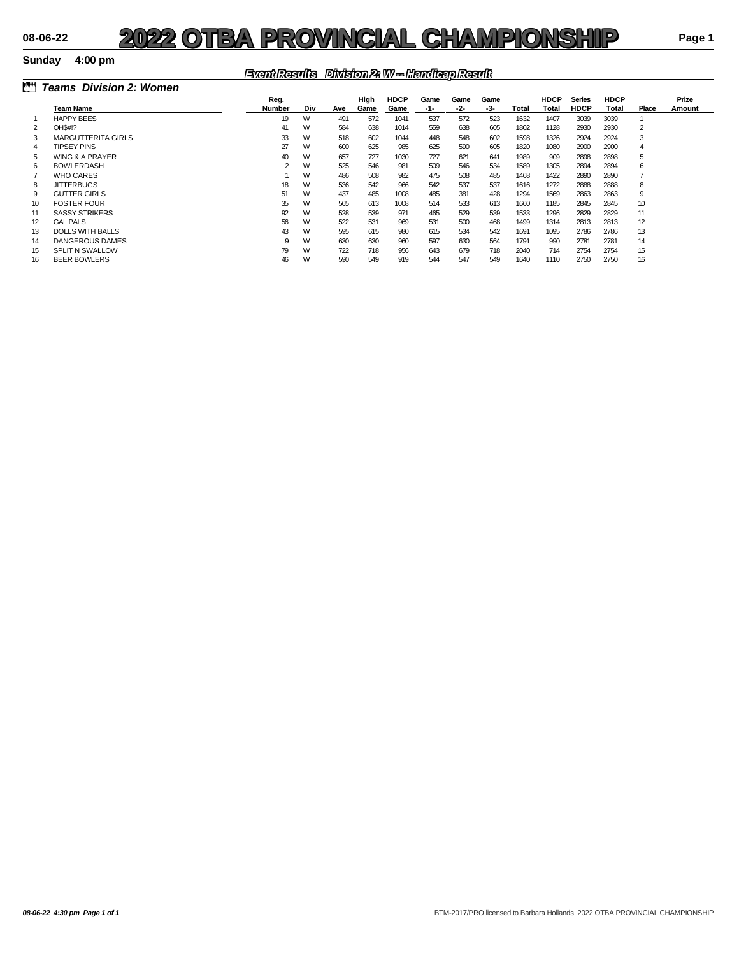#### **Sunday 4:00 pm**

### *Event Results Division 2: W -- Handicap Result*

| lait | <b>Teams Division 2: Women</b> |        |     |     |      |             |      |      |      |       |             |               |             |                |        |
|------|--------------------------------|--------|-----|-----|------|-------------|------|------|------|-------|-------------|---------------|-------------|----------------|--------|
|      |                                | Reg.   |     |     | High | <b>HDCP</b> | Game | Game | Game |       | <b>HDCP</b> | <b>Series</b> | <b>HDCP</b> |                | Prize  |
|      | Team Name                      | Number | Div | Ave | Game | Game        | -1-  | -2-  | -3-  | Total | Total       | <b>HDCP</b>   | Total       | Place          | Amount |
|      | <b>HAPPY BEES</b>              | 19     | W   | 491 | 572  | 1041        | 537  | 572  | 523  | 1632  | 1407        | 3039          | 3039        |                |        |
|      | OH\$#!?                        | 41     | W   | 584 | 638  | 1014        | 559  | 638  | 605  | 1802  | 1128        | 2930          | 2930        | $\overline{2}$ |        |
| 3    | <b>MARGUTTERITA GIRLS</b>      | 33     | W   | 518 | 602  | 1044        | 448  | 548  | 602  | 1598  | 1326        | 2924          | 2924        | 3              |        |
| 4    | <b>TIPSEY PINS</b>             | 27     | W   | 600 | 625  | 985         | 625  | 590  | 605  | 1820  | 1080        | 2900          | 2900        | 4              |        |
| 5    | <b>WING &amp; A PRAYER</b>     | 40     | W   | 657 | 727  | 1030        | 727  | 621  | 641  | 1989  | 909         | 2898          | 2898        | 5              |        |
| 6    | <b>BOWLERDASH</b>              |        | W   | 525 | 546  | 981         | 509  | 546  | 534  | 1589  | 1305        | 2894          | 2894        | 6              |        |
|      | WHO CARES                      |        | W   | 486 | 508  | 982         | 475  | 508  | 485  | 1468  | 1422        | 2890          | 2890        |                |        |
| 8    | <b>JITTERBUGS</b>              | 18     | W   | 536 | 542  | 966         | 542  | 537  | 537  | 1616  | 1272        | 2888          | 2888        | 8              |        |
| 9    | <b>GUTTER GIRLS</b>            | 51     | W   | 437 | 485  | 1008        | 485  | 381  | 428  | 1294  | 1569        | 2863          | 2863        | 9              |        |
| 10   | <b>FOSTER FOUR</b>             | 35     | W   | 565 | 613  | 1008        | 514  | 533  | 613  | 1660  | 1185        | 2845          | 2845        | 10             |        |
| 11   | <b>SASSY STRIKERS</b>          | 92     | W   | 528 | 539  | 971         | 465  | 529  | 539  | 1533  | 1296        | 2829          | 2829        | 11             |        |
| 12   | <b>GAL PALS</b>                | 56     | W   | 522 | 531  | 969         | 531  | 500  | 468  | 1499  | 1314        | 2813          | 2813        | 12             |        |
| 13   | <b>DOLLS WITH BALLS</b>        | 43     | W   | 595 | 615  | 980         | 615  | 534  | 542  | 1691  | 1095        | 2786          | 2786        | 13             |        |
| 14   | DANGEROUS DAMES                | g      | W   | 630 | 630  | 960         | 597  | 630  | 564  | 1791  | 990         | 2781          | 2781        | 14             |        |
| 15   | <b>SPLIT N SWALLOW</b>         | 79     | W   | 722 | 718  | 956         | 643  | 679  | 718  | 2040  | 714         | 2754          | 2754        | 15             |        |
| 16   | <b>BEER BOWLERS</b>            | 46     | W   | 590 | 549  | 919         | 544  | 547  | 549  | 1640  | 1110        | 2750          | 2750        | 16             |        |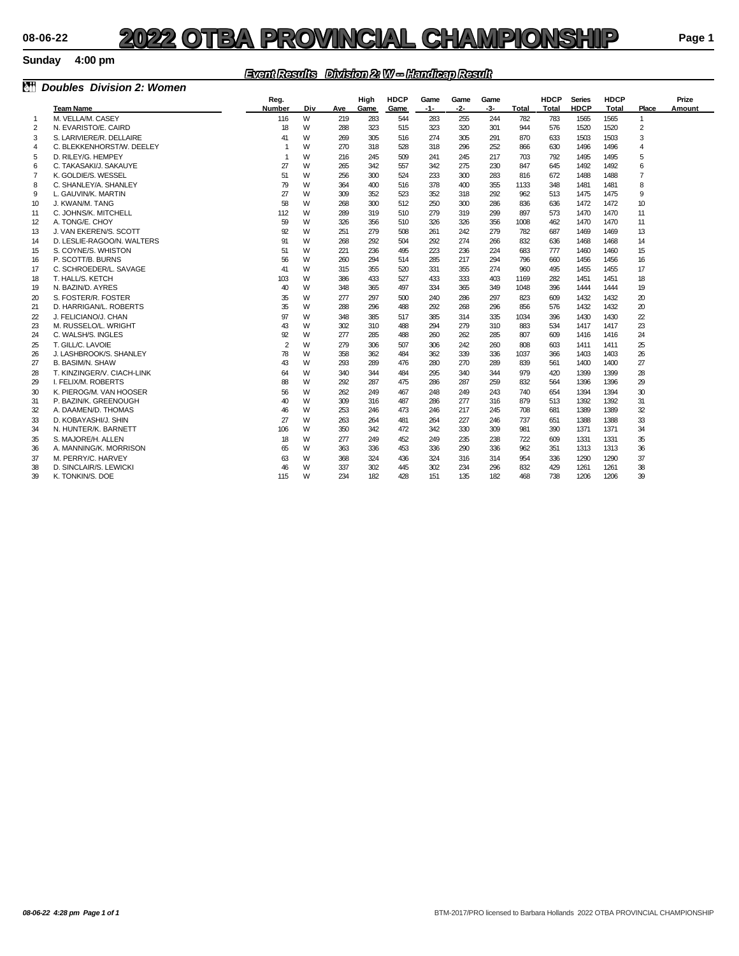#### **Sunday 4:00 pm**

### *Event Results Division 2: W -- Handicap Result*

|                |                                          | <b>ENGINEERING ENVIRONMENT OF THE METHOD PINGERING</b> |        |            |            |             |            |            |            |              |             |               |              |                |        |
|----------------|------------------------------------------|--------------------------------------------------------|--------|------------|------------|-------------|------------|------------|------------|--------------|-------------|---------------|--------------|----------------|--------|
| ôň             | <b>Doubles Division 2: Women</b>         |                                                        |        |            |            |             |            |            |            |              |             |               |              |                |        |
|                |                                          | Reg.                                                   |        |            | High       | <b>HDCP</b> | Game       | Game       | Game       |              | <b>HDCP</b> | <b>Series</b> | <b>HDCP</b>  |                | Prize  |
|                | <b>Team Name</b>                         | <b>Number</b>                                          | Div    | Ave        | Game       | Game        | $-1-$      | -2-        | -3-        | <b>Total</b> | Total       | <b>HDCP</b>   | Total        | Place          | Amount |
| $\overline{1}$ | M. VELLA/M. CASEY                        | 116                                                    | W      | 219        | 283        | 544         | 283        | 255        | 244        | 782          | 783         | 1565          | 1565         | $\mathbf{1}$   |        |
| $\overline{2}$ | N. EVARISTO/E. CAIRD                     | 18                                                     | W      | 288        | 323        | 515         | 323        | 320        | 301        | 944          | 576         | 1520          | 1520         | $\overline{2}$ |        |
| 3              | S. LARIVIERE/R. DELLAIRE                 | 41                                                     | W      | 269        | 305        | 516         | 274        | 305        | 291        | 870          | 633         | 1503          | 1503         | 3              |        |
| 4              | C. BLEKKENHORST/W. DEELEY                | $\overline{1}$                                         | W      | 270        | 318        | 528         | 318        | 296        | 252        | 866          | 630         | 1496          | 1496         | $\overline{4}$ |        |
| 5              | D. RILEY/G. HEMPEY                       | -1                                                     | W      | 216        | 245        | 509         | 241        | 245        | 217        | 703          | 792         | 1495          | 1495         | 5              |        |
| 6              | C. TAKASAKI/J. SAKAUYE                   | 27                                                     | W      | 265        | 342        | 557         | 342        | 275        | 230        | 847          | 645         | 1492          | 1492         | 6              |        |
| $\overline{7}$ | K. GOLDIE/S. WESSEL                      | 51                                                     | W      | 256        | 300        | 524         | 233        | 300        | 283        | 816          | 672         | 1488          | 1488         | $\overline{7}$ |        |
| 8              | C. SHANLEY/A. SHANLEY                    | 79                                                     | W      | 364        | 400        | 516         | 378        | 400        | 355        | 1133         | 348         | 1481          | 1481         | 8              |        |
| 9              | L. GAUVIN/K. MARTIN                      | 27                                                     | W      | 309        | 352        | 523         | 352        | 318        | 292        | 962          | 513         | 1475          | 1475         | 9              |        |
| 10             | J. KWAN/M. TANG                          | 58                                                     | W      | 268        | 300        | 512         | 250        | 300        | 286        | 836          | 636         | 1472          | 1472         | 10             |        |
| 11             | C. JOHNS/K. MITCHELL                     | 112                                                    | W      | 289        | 319        | 510         | 279        | 319        | 299        | 897          | 573<br>462  | 1470          | 1470         | 11             |        |
| 12             | A. TONG/E. CHOY                          | 59                                                     | W      | 326        | 356        | 510         | 326        | 326        | 356        | 1008         |             | 1470          | 1470         | 11             |        |
| 13             | J. VAN EKEREN/S. SCOTT                   | 92                                                     | W<br>W | 251        | 279        | 508         | 261<br>292 | 242<br>274 | 279        | 782          | 687         | 1469          | 1469         | 13<br>14       |        |
| 14             | D. LESLIE-RAGOO/N. WALTERS               | 91                                                     |        | 268        | 292        | 504         |            |            | 266        | 832          | 636         | 1468          | 1468         |                |        |
| 15             | S. COYNE/S. WHISTON<br>P. SCOTT/B. BURNS | 51                                                     | W<br>W | 221        | 236<br>294 | 495<br>514  | 223<br>285 | 236<br>217 | 224<br>294 | 683<br>796   | 777<br>660  | 1460          | 1460<br>1456 | 15             |        |
| 16<br>17       | C. SCHROEDER/L. SAVAGE                   | 56<br>41                                               | W      | 260<br>315 | 355        | 520         | 331        | 355        | 274        | 960          | 495         | 1456<br>1455  | 1455         | 16<br>17       |        |
|                | T. HALL/S. KETCH                         |                                                        | W      | 386        | 433        | 527         | 433        | 333        | 403        | 1169         | 282         | 1451          | 1451         | 18             |        |
| 18<br>19       | N. BAZIN/D. AYRES                        | 103<br>40                                              | W      | 348        | 365        | 497         | 334        | 365        | 349        | 1048         | 396         | 1444          | 1444         | 19             |        |
| 20             | S. FOSTER/R. FOSTER                      | 35                                                     | W      | 277        | 297        | 500         | 240        | 286        | 297        | 823          | 609         | 1432          | 1432         | 20             |        |
| 21             | D. HARRIGAN/L. ROBERTS                   | 35                                                     | W      | 288        | 296        | 488         | 292        | 268        | 296        | 856          | 576         | 1432          | 1432         | 20             |        |
| $\overline{2}$ | J. FELICIANO/J. CHAN                     | 97                                                     | W      | 348        | 385        | 517         | 385        | 314        | 335        | 1034         | 396         | 1430          | 1430         | 22             |        |
| 23             | M. RUSSELO/L. WRIGHT                     | 43                                                     | W      | 302        | 310        | 488         | 294        | 279        | 310        | 883          | 534         | 1417          | 1417         | 23             |        |
| 24             | C. WALSH/S. INGLES                       | 92                                                     | W      | 277        | 285        | 488         | 260        | 262        | 285        | 807          | 609         | 1416          | 1416         | 24             |        |
| 25             | T. GILL/C. LAVOIE                        | $\overline{2}$                                         | W      | 279        | 306        | 507         | 306        | 242        | 260        | 808          | 603         | 1411          | 1411         | 25             |        |
| 26             | J. LASHBROOK/S. SHANLEY                  | 78                                                     | W      | 358        | 362        | 484         | 362        | 339        | 336        | 1037         | 366         | 1403          | 1403         | 26             |        |
| 27             | <b>B. BASIM/N. SHAW</b>                  | 43                                                     | W      | 293        | 289        | 476         | 280        | 270        | 289        | 839          | 561         | 1400          | 1400         | 27             |        |
| 28             | T. KINZINGER/V. CIACH-LINK               | 64                                                     | W      | 340        | 344        | 484         | 295        | 340        | 344        | 979          | 420         | 1399          | 1399         | 28             |        |
| 29             | I. FELIX/M. ROBERTS                      | 88                                                     | W      | 292        | 287        | 475         | 286        | 287        | 259        | 832          | 564         | 1396          | 1396         | 29             |        |
| 30             | K. PIEROG/M. VAN HOOSER                  | 56                                                     | W      | 262        | 249        | 467         | 248        | 249        | 243        | 740          | 654         | 1394          | 1394         | 30             |        |
| 31             | P. BAZIN/K. GREENOUGH                    | 40                                                     | W      | 309        | 316        | 487         | 286        | 277        | 316        | 879          | 513         | 1392          | 1392         | 31             |        |
| 32             | A. DAAMEN/D. THOMAS                      | 46                                                     | W      | 253        | 246        | 473         | 246        | 217        | 245        | 708          | 681         | 1389          | 1389         | 32             |        |
| 33             | D. KOBAYASHI/J. SHIN                     | 27                                                     | W      | 263        | 264        | 481         | 264        | 227        | 246        | 737          | 651         | 1388          | 1388         | 33             |        |
| 34             | N. HUNTER/K. BARNETT                     | 106                                                    | W      | 350        | 342        | 472         | 342        | 330        | 309        | 981          | 390         | 1371          | 1371         | 34             |        |
| 35             | S. MAJORE/H. ALLEN                       | 18                                                     | W      | 277        | 249        | 452         | 249        | 235        | 238        | 722          | 609         | 1331          | 1331         | 35             |        |
| 36             | A. MANNING/K. MORRISON                   | 65                                                     | W      | 363        | 336        | 453         | 336        | 290        | 336        | 962          | 351         | 1313          | 1313         | 36             |        |
| 37             | M. PERRY/C. HARVEY                       | 63                                                     | W      | 368        | 324        | 436         | 324        | 316        | 314        | 954          | 336         | 1290          | 1290         | 37             |        |
| 38             | D. SINCLAIR/S. LEWICKI                   | 46                                                     | W      | 337        | 302        | 445         | 302        | 234        | 296        | 832          | 429         | 1261          | 1261         | 38             |        |
| 39             | K. TONKIN/S. DOE                         | 115                                                    | W      | 234        | 182        | 428         | 151        | 135        | 182        | 468          | 738         | 1206          | 1206         | 39             |        |
|                |                                          |                                                        |        |            |            |             |            |            |            |              |             |               |              |                |        |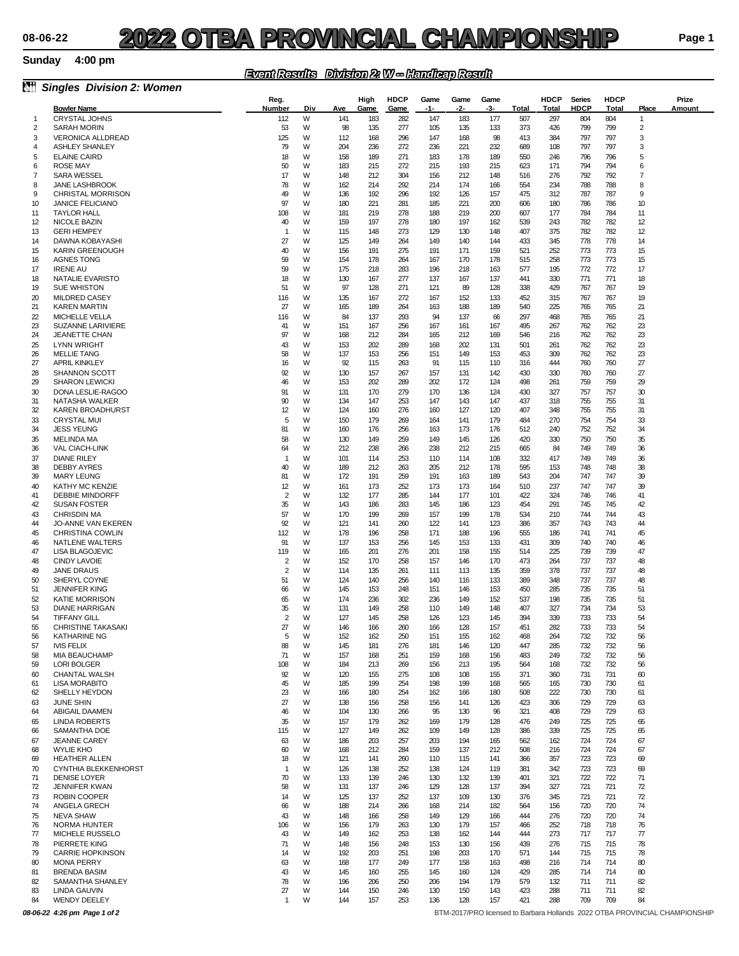#### **Sunday**

### *Event Results Division 2: W -- Handicap Result*

| ðŤ           | <b>Singles Division 2: Women</b>                   |                                  |        |            |              |                     |             |             |             |            |                      |                       |                      |                                |                                                                             |
|--------------|----------------------------------------------------|----------------------------------|--------|------------|--------------|---------------------|-------------|-------------|-------------|------------|----------------------|-----------------------|----------------------|--------------------------------|-----------------------------------------------------------------------------|
|              | <b>Bowler Name</b>                                 | Reg.<br>Number                   | Div    | Ave        | High<br>Game | <b>HDCP</b><br>Game | Game<br>-1- | Game<br>-2- | Game<br>-3- | Total      | <b>HDCP</b><br>Total | <b>Series</b><br>HDCP | <b>HDCP</b><br>Total | Place                          | Prize<br>Amount                                                             |
| $\mathbf{1}$ | <b>CRYSTAL JOHNS</b>                               | 112                              | W      | 141        | 183          | 282                 | 147         | 183         | 177         | 507        | 297                  | 804                   | 804                  | $\mathbf{1}$                   |                                                                             |
| 2            | <b>SARAH MORIN</b>                                 | 53                               | W      | 98         | 135          | 277                 | 105         | 135         | 133         | 373        | 426                  | 799                   | 799                  | 2                              |                                                                             |
| 3            | <b>VERONICA ALLDREAD</b>                           | 125                              | W      | 112        | 168          | 296                 | 147         | 168         | 98          | 413        | 384                  | 797                   | 797                  | 3                              |                                                                             |
| 4            | <b>ASHLEY SHANLEY</b>                              | 79                               | W      | 204        | 236          | 272                 | 236         | 221         | 232         | 689        | 108                  | 797                   | 797                  | 3                              |                                                                             |
| 5<br>6       | <b>ELAINE CAIRD</b><br><b>ROSE MAY</b>             | 18<br>50                         | W<br>W | 158<br>183 | 189<br>215   | 271<br>272          | 183<br>215  | 178<br>193  | 189<br>215  | 550<br>623 | 246<br>171           | 796<br>794            | 796<br>794           | 5<br>6                         |                                                                             |
| 7            | <b>SARA WESSEL</b>                                 | 17                               | W      | 148        | 212          | 304                 | 156         | 212         | 148         | 516        | 276                  | 792                   | 792                  | 7                              |                                                                             |
| 8            | <b>JANE LASHBROOK</b>                              | 78                               | W      | 162        | 214          | 292                 | 214         | 174         | 166         | 554        | 234                  | 788                   | 788                  | 8                              |                                                                             |
| 9            | CHRISTAL MORRISON                                  | 49                               | W      | 136        | 192          | 296                 | 192         | 126         | 157         | 475        | 312                  | 787                   | 787                  | 9                              |                                                                             |
| 10           | <b>JANICE FELICIANO</b>                            | 97                               | W      | 180        | 221          | 281                 | 185         | 221         | 200         | 606        | 180                  | 786                   | 786                  | 10                             |                                                                             |
| 11<br>12     | <b>TAYLOR HALL</b><br>NICOLE BAZIN                 | 108<br>40                        | W<br>W | 181<br>159 | 219<br>197   | 278<br>278          | 188<br>180  | 219<br>197  | 200<br>162  | 607<br>539 | 177<br>243           | 784<br>782            | 784<br>782           | 11<br>12                       |                                                                             |
| 13           | <b>GERI HEMPEY</b>                                 | $\overline{1}$                   | W      | 115        | 148          | 273                 | 129         | 130         | 148         | 407        | 375                  | 782                   | 782                  | 12                             |                                                                             |
| 14           | DAWNA KOBAYASHI                                    | 27                               | W      | 125        | 149          | 264                 | 149         | 140         | 144         | 433        | 345                  | 778                   | 778                  | 14                             |                                                                             |
| 15           | <b>KARIN GREENOUGH</b>                             | 40                               | W      | 156        | 191          | 275                 | 191         | 171         | 159         | 521        | 252                  | 773                   | 773                  | 15                             |                                                                             |
| 16           | <b>AGNES TONG</b>                                  | 59                               | W      | 154        | 178          | 264                 | 167         | 170         | 178         | 515        | 258                  | 773                   | 773                  | 15                             |                                                                             |
| 17<br>18     | <b>IRENE AU</b><br>NATALIE EVARISTO                | 59<br>18                         | W<br>W | 175<br>130 | 218<br>167   | 283<br>277          | 196<br>137  | 218<br>167  | 163<br>137  | 577<br>441 | 195<br>330           | 772<br>771            | 772<br>771           | 17<br>18                       |                                                                             |
| 19           | <b>SUE WHISTON</b>                                 | 51                               | W      | 97         | 128          | 271                 | 121         | 89          | 128         | 338        | 429                  | 767                   | 767                  | 19                             |                                                                             |
| 20           | <b>MILDRED CASEY</b>                               | 116                              | W      | 135        | 167          | 272                 | 167         | 152         | 133         | 452        | 315                  | 767                   | 767                  | 19                             |                                                                             |
| 21           | <b>KAREN MARTIN</b>                                | 27                               | W      | 165        | 189          | 264                 | 163         | 188         | 189         | 540        | 225                  | 765                   | 765                  | 21                             |                                                                             |
| 22           | MICHELLE VELLA                                     | 116                              | W      | 84         | 137          | 293                 | 94          | 137         | 66          | 297        | 468                  | 765                   | 765                  | 21                             |                                                                             |
| 23<br>24     | <b>SUZANNE LARIVIERE</b><br><b>JEANETTE CHAN</b>   | 41<br>97                         | W<br>W | 151<br>168 | 167<br>212   | 256<br>284          | 167<br>165  | 161<br>212  | 167<br>169  | 495<br>546 | 267<br>216           | 762<br>762            | 762<br>762           | 23<br>23                       |                                                                             |
| 25           | <b>LYNN WRIGHT</b>                                 | 43                               | W      | 153        | 202          | 289                 | 168         | 202         | 131         | 501        | 261                  | 762                   | 762                  | 23                             |                                                                             |
| 26           | <b>MELLIE TANG</b>                                 | 58                               | W      | 137        | 153          | 256                 | 151         | 149         | 153         | 453        | 309                  | 762                   | 762                  | 23                             |                                                                             |
| 27           | <b>APRIL KINKLEY</b>                               | 16                               | W      | 92         | 115          | 263                 | 91          | 115         | 110         | 316        | 444                  | 760                   | 760                  | 27                             |                                                                             |
| 28           | <b>SHANNON SCOTT</b>                               | 92                               | W      | 130        | 157          | 267                 | 157         | 131         | 142         | 430        | 330                  | 760                   | 760                  | 27                             |                                                                             |
| 29           | <b>SHARON LEWICKI</b><br>DONA LESLIE-RAGOO         | 46                               | W      | 153        | 202          | 289                 | 202         | 172         | 124         | 498        | 261                  | 759                   | 759                  | 29                             |                                                                             |
| 30<br>31     | NATASHA WALKER                                     | 91<br>90                         | W<br>W | 131<br>134 | 170<br>147   | 279<br>253          | 170<br>147  | 136<br>143  | 124<br>147  | 430<br>437 | 327<br>318           | 757<br>755            | 757<br>755           | 30<br>31                       |                                                                             |
| 32           | <b>KAREN BROADHURST</b>                            | 12                               | W      | 124        | 160          | 276                 | 160         | 127         | 120         | 407        | 348                  | 755                   | 755                  | 31                             |                                                                             |
| 33           | <b>CRYSTAL MUI</b>                                 | 5                                | W      | 150        | 179          | 269                 | 164         | 141         | 179         | 484        | 270                  | 754                   | 754                  | 33                             |                                                                             |
| 34           | <b>JESS YEUNG</b>                                  | 81                               | W      | 160        | 176          | 256                 | 163         | 173         | 176         | 512        | 240                  | 752                   | 752                  | 34                             |                                                                             |
| 35<br>36     | <b>MELINDA MA</b><br><b>VAL CIACH-LINK</b>         | 58<br>64                         | W<br>W | 130<br>212 | 149<br>238   | 259<br>266          | 149<br>238  | 145<br>212  | 126<br>215  | 420<br>665 | 330<br>84            | 750<br>749            | 750<br>749           | 35<br>36                       |                                                                             |
| 37           | <b>DIANE RILEY</b>                                 | -1                               | W      | 101        | 114          | 253                 | 110         | 114         | 108         | 332        | 417                  | 749                   | 749                  | 36                             |                                                                             |
| 38           | <b>DEBBY AYRES</b>                                 | 40                               | W      | 189        | 212          | 263                 | 205         | 212         | 178         | 595        | 153                  | 748                   | 748                  | 38                             |                                                                             |
| 39           | <b>MARY LEUNG</b>                                  | 81                               | W      | 172        | 191          | 259                 | 191         | 163         | 189         | 543        | 204                  | 747                   | 747                  | 39                             |                                                                             |
| 40           | KATHY MC KENZIE                                    | 12                               | W      | 161        | 173          | 252                 | 173         | 173         | 164         | 510        | 237                  | 747                   | 747                  | 39                             |                                                                             |
| 41<br>42     | <b>DEBBIE MINDORFF</b><br><b>SUSAN FOSTER</b>      | $\overline{2}$<br>35             | W<br>W | 132<br>143 | 177<br>186   | 285<br>283          | 144<br>145  | 177<br>186  | 101<br>123  | 422<br>454 | 324<br>291           | 746<br>745            | 746<br>745           | 41<br>42                       |                                                                             |
| 43           | <b>CHRISDIN MA</b>                                 | 57                               | W      | 170        | 199          | 269                 | 157         | 199         | 178         | 534        | 210                  | 744                   | 744                  | 43                             |                                                                             |
| 44           | <b>JO-ANNE VAN EKEREN</b>                          | 92                               | W      | 121        | 141          | 260                 | 122         | 141         | 123         | 386        | 357                  | 743                   | 743                  | 44                             |                                                                             |
| 45           | <b>CHRISTINA COWLIN</b>                            | 112                              | W      | 178        | 196          | 258                 | 171         | 188         | 196         | 555        | 186                  | 741                   | 741                  | 45                             |                                                                             |
| 46           | NATLENE WALTERS                                    | 91                               | W      | 137        | 153          | 256                 | 145         | 153         | 133         | 431        | 309                  | 740                   | 740                  | 46                             |                                                                             |
| 47<br>48     | <b>LISA BLAGOJEVIC</b><br><b>CINDY LAVOIE</b>      | 119                              | W<br>W | 165<br>152 | 201<br>170   | 276<br>258          | 201<br>157  | 158<br>146  | 155<br>170  | 514<br>473 | 225<br>264           | 739<br>737            | 739<br>737           | 47<br>48                       |                                                                             |
| 49           | <b>JANE DRAUS</b>                                  | $\overline{2}$<br>$\overline{2}$ | W      | 114        | 135          | 261                 | 111         | 113         | 135         | 359        | 378                  | 737                   | 737                  | 48                             |                                                                             |
| 50           | SHERYL COYNE                                       | 51                               | W      | 124        | 140          | 256                 | 140         | 116         | 133         | 389        | 348                  | 737                   | 737                  | 48                             |                                                                             |
| 51           | <b>JENNIFER KING</b>                               | 66                               | W      | 145        | 153          | 248                 | 151         | 146         | 153         | 450        | 285                  | 735                   | 735                  | 51                             |                                                                             |
| 52           | <b>KATIE MORRISON</b>                              | 65                               | W      | 174        | 236          | 302                 | 236         | 149         | 152         | 537        | 198                  | 735                   | 735                  | 51                             |                                                                             |
| 53<br>54     | <b>DIANE HARRIGAN</b><br><b>TIFFANY GILL</b>       | 35<br>$\overline{2}$             | W<br>W | 131<br>127 | 149<br>145   | 258<br>258          | 110<br>126  | 149<br>123  | 148<br>145  | 407<br>394 | 327<br>339           | 734<br>733            | 734<br>733           | 53<br>54                       |                                                                             |
| 55           | <b>CHRISTINE TAKASAKI</b>                          | 27                               | W      | 146        | 166          | 260                 | 166         | 128         | 157         | 451        | 282                  | 733                   | 733                  | 54                             |                                                                             |
| 56           | <b>KATHARINE NG</b>                                | 5                                | W      | 152        | 162          | 250                 | 151         | 155         | 162         | 468        | 264                  | 732                   | 732                  | 56                             |                                                                             |
| 57           | <b>IVIS FELIX</b>                                  | 88                               | W      | 145        | 181          | 276                 | 181         | 146         | 120         | 447        | 285                  | 732                   | 732                  | 56                             |                                                                             |
| 58<br>59     | <b>MIA BEAUCHAMP</b><br><b>LORI BOLGER</b>         | 71<br>108                        | W<br>W | 157<br>184 | 168<br>213   | 251<br>269          | 159<br>156  | 168<br>213  | 156<br>195  | 483<br>564 | 249<br>168           | 732<br>732            | 732<br>732           | 56<br>56                       |                                                                             |
| 60           | <b>CHANTAL WALSH</b>                               | 92                               | W      | 120        | 155          | 275                 | 108         | 108         | 155         | 371        | 360                  | 731                   | 731                  | 60                             |                                                                             |
| 61           | <b>LISA MORABITO</b>                               | 45                               | W      | 185        | 199          | 254                 | 198         | 199         | 168         | 565        | 165                  | 730                   | 730                  | 61                             |                                                                             |
| 62           | SHELLY HEYDON                                      | 23                               | W      | 166        | 180          | 254                 | 162         | 166         | 180         | 508        | 222                  | 730                   | 730                  | 61                             |                                                                             |
| 63           | <b>JUNE SHIN</b>                                   | 27                               | W      | 138        | 156          | 258                 | 156         | 141         | 126         | 423        | 306                  | 729                   | 729                  | 63                             |                                                                             |
| 64<br>65     | <b>ABIGAIL DAAMEN</b><br><b>LINDA ROBERTS</b>      | 46<br>35                         | W<br>W | 104<br>157 | 130<br>179   | 266<br>262          | 95<br>169   | 130<br>179  | 96<br>128   | 321<br>476 | 408<br>249           | 729<br>725            | 729<br>725           | 63<br>65                       |                                                                             |
| 66           | <b>SAMANTHA DOE</b>                                | 115                              | W      | 127        | 149          | 262                 | 109         | 149         | 128         | 386        | 339                  | 725                   | 725                  | 65                             |                                                                             |
| 67           | JEANNE CAREY                                       | 63                               | W      | 186        | 203          | 257                 | 203         | 194         | 165         | 562        | 162                  | 724                   | 724                  | 67                             |                                                                             |
| 68           | <b>WYLIE KHO</b>                                   | 60                               | W      | 168        | 212          | 284                 | 159         | 137         | 212         | 508        | 216                  | 724                   | 724                  | 67                             |                                                                             |
| 69           | <b>HEATHER ALLEN</b>                               | 18                               | W      | 121        | 141          | 260                 | 110         | 115         | 141         | 366        | 357                  | 723                   | 723                  | 69                             |                                                                             |
| 70<br>71     | <b>CYNTHIA BLEKKENHORST</b><br><b>DENISE LOYER</b> | $\mathbf{1}$<br>70               | W<br>W | 126<br>133 | 138<br>139   | 252<br>246          | 138<br>130  | 124<br>132  | 119<br>139  | 381<br>401 | 342<br>321           | 723<br>722            | 723<br>722           | 69<br>71                       |                                                                             |
| 72           | JENNIFER KWAN                                      | 58                               | W      | 131        | 137          | 246                 | 129         | 128         | 137         | 394        | 327                  | 721                   | 721                  | 72                             |                                                                             |
| 73           | <b>ROBIN COOPER</b>                                | 14                               | W      | 125        | 137          | 252                 | 137         | 109         | 130         | 376        | 345                  | 721                   | 721                  | 72                             |                                                                             |
| 74           | ANGELA GRECH                                       | 66                               | W      | 188        | 214          | 266                 | 168         | 214         | 182         | 564        | 156                  | 720                   | 720                  | 74                             |                                                                             |
| 75           | <b>NEVA SHAW</b>                                   | 43                               | W      | 148        | 166          | 258                 | 149         | 129         | 166         | 444        | 276                  | 720                   | 720                  | 74                             |                                                                             |
| 76<br>77     | <b>NORMA HUNTER</b><br>MICHELE RUSSELO             | 106<br>43                        | W<br>W | 156<br>149 | 179<br>162   | 263<br>253          | 130<br>138  | 179<br>162  | 157<br>144  | 466<br>444 | 252<br>273           | 718<br>717            | 718<br>717           | 76<br>$\overline{\mathcal{U}}$ |                                                                             |
| 78           | PIERRETE KING                                      | 71                               | W      | 148        | 156          | 248                 | 153         | 130         | 156         | 439        | 276                  | 715                   | 715                  | 78                             |                                                                             |
| 79           | <b>CARRIE HOPKINSON</b>                            | 14                               | W      | 192        | 203          | 251                 | 198         | 203         | 170         | 571        | 144                  | 715                   | 715                  | 78                             |                                                                             |
| 80           | <b>MONA PERRY</b>                                  | 63                               | W      | 168        | 177          | 249                 | 177         | 158         | 163         | 498        | 216                  | 714                   | 714                  | 80                             |                                                                             |
| 81           | <b>BRENDA BASIM</b>                                | 43                               | W      | 145        | 160          | 255                 | 145         | 160         | 124         | 429        | 285                  | 714                   | 714                  | 80                             |                                                                             |
| 82<br>83     | SAMANTHA SHANLEY<br>LINDA GAUVIN                   | 78                               | W<br>W | 196<br>144 | 206<br>150   | 250<br>246          | 206<br>130  | 194<br>150  | 179<br>143  | 579<br>423 | 132<br>288           | 711<br>711            | 711<br>711           | 82<br>82                       |                                                                             |
| 84           | <b>WENDY DEELEY</b>                                | 27<br>$\mathbf{1}$               | W      | 144        | 157          | 253                 | 136         | 128         | 157         | 421        | 288                  | 709                   | 709                  | 84                             |                                                                             |
|              | 08-06-22 4:26 pm Page 1 of 2                       |                                  |        |            |              |                     |             |             |             |            |                      |                       |                      |                                | BTM-2017/PRO licensed to Barbara Hollands 2022 OTBA PROVINCIAL CHAMPIONSHIP |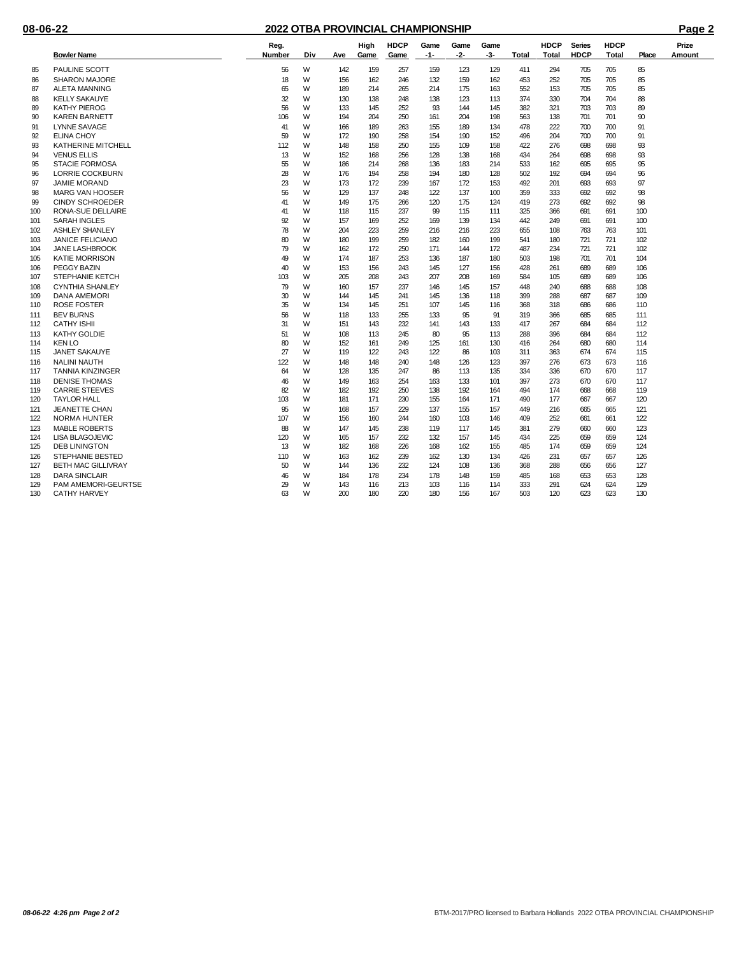|     | <b>Bowler Name</b>        | Reg.<br>Number | Div | Ave | High<br>Game | <b>HDCP</b><br>Game | Game<br>$-1-$ | Game<br>-2- | Game<br>-3- | <b>Total</b> | <b>HDCP</b><br>Total | <b>Series</b><br><b>HDCP</b> | <b>HDCP</b><br>Total | Place | Prize<br>Amount |
|-----|---------------------------|----------------|-----|-----|--------------|---------------------|---------------|-------------|-------------|--------------|----------------------|------------------------------|----------------------|-------|-----------------|
| 85  | <b>PAULINE SCOTT</b>      | 56             | W   | 142 | 159          | 257                 | 159           | 123         | 129         | 411          | 294                  | 705                          | 705                  | 85    |                 |
| 86  | <b>SHARON MAJORE</b>      | 18             | W   | 156 | 162          | 246                 | 132           | 159         | 162         | 453          | 252                  | 705                          | 705                  | 85    |                 |
| 87  | <b>ALETA MANNING</b>      | 65             | W   | 189 | 214          | 265                 | 214           | 175         | 163         | 552          | 153                  | 705                          | 705                  | 85    |                 |
| 88  | <b>KELLY SAKAUYE</b>      | 32             | W   | 130 | 138          | 248                 | 138           | 123         | 113         | 374          | 330                  | 704                          | 704                  | 88    |                 |
| 89  | <b>KATHY PIEROG</b>       | 56             | W   | 133 | 145          | 252                 | 93            | 144         | 145         | 382          | 321                  | 703                          | 703                  | 89    |                 |
| 90  | <b>KAREN BARNETT</b>      | 106            | W   | 194 | 204          | 250                 | 161           | 204         | 198         | 563          | 138                  | 701                          | 701                  | 90    |                 |
| 91  | <b>LYNNE SAVAGE</b>       | 41             | W   | 166 | 189          | 263                 | 155           | 189         | 134         | 478          | 222                  | 700                          | 700                  | 91    |                 |
| 92  | <b>ELINA CHOY</b>         | 59             | W   | 172 | 190          | 258                 | 154           | 190         | 152         | 496          | 204                  | 700                          | 700                  | 91    |                 |
| 93  | <b>KATHERINE MITCHELL</b> | 112            | W   | 148 | 158          | 250                 | 155           | 109         | 158         | 422          | 276                  | 698                          | 698                  | 93    |                 |
| 94  | <b>VENUS ELLIS</b>        | 13             | W   | 152 | 168          | 256                 | 128           | 138         | 168         | 434          | 264                  | 698                          | 698                  | 93    |                 |
| 95  | <b>STACIE FORMOSA</b>     | 55             | W   | 186 | 214          | 268                 | 136           | 183         | 214         | 533          | 162                  | 695                          | 695                  | 95    |                 |
| 96  | <b>LORRIE COCKBURN</b>    | 28             | W   | 176 | 194          | 258                 | 194           | 180         | 128         | 502          | 192                  | 694                          | 694                  | 96    |                 |
| 97  | <b>JAMIE MORAND</b>       | 23             | W   | 173 | 172          | 239                 | 167           | 172         | 153         | 492          | 201                  | 693                          | 693                  | 97    |                 |
| 98  | <b>MARG VAN HOOSER</b>    | 56             | W   | 129 | 137          | 248                 | 122           | 137         | 100         | 359          | 333                  | 692                          | 692                  | 98    |                 |
| 99  | <b>CINDY SCHROEDER</b>    | 41             | W   | 149 | 175          | 266                 | 120           | 175         | 124         | 419          | 273                  | 692                          | 692                  | 98    |                 |
| 100 | RONA-SUE DELLAIRE         | 41             | W   | 118 | 115          | 237                 | 99            | 115         | 111         | 325          | 366                  | 691                          | 691                  | 100   |                 |
| 101 | <b>SARAH INGLES</b>       | 92             | W   | 157 | 169          | 252                 | 169           | 139         | 134         | 442          | 249                  | 691                          | 691                  | 100   |                 |
| 102 | <b>ASHLEY SHANLEY</b>     | 78             | W   | 204 | 223          | 259                 | 216           | 216         | 223         | 655          | 108                  | 763                          | 763                  | 101   |                 |
| 103 | <b>JANICE FELICIANO</b>   | 80             | W   | 180 | 199          | 259                 | 182           | 160         | 199         | 541          | 180                  | 721                          | 721                  | 102   |                 |
| 104 | <b>JANE LASHBROOK</b>     | 79             | W   | 162 | 172          | 250                 | 171           | 144         | 172         | 487          | 234                  | 721                          | 721                  | 102   |                 |
| 105 | <b>KATIE MORRISON</b>     | 49             | W   | 174 | 187          | 253                 | 136           | 187         | 180         | 503          | 198                  | 701                          | 701                  | 104   |                 |
| 106 | PEGGY BAZIN               | 40             | W   | 153 | 156          | 243                 | 145           | 127         | 156         | 428          | 261                  | 689                          | 689                  | 106   |                 |
| 107 | <b>STEPHANIE KETCH</b>    | 103            | W   | 205 | 208          | 243                 | 207           | 208         | 169         | 584          | 105                  | 689                          | 689                  | 106   |                 |
| 108 | <b>CYNTHIA SHANLEY</b>    | 79             | W   | 160 | 157          | 237                 | 146           | 145         | 157         | 448          | 240                  | 688                          | 688                  | 108   |                 |
| 109 | DANA AMEMORI              | 30             | W   | 144 | 145          | 241                 | 145           | 136         | 118         | 399          | 288                  | 687                          | 687                  | 109   |                 |
| 110 | <b>ROSE FOSTER</b>        | 35             | W   | 134 | 145          | 251                 | 107           | 145         | 116         | 368          | 318                  | 686                          | 686                  | 110   |                 |
| 111 | <b>BEV BURNS</b>          | 56             | W   | 118 | 133          | 255                 | 133           | 95          | 91          | 319          | 366                  | 685                          | 685                  | 111   |                 |
| 112 | <b>CATHY ISHII</b>        | 31             | W   | 151 | 143          | 232                 | 141           | 143         | 133         | 417          | 267                  | 684                          | 684                  | 112   |                 |
| 113 | KATHY GOLDIE              | 51             | W   | 108 | 113          | 245                 | 80            | 95          | 113         | 288          | 396                  | 684                          | 684                  | 112   |                 |
| 114 | <b>KEN LO</b>             | 80             | W   | 152 | 161          | 249                 | 125           | 161         | 130         | 416          | 264                  | 680                          | 680                  | 114   |                 |
| 115 | <b>JANET SAKAUYE</b>      | 27             | W   | 119 | 122          | 243                 | 122           | 86          | 103         | 311          | 363                  | 674                          | 674                  | 115   |                 |
| 116 | <b>NALINI NAUTH</b>       | 122            | W   | 148 | 148          | 240                 | 148           | 126         | 123         | 397          | 276                  | 673                          | 673                  | 116   |                 |
| 117 | <b>TANNIA KINZINGER</b>   | 64             | W   | 128 | 135          | 247                 | 86            | 113         | 135         | 334          | 336                  | 670                          | 670                  | 117   |                 |
| 118 | <b>DENISE THOMAS</b>      | 46             | W   | 149 | 163          | 254                 | 163           | 133         | 101         | 397          | 273                  | 670                          | 670                  | 117   |                 |
| 119 | <b>CARRIE STEEVES</b>     | 82             | W   | 182 | 192          | 250                 | 138           | 192         | 164         | 494          | 174                  | 668                          | 668                  | 119   |                 |
| 120 | <b>TAYLOR HALL</b>        | 103            | W   | 181 | 171          | 230                 | 155           | 164         | 171         | 490          | 177                  | 667                          | 667                  | 120   |                 |
| 121 | <b>JEANETTE CHAN</b>      | 95             | W   | 168 | 157          | 229                 | 137           | 155         | 157         | 449          | 216                  | 665                          | 665                  | 121   |                 |
| 122 | <b>NORMA HUNTER</b>       | 107            | W   | 156 | 160          | 244                 | 160           | 103         | 146         | 409          | 252                  | 661                          | 661                  | 122   |                 |
| 123 | <b>MABLE ROBERTS</b>      | 88             | W   | 147 | 145          | 238                 | 119           | 117         | 145         | 381          | 279                  | 660                          | 660                  | 123   |                 |
| 124 | <b>LISA BLAGOJEVIC</b>    | 120            | W   | 165 | 157          | 232                 | 132           | 157         | 145         | 434          | 225                  | 659                          | 659                  | 124   |                 |
| 125 | <b>DEB LININGTON</b>      | 13             | W   | 182 | 168          | 226                 | 168           | 162         | 155         | 485          | 174                  | 659                          | 659                  | 124   |                 |
| 126 | <b>STEPHANIE BESTED</b>   | 110            | W   | 163 | 162          | 239                 | 162           | 130         | 134         | 426          | 231                  | 657                          | 657                  | 126   |                 |
| 127 | <b>BETH MAC GILLIVRAY</b> | 50             | W   | 144 | 136          | 232                 | 124           | 108         | 136         | 368          | 288                  | 656                          | 656                  | 127   |                 |
| 128 | <b>DARA SINCLAIR</b>      | 46             | W   | 184 | 178          | 234                 | 178           | 148         | 159         | 485          | 168                  | 653                          | 653                  | 128   |                 |
| 129 | PAM AMEMORI-GEURTSE       | 29             | W   | 143 | 116          | 213                 | 103           | 116         | 114         | 333          | 291                  | 624                          | 624                  | 129   |                 |
| 130 | <b>CATHY HARVEY</b>       | 63             | W   | 200 | 180          | 220                 | 180           | 156         | 167         | 503          | 120                  | 623                          | 623                  | 130   |                 |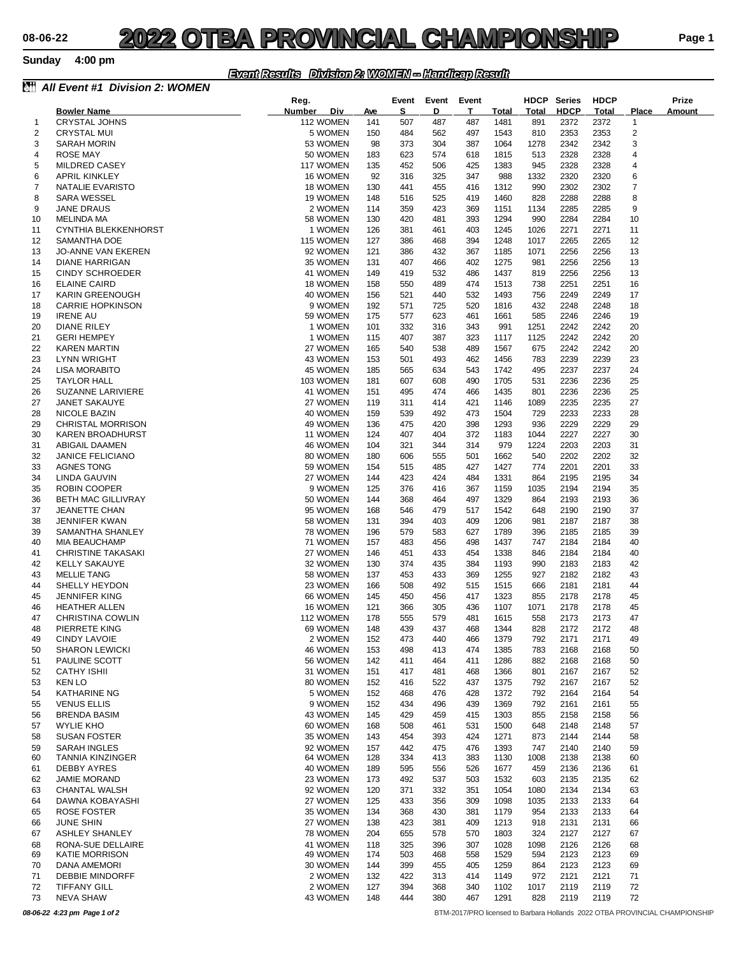**Sunday 4:00 pm**

### *Event Results Division 2: WOMEN -- Handicap Result*

|          | <b>All Event #1 Division 2: WOMEN</b>      |            |                       |            |            |            |             |              |              |               |              |                     |        |
|----------|--------------------------------------------|------------|-----------------------|------------|------------|------------|-------------|--------------|--------------|---------------|--------------|---------------------|--------|
|          |                                            | Reg.       |                       |            | Event      |            | Event Event |              | <b>HDCP</b>  | <b>Series</b> | <b>HDCP</b>  |                     | Prize  |
|          | <b>Bowler Name</b>                         | Number Div |                       | <u>Ave</u> | S          | D          | Т           | Total        | <u>Total</u> | <u>HDCP</u>   | Total        | <b>Place</b>        | Amount |
| 1<br>2   | <b>CRYSTAL JOHNS</b><br><b>CRYSTAL MUI</b> |            | 112 WOMEN<br>5 WOMEN  | 141<br>150 | 507<br>484 | 487<br>562 | 487<br>497  | 1481<br>1543 | 891<br>810   | 2372<br>2353  | 2372<br>2353 | 1<br>$\overline{2}$ |        |
| 3        | <b>SARAH MORIN</b>                         |            | 53 WOMEN              | 98         | 373        | 304        | 387         | 1064         | 1278         | 2342          | 2342         | 3                   |        |
| 4        | <b>ROSE MAY</b>                            |            | 50 WOMEN              | 183        | 623        | 574        | 618         | 1815         | 513          | 2328          | 2328         | 4                   |        |
| 5        | MILDRED CASEY                              |            | 117 WOMEN             | 135        | 452        | 506        | 425         | 1383         | 945          | 2328          | 2328         | 4                   |        |
| 6        | <b>APRIL KINKLEY</b>                       |            | 16 WOMEN              | 92         | 316        | 325        | 347         | 988          | 1332         | 2320          | 2320         | 6                   |        |
| 7        | NATALIE EVARISTO                           |            | 18 WOMEN              | 130        | 441        | 455        | 416         | 1312         | 990          | 2302          | 2302         | 7                   |        |
| 8        | <b>SARA WESSEL</b>                         |            | 19 WOMEN              | 148        | 516        | 525        | 419         | 1460         | 828          | 2288          | 2288         | 8                   |        |
| 9        | JANE DRAUS                                 |            | 2 WOMEN               | 114        | 359        | 423        | 369         | 1151         | 1134         | 2285          | 2285         | 9                   |        |
| 10       | MELINDA MA                                 |            | 58 WOMEN              | 130        | 420        | 481        | 393         | 1294         | 990          | 2284          | 2284         | 10                  |        |
| 11       | CYNTHIA BLEKKENHORST                       |            | 1 WOMEN               | 126        | 381        | 461        | 403         | 1245         | 1026         | 2271          | 2271         | 11                  |        |
| 12       | SAMANTHA DOE                               |            | 115 WOMEN             | 127        | 386        | 468        | 394         | 1248         | 1017         | 2265          | 2265         | 12                  |        |
| 13       | <b>JO-ANNE VAN EKEREN</b>                  |            | 92 WOMEN              | 121        | 386        | 432        | 367         | 1185         | 1071         | 2256          | 2256         | 13                  |        |
| 14       | <b>DIANE HARRIGAN</b>                      |            | 35 WOMEN              | 131        | 407        | 466        | 402         | 1275         | 981          | 2256          | 2256         | 13                  |        |
| 15       | <b>CINDY SCHROEDER</b>                     |            | 41 WOMEN              | 149        | 419        | 532        | 486         | 1437         | 819          | 2256          | 2256         | 13                  |        |
| 16       | <b>ELAINE CAIRD</b>                        |            | 18 WOMEN              | 158        | 550        | 489        | 474         | 1513         | 738          | 2251          | 2251         | 16                  |        |
| 17       | KARIN GREENOUGH                            |            | 40 WOMEN              | 156        | 521        | 440        | 532         | 1493         | 756          | 2249          | 2249         | 17                  |        |
| 18       | <b>CARRIE HOPKINSON</b>                    |            | 9 WOMEN               | 192        | 571        | 725        | 520         | 1816         | 432          | 2248          | 2248         | 18                  |        |
| 19       | <b>IRENE AU</b>                            |            | 59 WOMEN              | 175        | 577        | 623        | 461         | 1661         | 585          | 2246          | 2246         | 19                  |        |
| 20       | <b>DIANE RILEY</b>                         |            | 1 WOMEN               | 101        | 332        | 316        | 343         | 991          | 1251         | 2242          | 2242         | 20                  |        |
| 21       | <b>GERI HEMPEY</b>                         |            | 1 WOMEN               | 115        | 407        | 387        | 323         | 1117         | 1125         | 2242          | 2242         | 20                  |        |
| 22       | <b>KAREN MARTIN</b>                        |            | 27 WOMEN              | 165        | 540        | 538        | 489         | 1567         | 675          | 2242          | 2242         | 20                  |        |
| 23       | LYNN WRIGHT                                |            | 43 WOMEN              | 153        | 501        | 493        | 462         | 1456         | 783          | 2239          | 2239         | 23                  |        |
| 24       | LISA MORABITO                              |            | 45 WOMEN              | 185        | 565        | 634        | 543         | 1742         | 495          | 2237          | 2237         | 24                  |        |
| 25       | <b>TAYLOR HALL</b>                         |            | 103 WOMEN             | 181        | 607        | 608        | 490         | 1705         | 531          | 2236          | 2236         | 25                  |        |
| 26       | SUZANNE LARIVIERE                          |            | 41 WOMEN<br>27 WOMEN  | 151        | 495        | 474        | 466<br>421  | 1435         | 801          | 2236<br>2235  | 2236<br>2235 | 25<br>27            |        |
| 27<br>28 | <b>JANET SAKAUYE</b>                       |            | 40 WOMEN              | 119<br>159 | 311<br>539 | 414<br>492 | 473         | 1146<br>1504 | 1089<br>729  | 2233          | 2233         | 28                  |        |
| 29       | NICOLE BAZIN<br>CHRISTAL MORRISON          |            | 49 WOMEN              | 136        | 475        | 420        | 398         | 1293         | 936          | 2229          | 2229         | 29                  |        |
| 30       | KAREN BROADHURST                           |            | 11 WOMEN              | 124        | 407        | 404        | 372         | 1183         | 1044         | 2227          | 2227         | 30                  |        |
| 31       | ABIGAIL DAAMEN                             |            | 46 WOMEN              | 104        | 321        | 344        | 314         | 979          | 1224         | 2203          | 2203         | 31                  |        |
| 32       | <b>JANICE FELICIANO</b>                    |            | 80 WOMEN              | 180        | 606        | 555        | 501         | 1662         | 540          | 2202          | 2202         | 32                  |        |
| 33       | AGNES TONG                                 |            | 59 WOMEN              | 154        | 515        | 485        | 427         | 1427         | 774          | 2201          | 2201         | 33                  |        |
| 34       | LINDA GAUVIN                               |            | 27 WOMEN              | 144        | 423        | 424        | 484         | 1331         | 864          | 2195          | 2195         | 34                  |        |
| 35       | <b>ROBIN COOPER</b>                        |            | 9 WOMEN               | 125        | 376        | 416        | 367         | 1159         | 1035         | 2194          | 2194         | 35                  |        |
| 36       | <b>BETH MAC GILLIVRAY</b>                  |            | 50 WOMEN              | 144        | 368        | 464        | 497         | 1329         | 864          | 2193          | 2193         | 36                  |        |
| 37       | <b>JEANETTE CHAN</b>                       |            | 95 WOMEN              | 168        | 546        | 479        | 517         | 1542         | 648          | 2190          | 2190         | 37                  |        |
| 38       | <b>JENNIFER KWAN</b>                       |            | 58 WOMEN              | 131        | 394        | 403        | 409         | 1206         | 981          | 2187          | 2187         | 38                  |        |
| 39       | SAMANTHA SHANLEY                           |            | 78 WOMEN              | 196        | 579        | 583        | 627         | 1789         | 396          | 2185          | 2185         | 39                  |        |
| 40       | MIA BEAUCHAMP                              |            | 71 WOMEN              | 157        | 483        | 456        | 498         | 1437         | 747          | 2184          | 2184         | 40                  |        |
| 41       | CHRISTINE TAKASAKI                         |            | 27 WOMEN              | 146        | 451        | 433        | 454         | 1338         | 846          | 2184          | 2184         | 40                  |        |
| 42       | <b>KELLY SAKAUYE</b>                       |            | 32 WOMEN              | 130        | 374        | 435        | 384         | 1193         | 990          | 2183          | 2183         | 42                  |        |
| 43       | <b>MELLIE TANG</b>                         |            | 58 WOMEN              | 137        | 453        | 433        | 369         | 1255         | 927          | 2182          | 2182         | 43                  |        |
| 44       | SHELLY HEYDON                              |            | 23 WOMEN              | 166        | 508        | 492        | 515         | 1515         | 666          | 2181          | 2181         | 44                  |        |
| 45       | <b>JENNIFER KING</b>                       |            | 66 WOMEN              | 145        | 450        | 456<br>305 | 417         | 1323<br>1107 | 855<br>1071  | 2178          | 2178         | 45<br>45            |        |
| 46       | <b>HEATHER ALLEN</b>                       |            | 16 WOMEN              | 121<br>178 | 366<br>555 | 579        | 436<br>481  | 1615         | 558          | 2178<br>2173  | 2178<br>2173 |                     |        |
| 47<br>48 | CHRISTINA COWLIN<br>PIERRETE KING          |            | 112 WOMEN<br>69 WOMEN | 148        | 439        | 437        | 468         | 1344         | 828          | 2172          | 2172         | 47<br>48            |        |
| 49       | <b>CINDY LAVOIE</b>                        |            | 2 WOMEN               | 152        | 473        | 440        | 466         | 1379         | 792          | 2171          | 2171         | 49                  |        |
| 50       | <b>SHARON LEWICKI</b>                      |            | 46 WOMEN              | 153        | 498        | 413        | 474         | 1385         | 783          | 2168          | 2168         | 50                  |        |
| 51       | PAULINE SCOTT                              |            | 56 WOMEN              | 142        | 411        | 464        | 411         | 1286         | 882          | 2168          | 2168         | 50                  |        |
| 52       | <b>CATHY ISHII</b>                         |            | 31 WOMEN              | 151        | 417        | 481        | 468         | 1366         | 801          | 2167          | 2167         | 52                  |        |
| 53       | <b>KEN LO</b>                              |            | 80 WOMEN              | 152        | 416        | 522        | 437         | 1375         | 792          | 2167          | 2167         | 52                  |        |
| 54       | <b>KATHARINE NG</b>                        |            | 5 WOMEN               | 152        | 468        | 476        | 428         | 1372         | 792          | 2164          | 2164         | 54                  |        |
| 55       | <b>VENUS ELLIS</b>                         |            | 9 WOMEN               | 152        | 434        | 496        | 439         | 1369         | 792          | 2161          | 2161         | 55                  |        |
| 56       | <b>BRENDA BASIM</b>                        |            | 43 WOMEN              | 145        | 429        | 459        | 415         | 1303         | 855          | 2158          | 2158         | 56                  |        |
| 57       | <b>WYLIE KHO</b>                           |            | 60 WOMEN              | 168        | 508        | 461        | 531         | 1500         | 648          | 2148          | 2148         | 57                  |        |
| 58       | <b>SUSAN FOSTER</b>                        |            | 35 WOMEN              | 143        | 454        | 393        | 424         | 1271         | 873          | 2144          | 2144         | 58                  |        |
| 59       | SARAH INGLES                               |            | 92 WOMEN              | 157        | 442        | 475        | 476         | 1393         | 747          | 2140          | 2140         | 59                  |        |
| 60       | TANNIA KINZINGER                           |            | 64 WOMEN              | 128        | 334        | 413        | 383         | 1130         | 1008         | 2138          | 2138         | 60                  |        |
| 61       | DEBBY AYRES                                |            | 40 WOMEN              | 189        | 595        | 556        | 526         | 1677         | 459          | 2136          | 2136         | 61                  |        |
| 62       | <b>JAMIE MORAND</b>                        |            | 23 WOMEN              | 173        | 492        | 537        | 503         | 1532         | 603          | 2135          | 2135         | 62                  |        |
| 63       | CHANTAL WALSH                              |            | 92 WOMEN              | 120        | 371        | 332        | 351         | 1054         | 1080         | 2134          | 2134         | 63                  |        |
| 64       | DAWNA KOBAYASHI                            |            | 27 WOMEN              | 125        | 433        | 356        | 309         | 1098         | 1035         | 2133          | 2133         | 64                  |        |
| 65       | ROSE FOSTER                                |            | 35 WOMEN              | 134        | 368        | 430        | 381         | 1179         | 954          | 2133          | 2133         | 64                  |        |
| 66       | <b>JUNE SHIN</b>                           |            | 27 WOMEN              | 138        | 423        | 381        | 409         | 1213         | 918          | 2131          | 2131         | 66                  |        |
| 67       | <b>ASHLEY SHANLEY</b>                      |            | 78 WOMEN              | 204        | 655        | 578        | 570         | 1803         | 324          | 2127          | 2127         | 67                  |        |
| 68<br>69 | RONA-SUE DELLAIRE<br><b>KATIE MORRISON</b> |            | 41 WOMEN<br>49 WOMEN  | 118<br>174 | 325<br>503 | 396<br>468 | 307<br>558  | 1028<br>1529 | 1098<br>594  | 2126<br>2123  | 2126<br>2123 | 68<br>69            |        |
| 70       | DANA AMEMORI                               |            | 30 WOMEN              | 144        | 399        | 455        | 405         | 1259         | 864          | 2123          | 2123         | 69                  |        |
| 71       | <b>DEBBIE MINDORFF</b>                     |            | 2 WOMEN               | 132        | 422        | 313        | 414         | 1149         | 972          | 2121          | 2121         | 71                  |        |
| 72       | <b>TIFFANY GILL</b>                        |            | 2 WOMEN               | 127        | 394        | 368        | 340         | 1102         | 1017         | 2119          | 2119         | 72                  |        |
| 73       | <b>NEVA SHAW</b>                           |            | 43 WOMEN              | 148        | 444        | 380        | 467         | 1291         | 828          | 2119          | 2119         | 72                  |        |
|          |                                            |            |                       |            |            |            |             |              |              |               |              |                     |        |